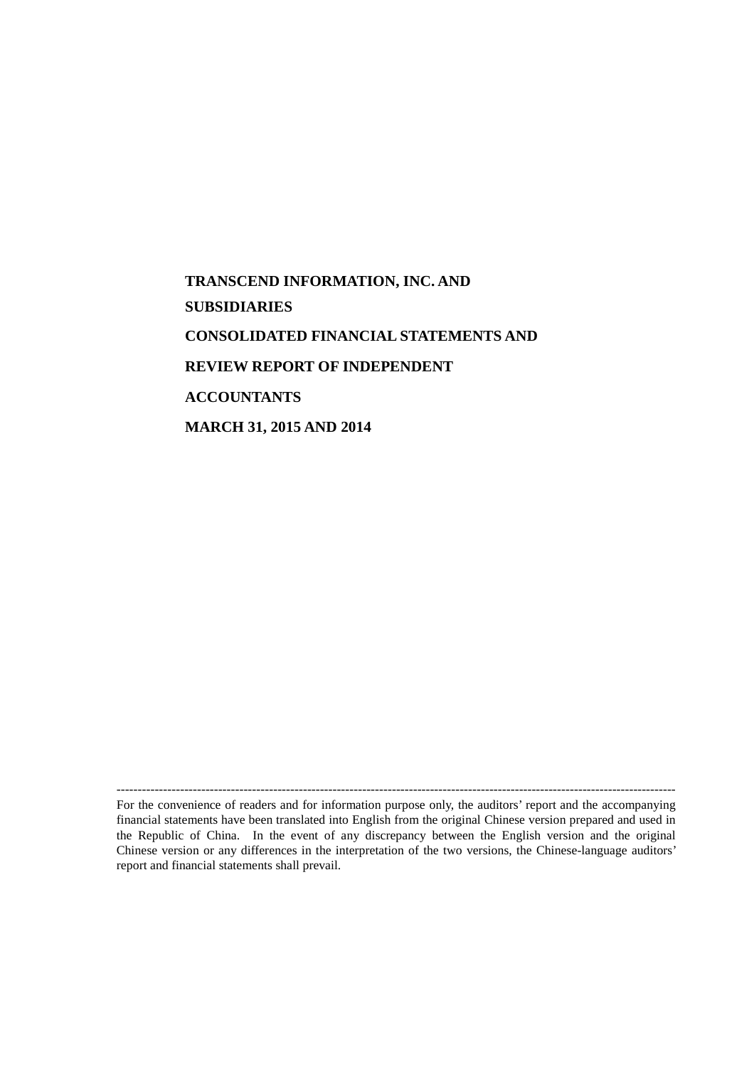# **TRANSCEND INFORMATION, INC. AND SUBSIDIARIES CONSOLIDATED FINANCIAL STATEMENTS AND REVIEW REPORT OF INDEPENDENT ACCOUNTANTS MARCH 31, 2015 AND 2014**

------------------------------------------------------------------------------------------------------------------------------------ For the convenience of readers and for information purpose only, the auditors' report and the accompanying financial statements have been translated into English from the original Chinese version prepared and used in the Republic of China. In the event of any discrepancy between the English version and the original Chinese version or any differences in the interpretation of the two versions, the Chinese-language auditors' report and financial statements shall prevail.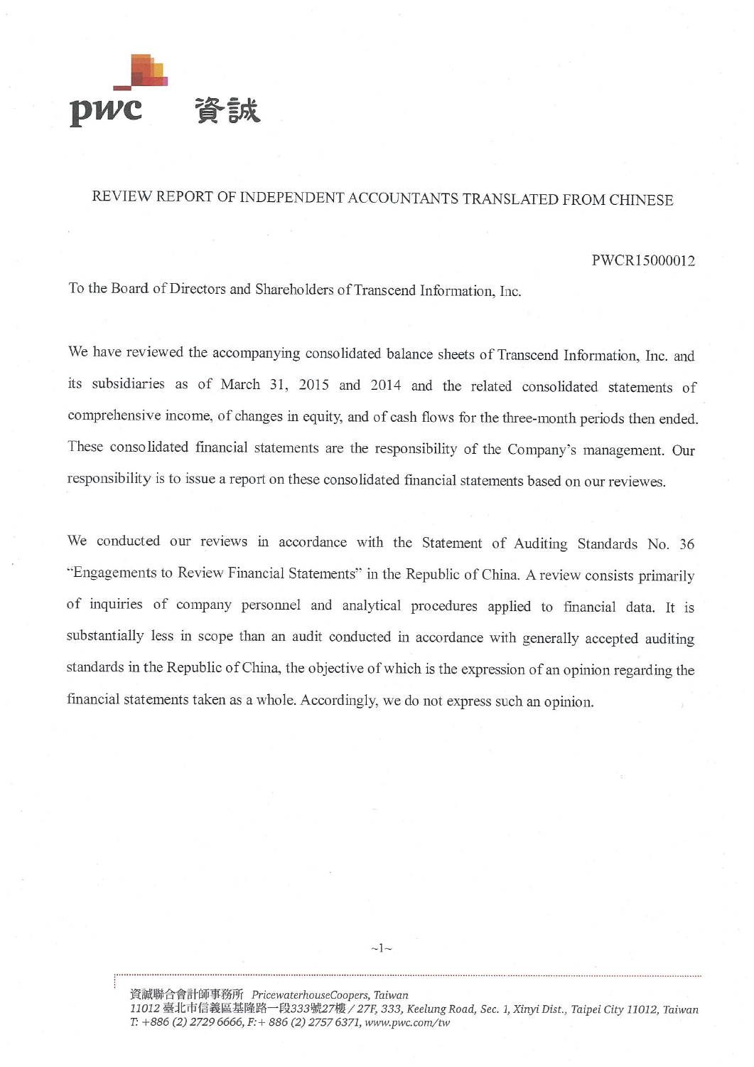

## REVIEW REPORT OF INDEPENDENT ACCOUNTANTS TRANSLATED FROM CHINESE

#### PWCR15000012

To the Board of Directors and Shareholders of Transcend Information, Inc.

We have reviewed the accompanying consolidated balance sheets of Transcend Information, Inc. and its subsidiaries as of March 31, 2015 and 2014 and the related consolidated statements of comprehensive income, of changes in equity, and of cash flows for the three-month periods then ended. These consolidated financial statements are the responsibility of the Company's management. Our responsibility is to issue a report on these consolidated financial statements based on our reviewes.

We conducted our reviews in accordance with the Statement of Auditing Standards No. 36 "Engagements to Review Financial Statements" in the Republic of China. A review consists primarily of inquiries of company personnel and analytical procedures applied to financial data. It is substantially less in scope than an audit conducted in accordance with generally accepted auditing standards in the Republic of China, the objective of which is the expression of an opinion regarding the financial statements taken as a whole. Accordingly, we do not express such an opinion.

資誠聯合會計師事務所 PricewaterhouseCoopers, Taiwan 11012 臺北市信義區基隆路一段333號27樓 / 27F, 333, Keelung Road, Sec. 1, Xinyi Dist., Taipei City 11012, Taiwan T: +886 (2) 2729 6666, F: + 886 (2) 2757 6371, www.pwc.com/tw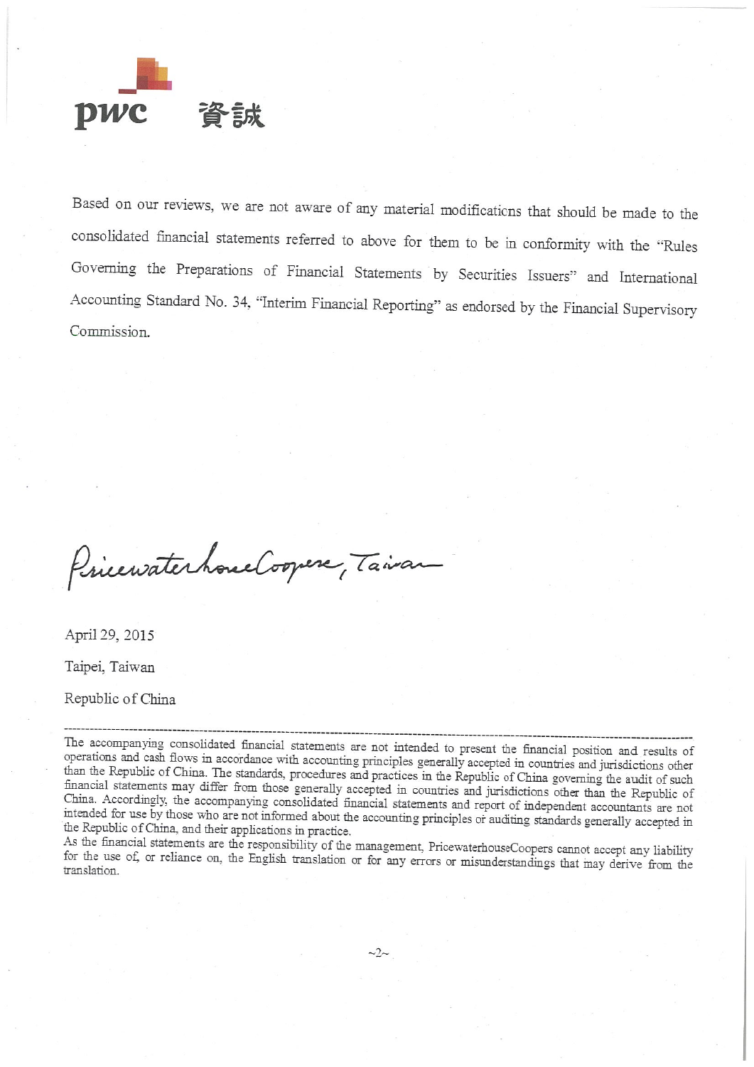

Based on our reviews, we are not aware of any material modifications that should be made to the consolidated financial statements referred to above for them to be in conformity with the "Rules Governing the Preparations of Financial Statements by Securities Issuers" and International Accounting Standard No. 34, "Interim Financial Reporting" as endorsed by the Financial Supervisory Commission.

PricewaterhouseCoopers, Taivan

April 29, 2015

Taipei, Taiwan

Republic of China

As the financial statements are the responsibility of the management, PricewaterhouseCoopers cannot accept any liability for the use of, or reliance on, the English translation or for any errors or misunderstandings that may derive from the translation.

The accompanying consolidated financial statements are not intended to present the financial position and results of operations and cash flows in accordance with accounting principles generally accepted in countries and jurisdictions other than the Republic of China. The standards, procedures and practices in the Republic of China governing the audit of such financial statements may differ from those generally accepted in countries and jurisdictions other than the Republic of China. Accordingly, the accompanying consolidated financial statements and report of independent accountants are not intended for use by those who are not informed about the accounting principles or auditing standards generally accepted in the Republic of China, and their applications in practice.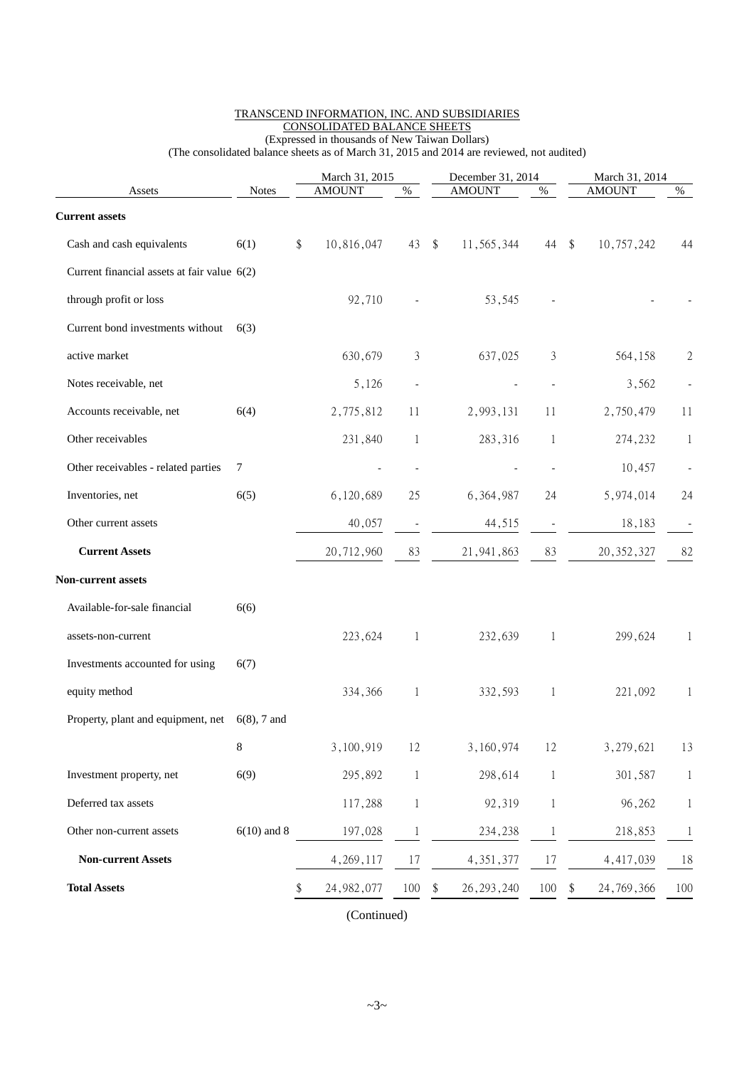|                                                   |               |                  | March 31, 2015           |                            |               | December 31, 2014        | March 31, 2014   |      |  |
|---------------------------------------------------|---------------|------------------|--------------------------|----------------------------|---------------|--------------------------|------------------|------|--|
| Assets                                            | <b>Notes</b>  | <b>AMOUNT</b>    | $\%$                     |                            | <b>AMOUNT</b> | $\%$                     | <b>AMOUNT</b>    | $\%$ |  |
| <b>Current assets</b>                             |               |                  |                          |                            |               |                          |                  |      |  |
| Cash and cash equivalents                         | 6(1)          | \$<br>10,816,047 | 43                       | $\boldsymbol{\mathsf{\$}}$ | 11,565,344    | 44                       | \$<br>10,757,242 | 44   |  |
| Current financial assets at fair value 6(2)       |               |                  |                          |                            |               |                          |                  |      |  |
| through profit or loss                            |               | 92,710           |                          |                            | 53,545        |                          |                  |      |  |
| Current bond investments without                  | 6(3)          |                  |                          |                            |               |                          |                  |      |  |
| active market                                     |               | 630,679          | 3                        |                            | 637,025       | 3                        | 564,158          | 2    |  |
| Notes receivable, net                             |               | 5,126            | $\overline{\phantom{a}}$ |                            |               | $\overline{\phantom{a}}$ | 3,562            |      |  |
| Accounts receivable, net                          | 6(4)          | 2,775,812        | 11                       |                            | 2,993,131     | 11                       | 2,750,479        | 11   |  |
| Other receivables                                 |               | 231,840          | $\mathbf{1}$             |                            | 283,316       | 1                        | 274,232          | 1    |  |
| Other receivables - related parties               | 7             |                  |                          |                            |               |                          | 10,457           |      |  |
| Inventories, net                                  | 6(5)          | 6,120,689        | 25                       |                            | 6,364,987     | 24                       | 5,974,014        | 24   |  |
| Other current assets                              |               | 40,057           | $\overline{\phantom{m}}$ |                            | 44,515        |                          | 18,183           |      |  |
| <b>Current Assets</b>                             |               | 20,712,960       | 83                       |                            | 21, 941, 863  | 83                       | 20, 352, 327     | 82   |  |
| Non-current assets                                |               |                  |                          |                            |               |                          |                  |      |  |
| Available-for-sale financial                      | 6(6)          |                  |                          |                            |               |                          |                  |      |  |
| assets-non-current                                |               | 223,624          | $\mathbf 1$              |                            | 232,639       | 1                        | 299,624          | 1    |  |
| Investments accounted for using                   | 6(7)          |                  |                          |                            |               |                          |                  |      |  |
| equity method                                     |               | 334,366          | 1                        |                            | 332,593       | 1                        | 221,092          | 1    |  |
| Property, plant and equipment, net $6(8)$ , 7 and |               |                  |                          |                            |               |                          |                  |      |  |
|                                                   | $8\,$         | 3,100,919        | 12                       |                            | 3,160,974     | 12                       | 3,279,621        | 13   |  |
| Investment property, net                          | 6(9)          | 295,892          | 1                        |                            | 298,614       | 1                        | 301,587          | 1    |  |
| Deferred tax assets                               |               | 117,288          | $\mathbf 1$              |                            | 92,319        | 1                        | 96,262           | 1    |  |
| Other non-current assets                          | $6(10)$ and 8 | 197,028          | 1                        |                            | 234,238       | $\mathbf 1$              | 218,853          | 1    |  |
| <b>Non-current Assets</b>                         |               | 4, 269, 117      | 17                       |                            | 4, 351, 377   | 17                       | 4,417,039        | 18   |  |
| <b>Total Assets</b>                               |               | 24, 982, 077     | 100                      | \$                         | 26, 293, 240  | 100                      | \$<br>24,769,366 | 100  |  |
|                                                   |               |                  |                          |                            |               |                          |                  |      |  |

#### TRANSCEND INFORMATION, INC. AND SUBSIDIARIES CONSOLIDATED BALANCE SHEETS (Expressed in thousands of New Taiwan Dollars)

(The consolidated balance sheets as of March 31, 2015 and 2014 are reviewed, not audited)

(Continued)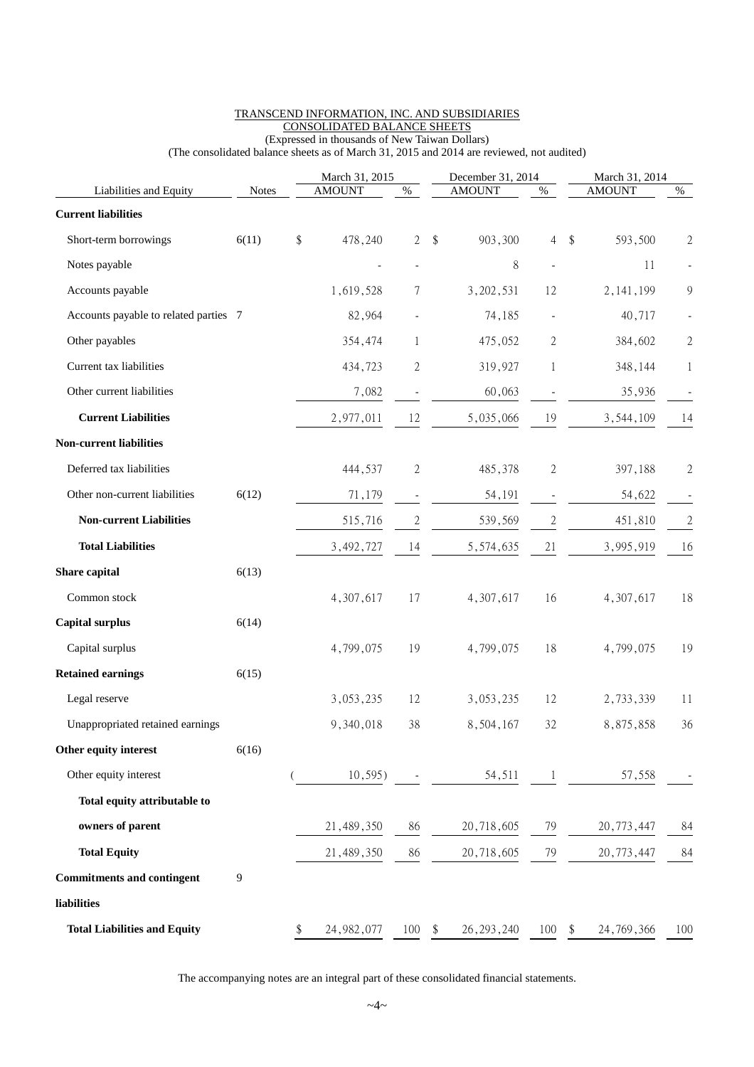| <b>AMOUNT</b><br><b>AMOUNT</b><br><b>AMOUNT</b><br>Liabilities and Equity<br>$\%$<br>$\%$<br><b>Notes</b>                                  | $\%$             |
|--------------------------------------------------------------------------------------------------------------------------------------------|------------------|
| <b>Current liabilities</b>                                                                                                                 |                  |
|                                                                                                                                            |                  |
| \$<br>478,240<br>$\sqrt[6]{\frac{1}{2}}$<br>903,300<br>\$<br>593,500<br>Short-term borrowings<br>6(11)<br>$\overline{2}$<br>$\overline{4}$ | $\boldsymbol{2}$ |
| Notes payable<br>8<br>11<br>$\overline{\phantom{a}}$<br>$\overline{\phantom{a}}$                                                           |                  |
| Accounts payable<br>3,202,531<br>2, 141, 199<br>1,619,528<br>12<br>7                                                                       | $\overline{9}$   |
| 82,964<br>40,717<br>Accounts payable to related parties 7<br>74,185                                                                        |                  |
| Other payables<br>354,474<br>475,052<br>2<br>384,602<br>1                                                                                  | $\sqrt{2}$       |
| Current tax liabilities<br>434,723<br>$\mathbf{2}$<br>319,927<br>348,144<br>$\mathbf 1$                                                    | $\mathbf{1}$     |
| Other current liabilities<br>7,082<br>60,063<br>35,936                                                                                     |                  |
| <b>Current Liabilities</b><br>12<br>5,035,066<br>19<br>2,977,011<br>3,544,109                                                              | 14               |
| <b>Non-current liabilities</b>                                                                                                             |                  |
| Deferred tax liabilities<br>444,537<br>$\sqrt{2}$<br>2<br>485,378<br>397,188                                                               | $\mathbf{2}$     |
| Other non-current liabilities<br>6(12)<br>54,622<br>71,179<br>54,191<br>$\overline{\phantom{a}}$<br>$\overline{\phantom{a}}$               |                  |
| <b>Non-current Liabilities</b><br>515,716<br>$\overline{c}$<br>$\boldsymbol{2}$<br>539,569<br>451,810                                      | $\mathbf{2}$     |
| <b>Total Liabilities</b><br>5,574,635<br>21<br>3,492,727<br>14<br>3,995,919                                                                | 16               |
| Share capital<br>6(13)                                                                                                                     |                  |
| Common stock<br>17<br>4,307,617<br>16<br>4,307,617<br>4,307,617                                                                            | 18               |
| <b>Capital surplus</b><br>6(14)                                                                                                            |                  |
| Capital surplus<br>18<br>4,799,075<br>19<br>4,799,075<br>4,799,075                                                                         | 19               |
| <b>Retained earnings</b><br>6(15)                                                                                                          |                  |
| Legal reserve<br>3,053,235<br>12<br>3,053,235<br>12<br>2,733,339                                                                           | 11               |
| 8,875,858<br>Unappropriated retained earnings<br>9,340,018<br>38<br>8,504,167<br>32                                                        | 36               |
| Other equity interest<br>6(16)                                                                                                             |                  |
| Other equity interest<br>10, 595)<br>54,511<br>57,558<br>$\mathbf{1}$                                                                      |                  |
| Total equity attributable to                                                                                                               |                  |
| owners of parent<br>21,489,350<br>20,718,605<br>20,773,447<br>86<br>79                                                                     | 84               |
| <b>Total Equity</b><br>21,489,350<br>20,718,605<br>79<br>20,773,447<br>86                                                                  | 84               |
| 9<br><b>Commitments and contingent</b>                                                                                                     |                  |
| liabilities                                                                                                                                |                  |
| <b>Total Liabilities and Equity</b><br>\$<br>24, 982, 077<br>100<br>26, 293, 240<br>100<br>24, 769, 366<br>\$<br>\$                        | 100              |

#### TRANSCEND INFORMATION, INC. AND SUBSIDIARIES CONSOLIDATED BALANCE SHEETS (Expressed in thousands of New Taiwan Dollars)

(The consolidated balance sheets as of March 31, 2015 and 2014 are reviewed, not audited)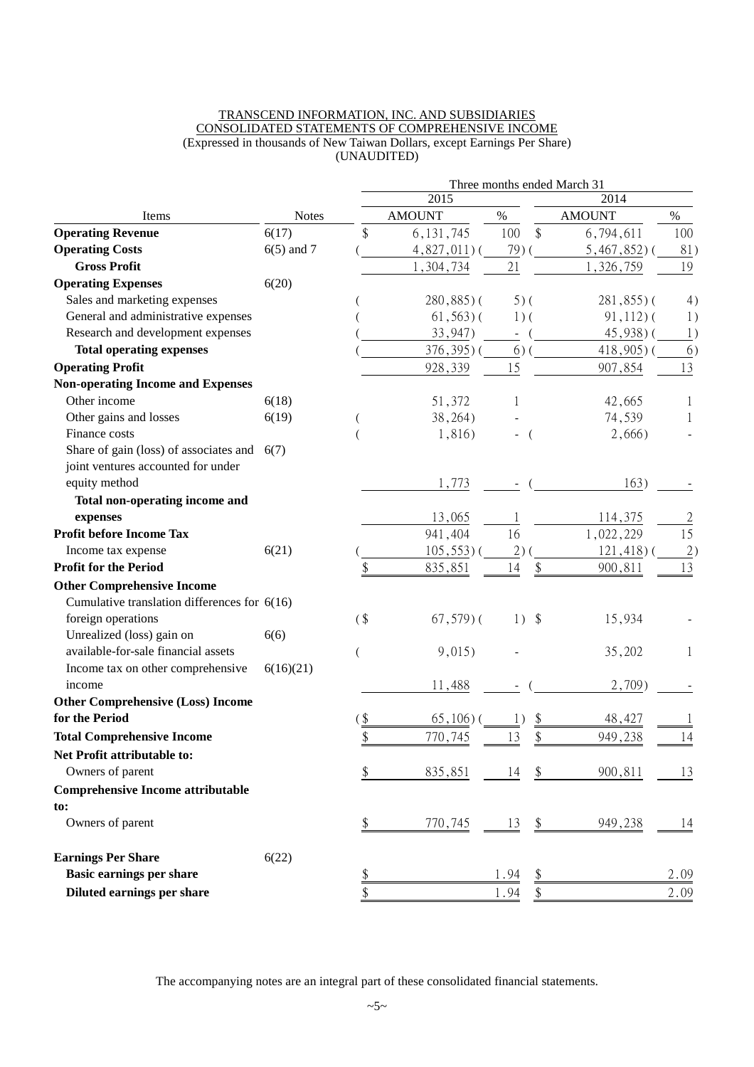#### TRANSCEND INFORMATION, INC. AND SUBSIDIARIES CONSOLIDATED STATEMENTS OF COMPREHENSIVE INCOME (Expressed in thousands of New Taiwan Dollars, except Earnings Per Share) (UNAUDITED)

|                                                |              |               | Three months ended March 31 |                |                            |               |                 |
|------------------------------------------------|--------------|---------------|-----------------------------|----------------|----------------------------|---------------|-----------------|
|                                                |              |               | 2015                        |                | 2014                       |               |                 |
| Items                                          | <b>Notes</b> | <b>AMOUNT</b> |                             | $\%$           |                            | <b>AMOUNT</b> | $\%$            |
| <b>Operating Revenue</b>                       | 6(17)        | \$            | 6, 131, 745                 | 100            | \$                         | 6,794,611     | 100             |
| <b>Operating Costs</b>                         | $6(5)$ and 7 |               | $4,827,011$ (               | 79)            |                            | $5,467,852$ ) | 81)             |
| <b>Gross Profit</b>                            |              |               | 1,304,734                   | 21             |                            | 1,326,759     | 19              |
| <b>Operating Expenses</b>                      | 6(20)        |               |                             |                |                            |               |                 |
| Sales and marketing expenses                   |              |               | $280,885$ )(                | $5)$ (         |                            | $281,855$ ) ( | 4)              |
| General and administrative expenses            |              |               | $61, 563$ ) (               | $1)$ (         |                            | $91, 112$ ) ( | 1)              |
| Research and development expenses              |              |               | 33,947)                     | $\blacksquare$ |                            | 45,938)(      | 1)              |
| <b>Total operating expenses</b>                |              |               | 376, 395) (                 | $6)$ (         |                            | $418,905$ (   | 6)              |
| <b>Operating Profit</b>                        |              |               | 928,339                     | 15             |                            | 907,854       | 13              |
| <b>Non-operating Income and Expenses</b>       |              |               |                             |                |                            |               |                 |
| Other income                                   | 6(18)        |               | 51,372                      | 1              |                            | 42,665        | 1               |
| Other gains and losses                         | 6(19)        |               | 38,264)                     |                |                            | 74,539        |                 |
| Finance costs                                  |              |               | 1,816)                      |                |                            | 2,666)        |                 |
| Share of gain (loss) of associates and $6(7)$  |              |               |                             |                |                            |               |                 |
| joint ventures accounted for under             |              |               |                             |                |                            |               |                 |
| equity method                                  |              |               | 1,773                       |                |                            | 163)          |                 |
| Total non-operating income and                 |              |               |                             |                |                            |               |                 |
| expenses                                       |              |               | 13,065                      |                |                            | 114,375       | $\overline{2}$  |
| <b>Profit before Income Tax</b>                |              |               | 941,404                     | 16             |                            | 1,022,229     | 15              |
| Income tax expense                             | 6(21)        |               | 105, 553)                   | 2)             |                            | 121,418)      | $\underline{2}$ |
| <b>Profit for the Period</b>                   |              |               | 835,851                     | 14             | \$                         | 900,811       | 13              |
| <b>Other Comprehensive Income</b>              |              |               |                             |                |                            |               |                 |
| Cumulative translation differences for $6(16)$ |              |               |                             |                |                            |               |                 |
| foreign operations                             |              | $($ \$        | $67,579$ ) (                | $1)$ \$        |                            | 15,934        |                 |
| Unrealized (loss) gain on                      | 6(6)         |               |                             |                |                            |               |                 |
| available-for-sale financial assets            |              |               | 9,015)                      |                |                            | 35,202        | 1               |
| Income tax on other comprehensive              | 6(16)(21)    |               |                             |                |                            |               |                 |
| income                                         |              |               | 11,488                      |                |                            | 2,709         |                 |
| <b>Other Comprehensive (Loss) Income</b>       |              |               |                             |                |                            |               |                 |
| for the Period                                 |              | \$            | $65,106$ ) (                |                | \$                         | 48,427        |                 |
| <b>Total Comprehensive Income</b>              |              | \$            | 770,745                     | 13             | \$                         | 949,238       | 14              |
| Net Profit attributable to:                    |              |               |                             |                |                            |               |                 |
| Owners of parent                               |              | \$            | 835,851                     | 14             |                            | 900,811       | 13              |
| <b>Comprehensive Income attributable</b>       |              |               |                             |                |                            |               |                 |
| to:                                            |              |               |                             |                |                            |               |                 |
| Owners of parent                               |              | \$            | 770,745                     | 13             | $\boldsymbol{\mathsf{\$}}$ | 949,238       | 14              |
|                                                |              |               |                             |                |                            |               |                 |
| <b>Earnings Per Share</b>                      | 6(22)        |               |                             |                |                            |               |                 |
| Basic earnings per share                       |              | $\frac{1}{2}$ |                             | 1.94           | \$                         |               | 2.09            |
| Diluted earnings per share                     |              | \$            |                             | 1.94           | \$                         |               | 2.09            |
|                                                |              |               |                             |                |                            |               |                 |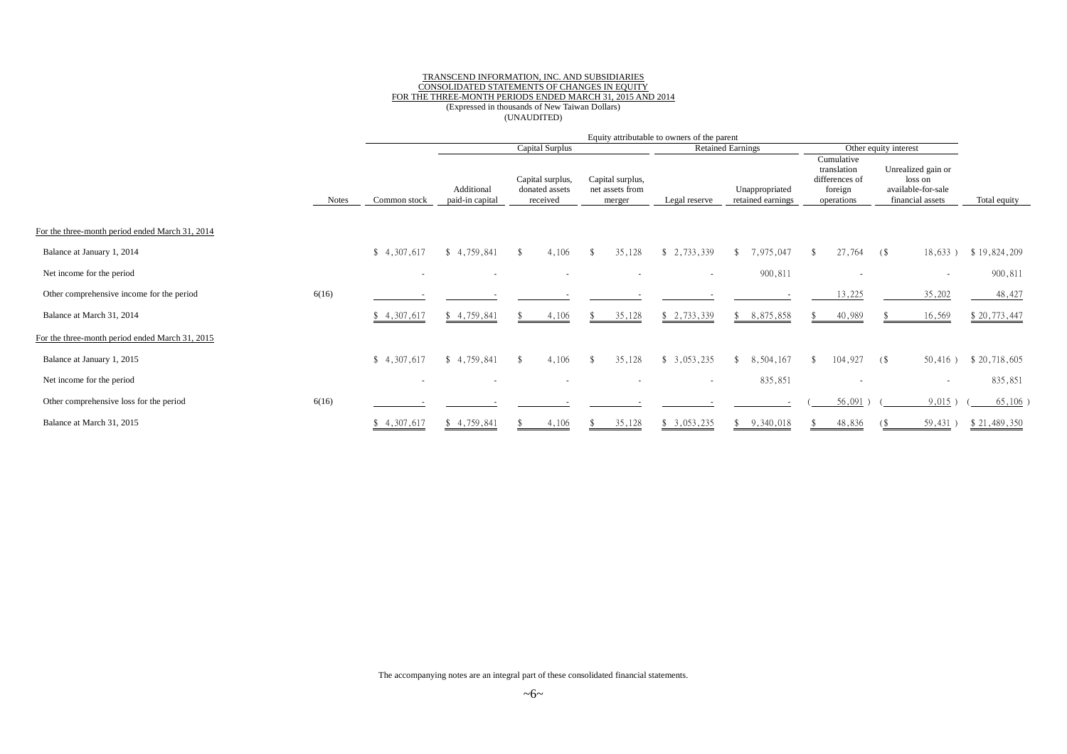#### TRANSCEND INFORMATION, INC. AND SUBSIDIARIES CONSOLIDATED STATEMENTS OF CHANGES IN EQUITY FOR THE THREE-MONTH PERIODS ENDED MARCH 31, 2015 AND 2014<br>(Expressed in thousands of New Taiwan Dollars) (UNAUDITED)

|                                                 |              | Equity attributable to owners of the parent |                               |                                                |                                               |                          |                                     |                                                                      |                                                                         |              |
|-------------------------------------------------|--------------|---------------------------------------------|-------------------------------|------------------------------------------------|-----------------------------------------------|--------------------------|-------------------------------------|----------------------------------------------------------------------|-------------------------------------------------------------------------|--------------|
|                                                 |              |                                             |                               | Capital Surplus                                |                                               |                          | <b>Retained Earnings</b>            |                                                                      | Other equity interest                                                   |              |
|                                                 | <b>Notes</b> | Common stock                                | Additional<br>paid-in capital | Capital surplus,<br>donated assets<br>received | Capital surplus,<br>net assets from<br>merger | Legal reserve            | Unappropriated<br>retained earnings | Cumulative<br>translation<br>differences of<br>foreign<br>operations | Unrealized gain or<br>loss on<br>available-for-sale<br>financial assets | Total equity |
| For the three-month period ended March 31, 2014 |              |                                             |                               |                                                |                                               |                          |                                     |                                                                      |                                                                         |              |
| Balance at January 1, 2014                      |              | \$4,307,617                                 | \$4,759,841                   | 4,106<br>-SS                                   | 35,128<br>- \$                                | \$2,733,339              | \$7,975,047                         | 27,764                                                               | 18,633)<br>$($ \$                                                       | \$19,824,209 |
| Net income for the period                       |              | $\overline{\phantom{a}}$                    |                               |                                                |                                               | $\overline{\phantom{a}}$ | 900,811                             |                                                                      | $\sim$                                                                  | 900,811      |
| Other comprehensive income for the period       | 6(16)        |                                             |                               |                                                |                                               |                          |                                     | 13,225                                                               | 35,202                                                                  | 48,427       |
| Balance at March 31, 2014                       |              | \$4,307,617                                 | \$4,759,841                   | 4,106                                          | 35,128                                        | \$2,733,339              | \$8,875,858                         | 40,989                                                               | 16,569                                                                  | \$20,773,447 |
| For the three-month period ended March 31, 2015 |              |                                             |                               |                                                |                                               |                          |                                     |                                                                      |                                                                         |              |
| Balance at January 1, 2015                      |              | \$4,307,617                                 | \$4,759,841                   | 4.106<br>$\mathbf{\hat{x}}$                    | 35,128<br>- \$                                | \$3,053,235              | 8,504,167<br>$\mathbf{\hat{x}}$     | 104,927<br>$\mathbf{\hat{x}}$                                        | $50,416$ )<br>(\$                                                       | \$20,718,605 |
| Net income for the period                       |              | $\overline{\phantom{a}}$                    |                               |                                                |                                               | $\overline{\phantom{a}}$ | 835,851                             |                                                                      | $\overline{\phantom{a}}$                                                | 835,851      |
| Other comprehensive loss for the period         | 6(16)        |                                             |                               |                                                |                                               |                          |                                     | 56,091                                                               | 9,015)                                                                  | $65,106$ )   |
| Balance at March 31, 2015                       |              | \$4,307,617                                 | \$4,759,841                   | 4,106                                          | 35,128                                        | \$3,053,235              | 9,340,018                           | 48,836                                                               | 59,431                                                                  | \$21,489,350 |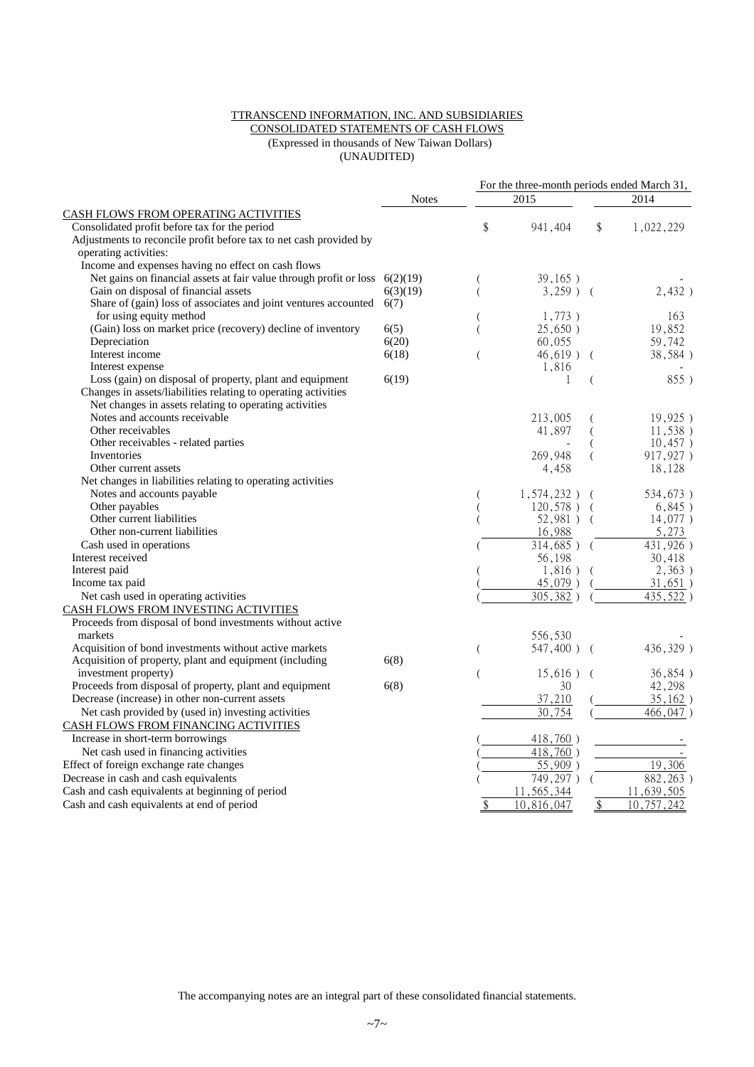#### TTRANSCEND INFORMATION, INC. AND SUBSIDIARIES

#### CONSOLIDATED STATEMENTS OF CASH FLOWS (Expressed in thousands of New Taiwan Dollars) (UNAUDITED)

|                                                                               |              | For the three-month periods ended March 31, |                        |              |            |  |  |
|-------------------------------------------------------------------------------|--------------|---------------------------------------------|------------------------|--------------|------------|--|--|
|                                                                               | <b>Notes</b> |                                             | 2015                   | 2014         |            |  |  |
| CASH FLOWS FROM OPERATING ACTIVITIES                                          |              |                                             |                        |              |            |  |  |
| Consolidated profit before tax for the period                                 |              | \$                                          | 941,404                | \$           | 1,022,229  |  |  |
| Adjustments to reconcile profit before tax to net cash provided by            |              |                                             |                        |              |            |  |  |
| operating activities:                                                         |              |                                             |                        |              |            |  |  |
| Income and expenses having no effect on cash flows                            |              |                                             |                        |              |            |  |  |
| Net gains on financial assets at fair value through profit or loss $6(2)(19)$ |              |                                             | 39,165)                |              |            |  |  |
| Gain on disposal of financial assets                                          | 6(3)(19)     | $\overline{(}$                              | $3,259$ ) (            |              | 2,432)     |  |  |
| Share of (gain) loss of associates and joint ventures accounted $6(7)$        |              |                                             |                        |              |            |  |  |
| for using equity method                                                       |              |                                             | 1,773)                 |              | 163        |  |  |
| (Gain) loss on market price (recovery) decline of inventory                   | 6(5)         | $\overline{(}$                              | 25,650)                |              | 19,852     |  |  |
| Depreciation                                                                  | 6(20)        |                                             | 60,055                 |              | 59,742     |  |  |
| Interest income                                                               | 6(18)        |                                             | $46,619$ ) (           |              | 38,584)    |  |  |
| Interest expense                                                              |              |                                             | 1,816                  |              |            |  |  |
| Loss (gain) on disposal of property, plant and equipment                      | 6(19)        |                                             | 1                      |              | 855)       |  |  |
| Changes in assets/liabilities relating to operating activities                |              |                                             |                        |              |            |  |  |
| Net changes in assets relating to operating activities                        |              |                                             |                        |              |            |  |  |
| Notes and accounts receivable                                                 |              |                                             | 213,005                |              | 19,925)    |  |  |
| Other receivables                                                             |              |                                             | 41,897                 |              | 11,538)    |  |  |
| Other receivables - related parties                                           |              |                                             |                        |              | 10,457)    |  |  |
| Inventories                                                                   |              |                                             | 269,948                |              | 917,927)   |  |  |
| Other current assets                                                          |              |                                             | 4,458                  |              | 18,128     |  |  |
| Net changes in liabilities relating to operating activities                   |              |                                             |                        |              |            |  |  |
| Notes and accounts payable                                                    |              |                                             | $1,574,232$ )          |              | 534,673)   |  |  |
| Other payables                                                                |              |                                             | 120,578)               |              | 6,845)     |  |  |
| Other current liabilities                                                     |              |                                             | 52,981) (              |              | 14,077)    |  |  |
| Other non-current liabilities                                                 |              |                                             | 16,988                 |              | 5,273      |  |  |
| Cash used in operations                                                       |              |                                             | $314,685$ ) (          |              | 431,926)   |  |  |
| Interest received                                                             |              |                                             | 56,198                 |              | 30,418     |  |  |
| Interest paid                                                                 |              |                                             | 1,816)                 |              | 2,363)     |  |  |
| Income tax paid                                                               |              |                                             | 45,079)                |              | 31,651)    |  |  |
| Net cash used in operating activities                                         |              |                                             | 305,382)               |              | 435, 522)  |  |  |
| CASH FLOWS FROM INVESTING ACTIVITIES                                          |              |                                             |                        |              |            |  |  |
| Proceeds from disposal of bond investments without active                     |              |                                             |                        |              |            |  |  |
| markets                                                                       |              |                                             | 556,530                |              |            |  |  |
| Acquisition of bond investments without active markets                        |              | $\overline{ }$                              | 547,400) (             |              | 436,329)   |  |  |
| Acquisition of property, plant and equipment (including                       | 6(8)         |                                             |                        |              |            |  |  |
| investment property)                                                          |              | $\overline{ }$                              | $15,616$ ) (           |              | 36,854)    |  |  |
| Proceeds from disposal of property, plant and equipment                       | 6(8)         |                                             | 30                     |              | 42,298     |  |  |
| Decrease (increase) in other non-current assets                               |              |                                             | 37,210                 |              | 35,162)    |  |  |
| Net cash provided by (used in) investing activities                           |              |                                             | 30,754                 |              | 466,047)   |  |  |
| CASH FLOWS FROM FINANCING ACTIVITIES                                          |              |                                             |                        |              |            |  |  |
| Increase in short-term borrowings                                             |              |                                             | 418,760)               |              |            |  |  |
| Net cash used in financing activities                                         |              |                                             | 418,760)               |              |            |  |  |
| Effect of foreign exchange rate changes                                       |              |                                             | 55,909)                |              | 19,306     |  |  |
| Decrease in cash and cash equivalents                                         |              |                                             | $\overline{749,297}$ ) |              | 882, 263)  |  |  |
| Cash and cash equivalents at beginning of period                              |              |                                             | 11,565,344             |              | 11,639,505 |  |  |
| Cash and cash equivalents at end of period                                    |              | \$                                          | 10,816,047             | $\sqrt[6]{}$ | 10,757,242 |  |  |
|                                                                               |              |                                             |                        |              |            |  |  |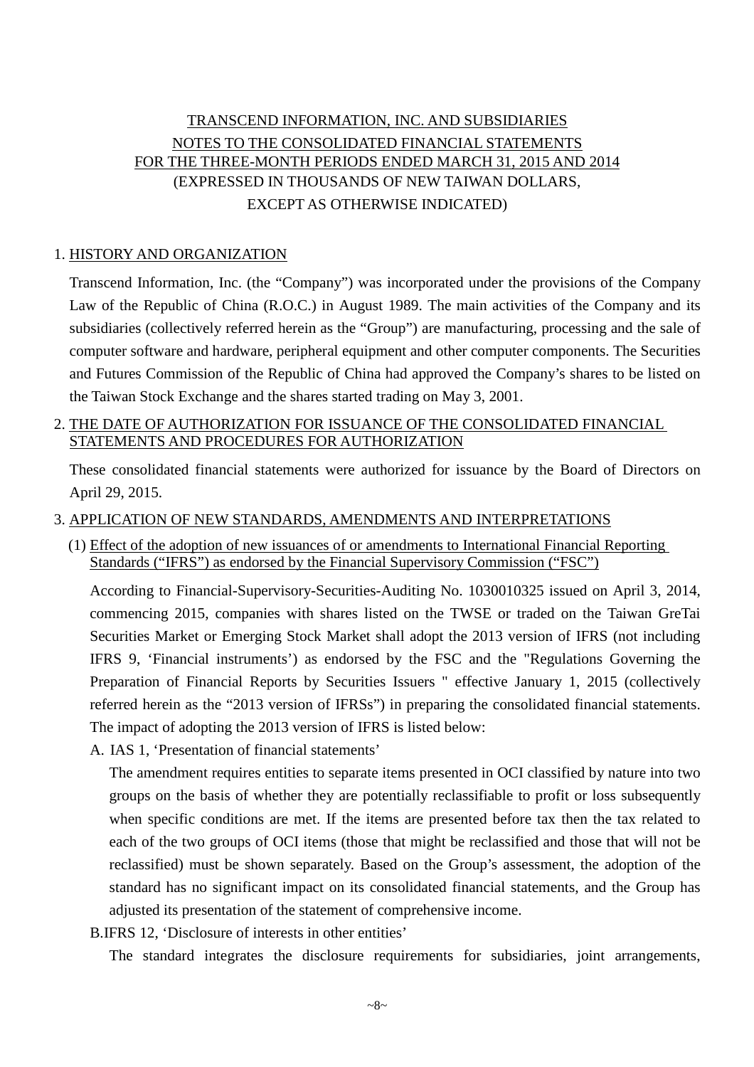## TRANSCEND INFORMATION, INC. AND SUBSIDIARIES NOTES TO THE CONSOLIDATED FINANCIAL STATEMENTS FOR THE THREE-MONTH PERIODS ENDED MARCH 31, 2015 AND 2014 (EXPRESSED IN THOUSANDS OF NEW TAIWAN DOLLARS, EXCEPT AS OTHERWISE INDICATED)

#### 1. HISTORY AND ORGANIZATION

Transcend Information, Inc. (the "Company") was incorporated under the provisions of the Company Law of the Republic of China (R.O.C.) in August 1989. The main activities of the Company and its subsidiaries (collectively referred herein as the "Group") are manufacturing, processing and the sale of computer software and hardware, peripheral equipment and other computer components. The Securities and Futures Commission of the Republic of China had approved the Company's shares to be listed on the Taiwan Stock Exchange and the shares started trading on May 3, 2001.

### 2. THE DATE OF AUTHORIZATION FOR ISSUANCE OF THE CONSOLIDATED FINANCIAL STATEMENTS AND PROCEDURES FOR AUTHORIZATION

These consolidated financial statements were authorized for issuance by the Board of Directors on April 29, 2015.

#### 3. APPLICATION OF NEW STANDARDS, AMENDMENTS AND INTERPRETATIONS

(1) Effect of the adoption of new issuances of or amendments to International Financial Reporting Standards ("IFRS") as endorsed by the Financial Supervisory Commission ("FSC")

According to Financial-Supervisory-Securities-Auditing No. 1030010325 issued on April 3, 2014, commencing 2015, companies with shares listed on the TWSE or traded on the Taiwan GreTai Securities Market or Emerging Stock Market shall adopt the 2013 version of IFRS (not including IFRS 9, 'Financial instruments') as endorsed by the FSC and the "Regulations Governing the Preparation of Financial Reports by Securities Issuers " effective January 1, 2015 (collectively referred herein as the "2013 version of IFRSs") in preparing the consolidated financial statements. The impact of adopting the 2013 version of IFRS is listed below:

A. IAS 1, 'Presentation of financial statements'

The amendment requires entities to separate items presented in OCI classified by nature into two groups on the basis of whether they are potentially reclassifiable to profit or loss subsequently when specific conditions are met. If the items are presented before tax then the tax related to each of the two groups of OCI items (those that might be reclassified and those that will not be reclassified) must be shown separately. Based on the Group's assessment, the adoption of the standard has no significant impact on its consolidated financial statements, and the Group has adjusted its presentation of the statement of comprehensive income.

B.IFRS 12, 'Disclosure of interests in other entities'

The standard integrates the disclosure requirements for subsidiaries, joint arrangements,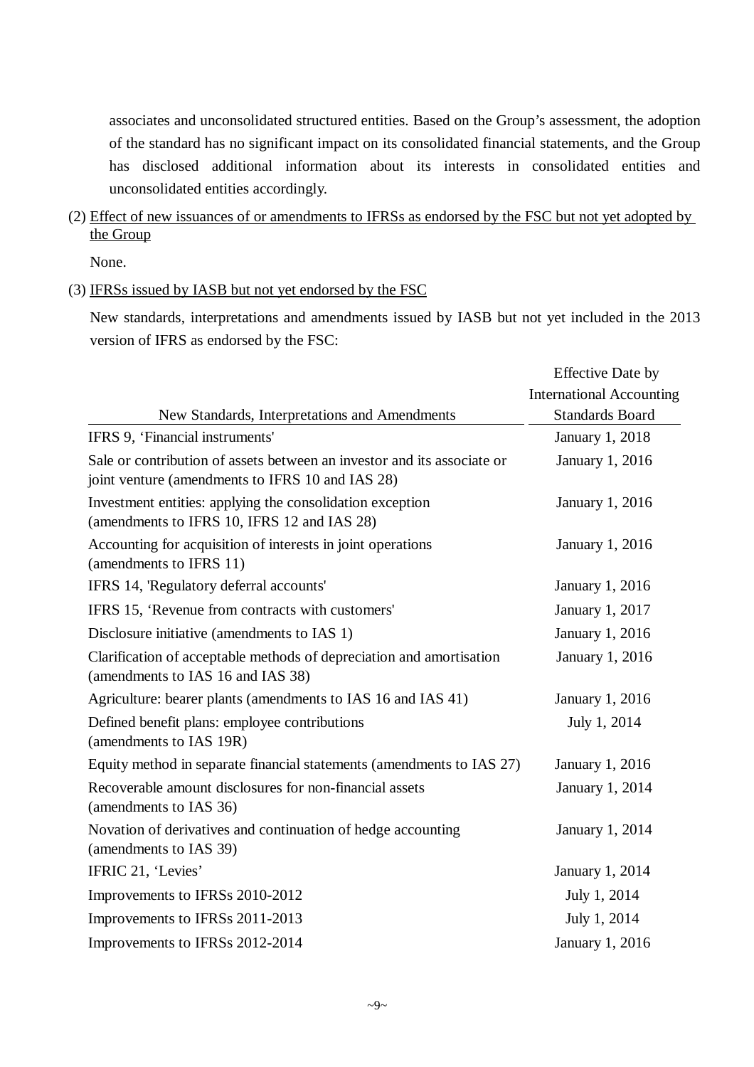associates and unconsolidated structured entities. Based on the Group's assessment, the adoption of the standard has no significant impact on its consolidated financial statements, and the Group has disclosed additional information about its interests in consolidated entities and unconsolidated entities accordingly.

(2) Effect of new issuances of or amendments to IFRSs as endorsed by the FSC but not yet adopted by the Group

None.

#### (3) IFRSs issued by IASB but not yet endorsed by the FSC

New standards, interpretations and amendments issued by IASB but not yet included in the 2013 version of IFRS as endorsed by the FSC:

|                                                                                                                             | <b>Effective Date by</b>        |
|-----------------------------------------------------------------------------------------------------------------------------|---------------------------------|
|                                                                                                                             | <b>International Accounting</b> |
| New Standards, Interpretations and Amendments                                                                               | <b>Standards Board</b>          |
| IFRS 9, 'Financial instruments'                                                                                             | January 1, 2018                 |
| Sale or contribution of assets between an investor and its associate or<br>joint venture (amendments to IFRS 10 and IAS 28) | January 1, 2016                 |
| Investment entities: applying the consolidation exception<br>(amendments to IFRS 10, IFRS 12 and IAS 28)                    | January 1, 2016                 |
| Accounting for acquisition of interests in joint operations<br>(amendments to IFRS 11)                                      | January 1, 2016                 |
| IFRS 14, 'Regulatory deferral accounts'                                                                                     | January 1, 2016                 |
| IFRS 15, 'Revenue from contracts with customers'                                                                            | January 1, 2017                 |
| Disclosure initiative (amendments to IAS 1)                                                                                 | January 1, 2016                 |
| Clarification of acceptable methods of depreciation and amortisation<br>(amendments to IAS 16 and IAS 38)                   | January 1, 2016                 |
| Agriculture: bearer plants (amendments to IAS 16 and IAS 41)                                                                | January 1, 2016                 |
| Defined benefit plans: employee contributions<br>(amendments to IAS 19R)                                                    | July 1, 2014                    |
| Equity method in separate financial statements (amendments to IAS 27)                                                       | January 1, 2016                 |
| Recoverable amount disclosures for non-financial assets<br>(amendments to IAS 36)                                           | January 1, 2014                 |
| Novation of derivatives and continuation of hedge accounting<br>(amendments to IAS 39)                                      | January 1, 2014                 |
| IFRIC 21, 'Levies'                                                                                                          | January 1, 2014                 |
| Improvements to IFRSs 2010-2012                                                                                             | July 1, 2014                    |
| Improvements to IFRSs 2011-2013                                                                                             | July 1, 2014                    |
| Improvements to IFRSs 2012-2014                                                                                             | <b>January 1, 2016</b>          |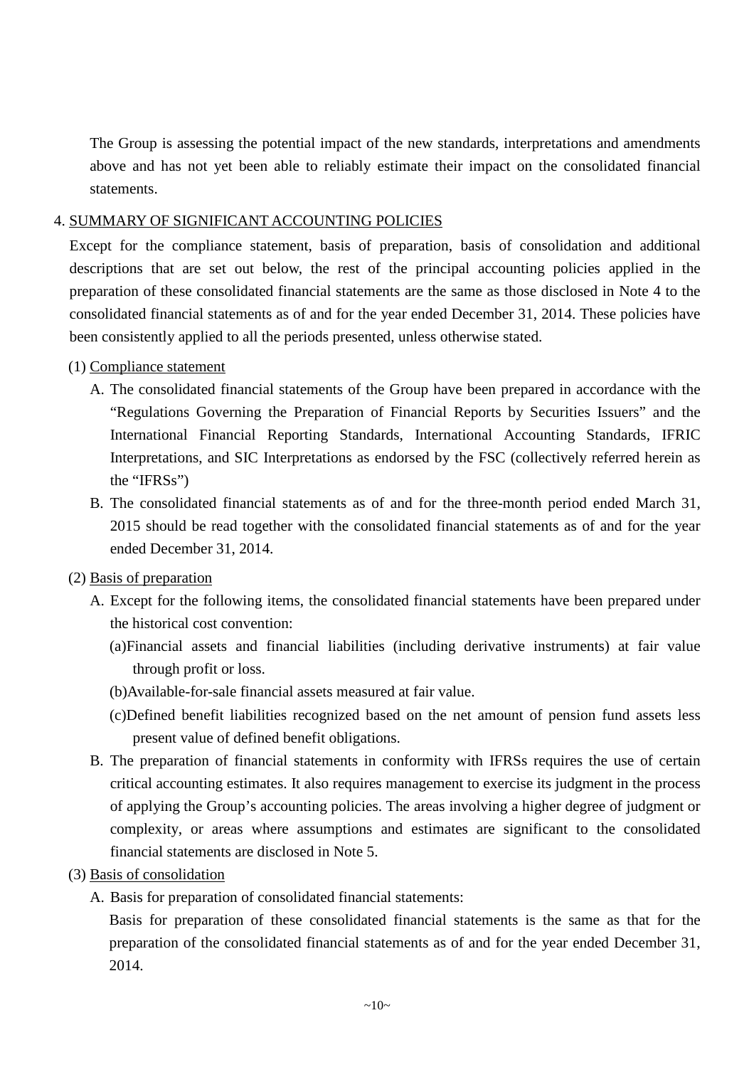The Group is assessing the potential impact of the new standards, interpretations and amendments above and has not yet been able to reliably estimate their impact on the consolidated financial statements.

### 4. SUMMARY OF SIGNIFICANT ACCOUNTING POLICIES

Except for the compliance statement, basis of preparation, basis of consolidation and additional descriptions that are set out below, the rest of the principal accounting policies applied in the preparation of these consolidated financial statements are the same as those disclosed in Note 4 to the consolidated financial statements as of and for the year ended December 31, 2014. These policies have been consistently applied to all the periods presented, unless otherwise stated.

#### (1) Compliance statement

- A. The consolidated financial statements of the Group have been prepared in accordance with the "Regulations Governing the Preparation of Financial Reports by Securities Issuers" and the International Financial Reporting Standards, International Accounting Standards, IFRIC Interpretations, and SIC Interpretations as endorsed by the FSC (collectively referred herein as the "IFRSs")
- B. The consolidated financial statements as of and for the three-month period ended March 31, 2015 should be read together with the consolidated financial statements as of and for the year ended December 31, 2014.

### (2) Basis of preparation

- A. Except for the following items, the consolidated financial statements have been prepared under the historical cost convention:
	- (a)Financial assets and financial liabilities (including derivative instruments) at fair value through profit or loss.
	- (b)Available-for-sale financial assets measured at fair value.
	- (c)Defined benefit liabilities recognized based on the net amount of pension fund assets less present value of defined benefit obligations.
- B. The preparation of financial statements in conformity with IFRSs requires the use of certain critical accounting estimates. It also requires management to exercise its judgment in the process of applying the Group's accounting policies. The areas involving a higher degree of judgment or complexity, or areas where assumptions and estimates are significant to the consolidated financial statements are disclosed in Note 5.

#### (3) Basis of consolidation

A. Basis for preparation of consolidated financial statements:

Basis for preparation of these consolidated financial statements is the same as that for the preparation of the consolidated financial statements as of and for the year ended December 31, 2014.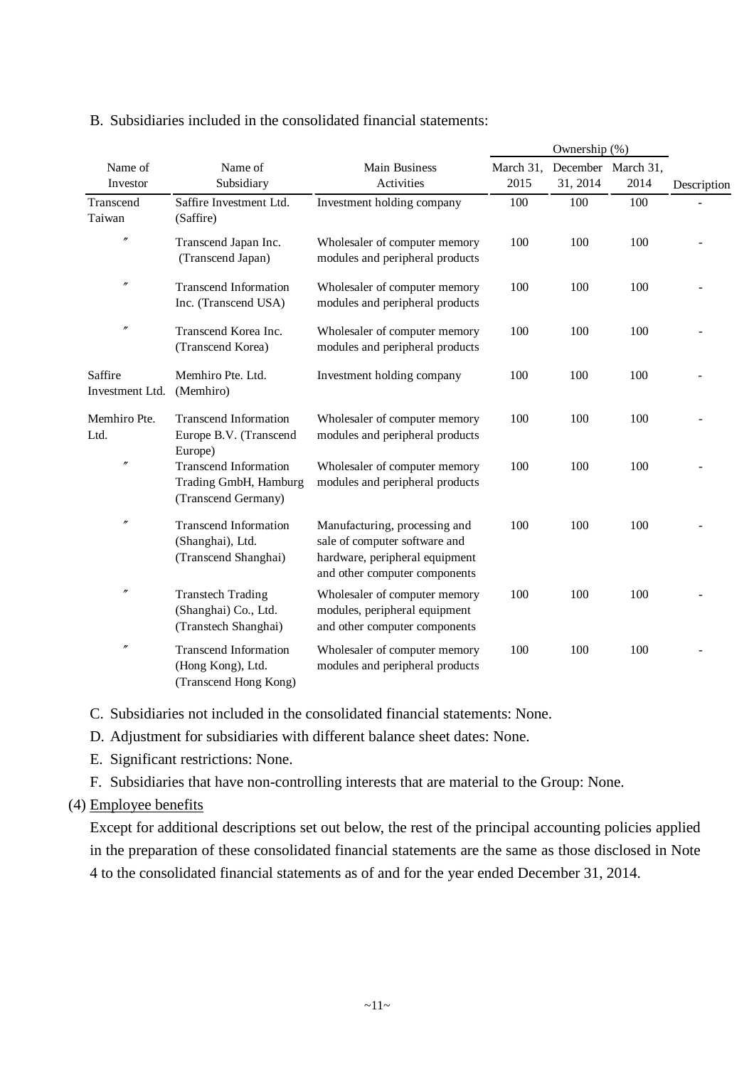| Name of<br>Investor        | Name of<br>Main Business<br>Subsidiary<br>Activities                         |                                                                                                                                   | March 31,<br>2015 | 31, 2014 | December March 31,<br>2014 | Description |
|----------------------------|------------------------------------------------------------------------------|-----------------------------------------------------------------------------------------------------------------------------------|-------------------|----------|----------------------------|-------------|
| Transcend<br>Taiwan        | Saffire Investment Ltd.<br>(Saffire)                                         | Investment holding company                                                                                                        | 100               | 100      | 100                        |             |
| $\prime\prime$             | Transcend Japan Inc.<br>(Transcend Japan)                                    | Wholesaler of computer memory<br>modules and peripheral products                                                                  | 100               | 100      | 100                        |             |
| $\prime\prime$             | <b>Transcend Information</b><br>Inc. (Transcend USA)                         | Wholesaler of computer memory<br>modules and peripheral products                                                                  | 100               | 100      | 100                        |             |
| $\prime\prime$             | Transcend Korea Inc.<br>(Transcend Korea)                                    | Wholesaler of computer memory<br>modules and peripheral products                                                                  | 100               | 100      | 100                        |             |
| Saffire<br>Investment Ltd. | Memhiro Pte. Ltd.<br>(Memhiro)                                               | Investment holding company                                                                                                        | 100               | 100      | 100                        |             |
| Memhiro Pte.<br>Ltd.       | <b>Transcend Information</b><br>Europe B.V. (Transcend<br>Europe)            | Wholesaler of computer memory<br>modules and peripheral products                                                                  | 100               | 100      | 100                        |             |
| $^{\prime\prime}$          | <b>Transcend Information</b><br>Trading GmbH, Hamburg<br>(Transcend Germany) | Wholesaler of computer memory<br>modules and peripheral products                                                                  | 100               | 100      | 100                        |             |
| $\prime\prime$             | <b>Transcend Information</b><br>(Shanghai), Ltd.<br>(Transcend Shanghai)     | Manufacturing, processing and<br>sale of computer software and<br>hardware, peripheral equipment<br>and other computer components | 100               | 100      | 100                        |             |
| $^{\prime\prime}$          | <b>Transtech Trading</b><br>(Shanghai) Co., Ltd.<br>(Transtech Shanghai)     | Wholesaler of computer memory<br>modules, peripheral equipment<br>and other computer components                                   | 100               | 100      | 100                        |             |
| $\prime\prime$             | <b>Transcend Information</b><br>(Hong Kong), Ltd.<br>(Transcend Hong Kong)   | Wholesaler of computer memory<br>modules and peripheral products                                                                  | 100               | 100      | 100                        |             |

#### B. Subsidiaries included in the consolidated financial statements:

C. Subsidiaries not included in the consolidated financial statements: None.

D. Adjustment for subsidiaries with different balance sheet dates: None.

E. Significant restrictions: None.

F. Subsidiaries that have non-controlling interests that are material to the Group: None.

#### (4) Employee benefits

Except for additional descriptions set out below, the rest of the principal accounting policies applied in the preparation of these consolidated financial statements are the same as those disclosed in Note 4 to the consolidated financial statements as of and for the year ended December 31, 2014.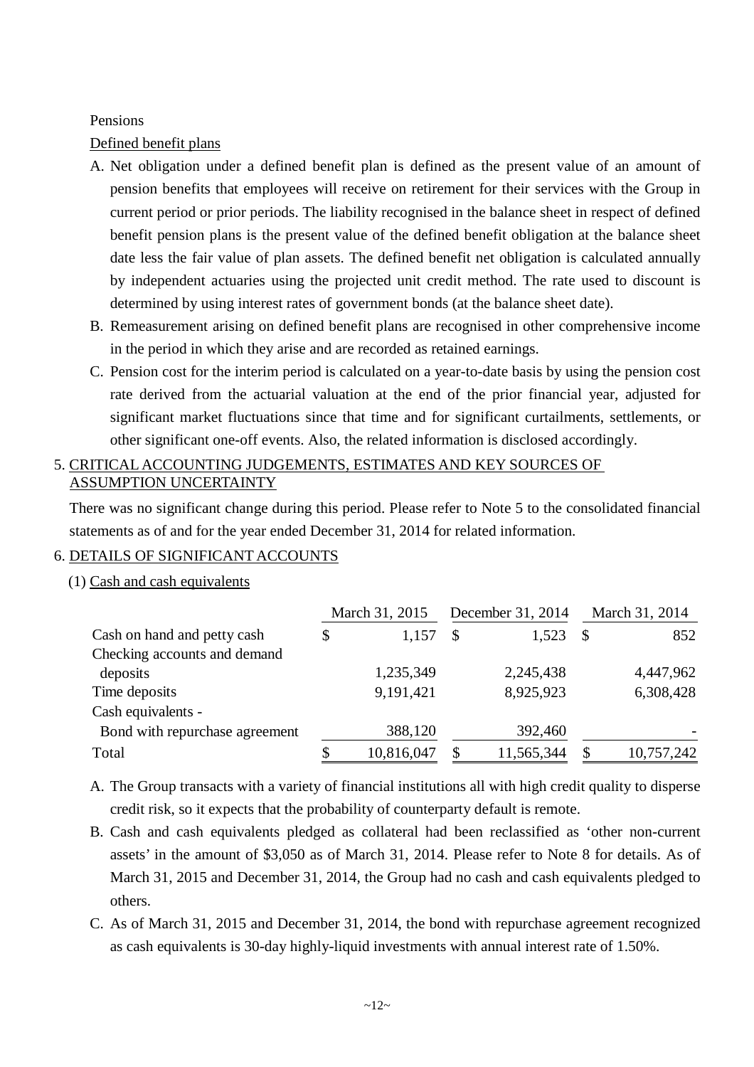#### Pensions

Defined benefit plans

- A. Net obligation under a defined benefit plan is defined as the present value of an amount of pension benefits that employees will receive on retirement for their services with the Group in current period or prior periods. The liability recognised in the balance sheet in respect of defined benefit pension plans is the present value of the defined benefit obligation at the balance sheet date less the fair value of plan assets. The defined benefit net obligation is calculated annually by independent actuaries using the projected unit credit method. The rate used to discount is determined by using interest rates of government bonds (at the balance sheet date).
- B. Remeasurement arising on defined benefit plans are recognised in other comprehensive income in the period in which they arise and are recorded as retained earnings.
- C. Pension cost for the interim period is calculated on a year-to-date basis by using the pension cost rate derived from the actuarial valuation at the end of the prior financial year, adjusted for significant market fluctuations since that time and for significant curtailments, settlements, or other significant one-off events. Also, the related information is disclosed accordingly.

## 5. CRITICAL ACCOUNTING JUDGEMENTS, ESTIMATES AND KEY SOURCES OF ASSUMPTION UNCERTAINTY

There was no significant change during this period. Please refer to Note 5 to the consolidated financial statements as of and for the year ended December 31, 2014 for related information.

### 6. DETAILS OF SIGNIFICANT ACCOUNTS

### (1) Cash and cash equivalents

|                                | March 31, 2015 |            |               | December 31, 2014 | March 31, 2014 |            |  |
|--------------------------------|----------------|------------|---------------|-------------------|----------------|------------|--|
| Cash on hand and petty cash    | \$             | 1,157      | $\mathcal{S}$ | 1,523             | -S             | 852        |  |
| Checking accounts and demand   |                |            |               |                   |                |            |  |
| deposits                       |                | 1,235,349  |               | 2,245,438         |                | 4,447,962  |  |
| Time deposits                  |                | 9,191,421  |               | 8,925,923         |                | 6,308,428  |  |
| Cash equivalents -             |                |            |               |                   |                |            |  |
| Bond with repurchase agreement |                | 388,120    |               | 392,460           |                |            |  |
| Total                          |                | 10,816,047 | \$            | 11,565,344        | <sup>\$</sup>  | 10,757,242 |  |

- A. The Group transacts with a variety of financial institutions all with high credit quality to disperse credit risk, so it expects that the probability of counterparty default is remote.
- B. Cash and cash equivalents pledged as collateral had been reclassified as 'other non-current assets' in the amount of \$3,050 as of March 31, 2014. Please refer to Note 8 for details. As of March 31, 2015 and December 31, 2014, the Group had no cash and cash equivalents pledged to others.
- C. As of March 31, 2015 and December 31, 2014, the bond with repurchase agreement recognized as cash equivalents is 30-day highly-liquid investments with annual interest rate of 1.50%.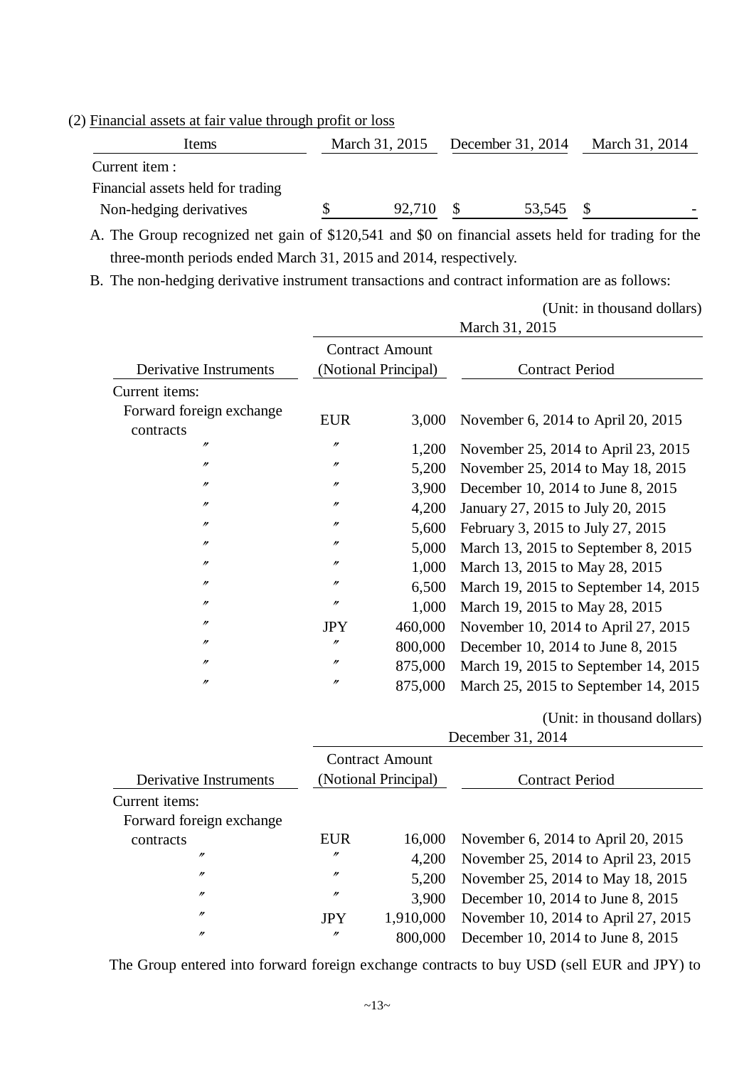### (2) Financial assets at fair value through profit or loss

| Items                             | December 31, 2014<br>March 31, 2015 |        |  | March 31, 2014 |  |
|-----------------------------------|-------------------------------------|--------|--|----------------|--|
| Current item :                    |                                     |        |  |                |  |
| Financial assets held for trading |                                     |        |  |                |  |
| Non-hedging derivatives           |                                     | 92,710 |  | 53,545         |  |
|                                   |                                     |        |  |                |  |

A. The Group recognized net gain of \$120,541 and \$0 on financial assets held for trading for the three-month periods ended March 31, 2015 and 2014, respectively.

(Unit: in thousand dollars)

B. The non-hedging derivative instrument transactions and contract information are as follows:

|                                       | March 31, 2015    |                        |                                      |
|---------------------------------------|-------------------|------------------------|--------------------------------------|
|                                       |                   | <b>Contract Amount</b> |                                      |
| Derivative Instruments                |                   | (Notional Principal)   | <b>Contract Period</b>               |
| Current items:                        |                   |                        |                                      |
| Forward foreign exchange<br>contracts | <b>EUR</b>        | 3,000                  | November 6, 2014 to April 20, 2015   |
| $^{\prime\prime}$                     | $\prime\prime$    | 1,200                  | November 25, 2014 to April 23, 2015  |
| $^{\prime\prime}$                     | $\prime\prime$    | 5,200                  | November 25, 2014 to May 18, 2015    |
| $^{\prime\prime}$                     | $\prime\prime$    | 3,900                  | December 10, 2014 to June 8, 2015    |
| $^{\prime\prime}$                     | $\prime\prime$    | 4,200                  | January 27, 2015 to July 20, 2015    |
| $^{\prime\prime}$                     | $\prime\prime$    | 5,600                  | February 3, 2015 to July 27, 2015    |
| $^{\prime\prime}$                     | $\prime\prime$    | 5,000                  | March 13, 2015 to September 8, 2015  |
| $^{\prime\prime}$                     | $^{\prime\prime}$ | 1,000                  | March 13, 2015 to May 28, 2015       |
| $^{\prime\prime}$                     | $\prime\prime$    | 6,500                  | March 19, 2015 to September 14, 2015 |
| $\prime\prime$                        | $\prime\prime$    | 1,000                  | March 19, 2015 to May 28, 2015       |
| $^{\prime\prime}$                     | <b>JPY</b>        | 460,000                | November 10, 2014 to April 27, 2015  |
| $^{\prime\prime}$                     | $\prime\prime$    | 800,000                | December 10, 2014 to June 8, 2015    |
| n                                     | $\prime\prime$    | 875,000                | March 19, 2015 to September 14, 2015 |
| $^{\prime\prime}$                     | $\prime\prime$    | 875,000                | March 25, 2015 to September 14, 2015 |
|                                       |                   |                        | (Unit: in thousand dollars)          |
|                                       |                   |                        | December 31, 2014                    |
|                                       |                   | <b>Contract Amount</b> |                                      |
| Derivative Instruments                |                   | (Notional Principal)   | <b>Contract Period</b>               |
| Current items:                        |                   |                        |                                      |
| Forward foreign exchange              |                   |                        |                                      |
| contracts                             | <b>EUR</b>        | 16,000                 | November 6, 2014 to April 20, 2015   |
| $^{\prime\prime}$                     | $\prime\prime$    | 4,200                  | November 25, 2014 to April 23, 2015  |
| n                                     | $\prime\prime$    | 5,200                  | November 25, 2014 to May 18, 2015    |
| n                                     | $\prime\prime$    | 3,900                  | December 10, 2014 to June 8, 2015    |
| $^{\prime\prime}$                     | <b>JPY</b>        | 1,910,000              | November 10, 2014 to April 27, 2015  |
| $^{\prime\prime}$                     | $\prime\prime$    | 800,000                | December 10, 2014 to June 8, 2015    |

The Group entered into forward foreign exchange contracts to buy USD (sell EUR and JPY) to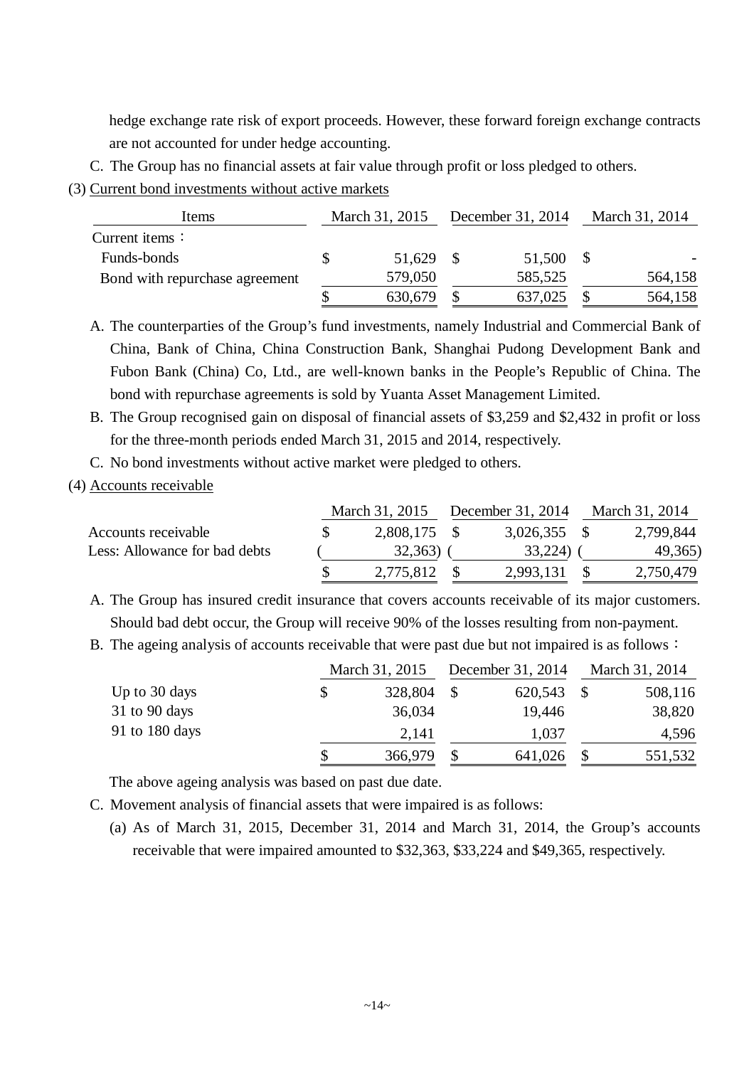hedge exchange rate risk of export proceeds. However, these forward foreign exchange contracts are not accounted for under hedge accounting.

- C. The Group has no financial assets at fair value through profit or loss pledged to others.
- (3) Current bond investments without active markets

| Items                          | March 31, 2015 |         | December 31, 2014 |         | March 31, 2014 |         |
|--------------------------------|----------------|---------|-------------------|---------|----------------|---------|
| Current items $\colon$         |                |         |                   |         |                |         |
| Funds-bonds                    |                | 51,629  |                   | 51,500  |                |         |
| Bond with repurchase agreement |                | 579,050 |                   | 585,525 |                | 564,158 |
|                                |                | 630,679 |                   | 637,025 |                | 564,158 |

A. The counterparties of the Group's fund investments, namely Industrial and Commercial Bank of China, Bank of China, China Construction Bank, Shanghai Pudong Development Bank and Fubon Bank (China) Co, Ltd., are well-known banks in the People's Republic of China. The bond with repurchase agreements is sold by Yuanta Asset Management Limited.

B. The Group recognised gain on disposal of financial assets of \$3,259 and \$2,432 in profit or loss for the three-month periods ended March 31, 2015 and 2014, respectively.

C. No bond investments without active market were pledged to others.

#### (4) Accounts receivable

|                               | March 31, 2015 | December 31, 2014 | March 31, 2014 |           |
|-------------------------------|----------------|-------------------|----------------|-----------|
| Accounts receivable           | 2,808,175      | $3,026,355$ \$    |                | 2,799,844 |
| Less: Allowance for bad debts | 32,363)        | 33,224)           |                | 49,365)   |
|                               | 2,775,812      | 2,993,131         |                | 2,750,479 |

A. The Group has insured credit insurance that covers accounts receivable of its major customers. Should bad debt occur, the Group will receive 90% of the losses resulting from non-payment.

B. The ageing analysis of accounts receivable that were past due but not impaired is as follows:

|                 | March 31, 2015 | December 31, 2014 | March 31, 2014 |
|-----------------|----------------|-------------------|----------------|
| Up to 30 days   | \$<br>328,804  | 620,543           | 508,116        |
| $31$ to 90 days | 36,034         | 19,446            | 38,820         |
| 91 to 180 days  | 2,141          | 1,037             | 4,596          |
|                 | 366,979        | 641,026           | 551,532        |

The above ageing analysis was based on past due date.

- C. Movement analysis of financial assets that were impaired is as follows:
	- (a) As of March 31, 2015, December 31, 2014 and March 31, 2014, the Group's accounts receivable that were impaired amounted to \$32,363, \$33,224 and \$49,365, respectively.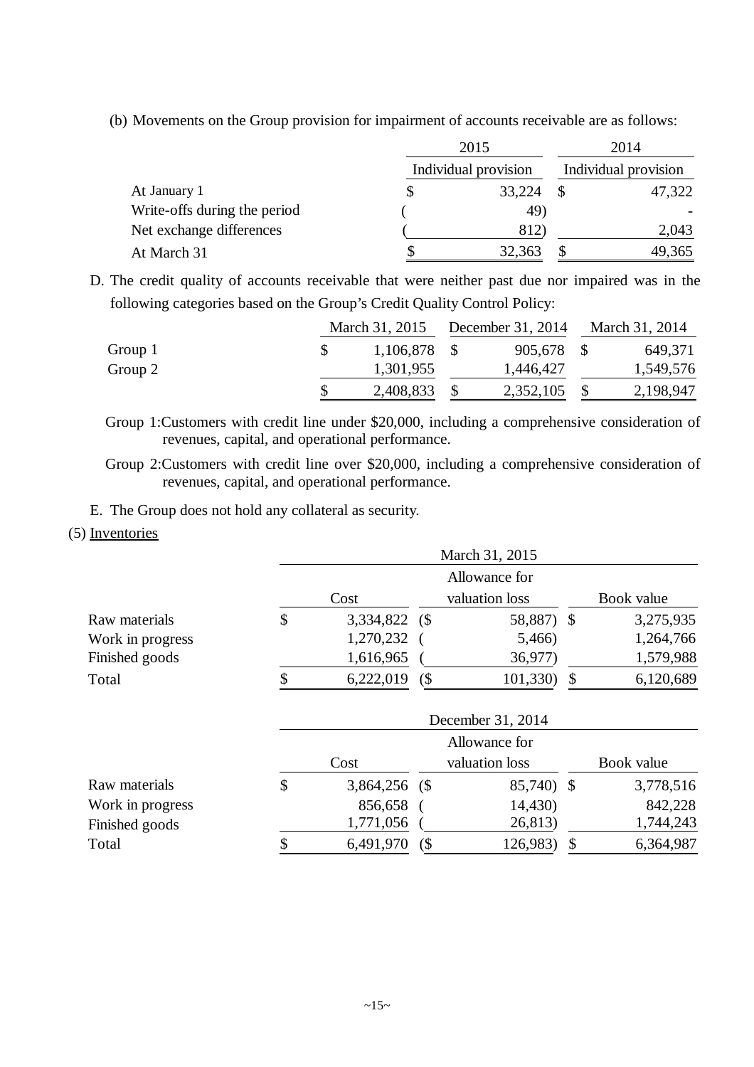(b) Movements on the Group provision for impairment of accounts receivable are as follows:

|                              | 2015                 | 2014                 |  |  |
|------------------------------|----------------------|----------------------|--|--|
|                              | Individual provision | Individual provision |  |  |
| At January 1                 | 33,224               | 47,322               |  |  |
| Write-offs during the period | 49)                  |                      |  |  |
| Net exchange differences     | 812)                 | 2,043                |  |  |
| At March 31                  | 32,363               | 49,365               |  |  |

D. The credit quality of accounts receivable that were neither past due nor impaired was in the following categories based on the Group's Credit Quality Control Policy:

|         | March 31, 2015 | December 31, 2014 | March 31, 2014 |           |
|---------|----------------|-------------------|----------------|-----------|
| Group 1 | 1,106,878      | 905,678 \$        |                | 649,371   |
| Group 2 | 1,301,955      | 1,446,427         |                | 1,549,576 |
|         | 2,408,833      | 2,352,105         |                | 2,198,947 |

Group 1:Customers with credit line under \$20,000, including a comprehensive consideration of revenues, capital, and operational performance.

Group 2:Customers with credit line over \$20,000, including a comprehensive consideration of revenues, capital, and operational performance.

E. The Group does not hold any collateral as security.

(5) Inventories

|                  |                      |            | March 31, 2015    |                 |
|------------------|----------------------|------------|-------------------|-----------------|
|                  | Cost                 | Book value |                   |                 |
| Raw materials    | \$<br>3,334,822 (\$  |            | 58,887) \$        | 3,275,935       |
| Work in progress | 1,270,232            |            | 5,466)            | 1,264,766       |
| Finished goods   | 1,616,965            |            | 36,977)           | 1,579,988       |
| Total            | \$<br>6,222,019      | $($ \$     | 101,330)          | \$<br>6,120,689 |
|                  |                      |            | December 31, 2014 |                 |
|                  |                      |            | Allowance for     |                 |
|                  | Cost                 |            | valuation loss    | Book value      |
| Raw materials    | \$<br>3,864,256 (\$) |            | 85,740) \$        | 3,778,516       |
| Work in progress | 856,658              |            | 14,430)           | 842,228         |
| Finished goods   | 1,771,056            |            | 26,813)           | 1,744,243       |
| Total            | \$<br>6,491,970      | $(\$$      | 126,983)          | \$<br>6,364,987 |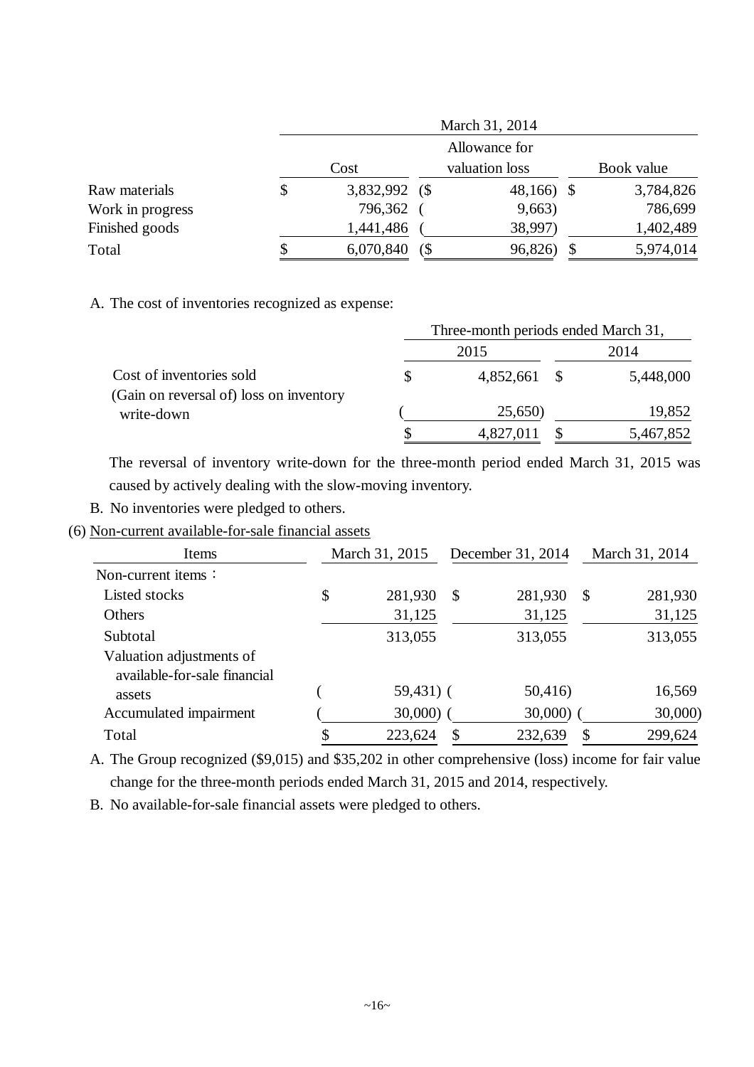|                  |    | March 31, 2014 |   |                |  |            |  |  |  |  |
|------------------|----|----------------|---|----------------|--|------------|--|--|--|--|
|                  |    |                |   | Allowance for  |  |            |  |  |  |  |
|                  |    | Cost           |   | valuation loss |  | Book value |  |  |  |  |
| Raw materials    | \$ | 3,832,992 (\$  |   | 48,166) \$     |  | 3,784,826  |  |  |  |  |
| Work in progress |    | 796,362        |   | 9,663)         |  | 786,699    |  |  |  |  |
| Finished goods   |    | 1,441,486      |   | 38,997)        |  | 1,402,489  |  |  |  |  |
| Total            | S. | 6,070,840      | ( | 96,826)        |  | 5,974,014  |  |  |  |  |

A. The cost of inventories recognized as expense:

|                                                                     | Three-month periods ended March 31, |           |  |           |  |  |  |
|---------------------------------------------------------------------|-------------------------------------|-----------|--|-----------|--|--|--|
|                                                                     |                                     | 2015      |  | 2014      |  |  |  |
| Cost of inventories sold<br>(Gain on reversal of) loss on inventory | S                                   | 4,852,661 |  | 5,448,000 |  |  |  |
| write-down                                                          |                                     | 25,650)   |  | 19,852    |  |  |  |
|                                                                     |                                     | 4,827,011 |  | 5,467,852 |  |  |  |

The reversal of inventory write-down for the three-month period ended March 31, 2015 was caused by actively dealing with the slow-moving inventory.

- B. No inventories were pledged to others.
- (6) Non-current available-for-sale financial assets

| Items                        | March 31, 2015 |               | December 31, 2014 |               | March 31, 2014 |
|------------------------------|----------------|---------------|-------------------|---------------|----------------|
| Non-current items $\colon$   |                |               |                   |               |                |
| Listed stocks                | \$<br>281,930  | $\mathcal{S}$ | 281,930           | $\mathcal{S}$ | 281,930        |
| <b>Others</b>                | 31,125         |               | 31,125            |               | 31,125         |
| Subtotal                     | 313,055        |               | 313,055           |               | 313,055        |
| Valuation adjustments of     |                |               |                   |               |                |
| available-for-sale financial |                |               |                   |               |                |
| assets                       | $59,431)$ (    |               | 50,416)           |               | 16,569         |
| Accumulated impairment       | $30,000$ )     |               | 30,000)           |               | 30,000)        |
| Total                        | 223,624        | \$            | 232,639           | \$            | 299,624        |

A. The Group recognized (\$9,015) and \$35,202 in other comprehensive (loss) income for fair value change for the three-month periods ended March 31, 2015 and 2014, respectively.

B. No available-for-sale financial assets were pledged to others.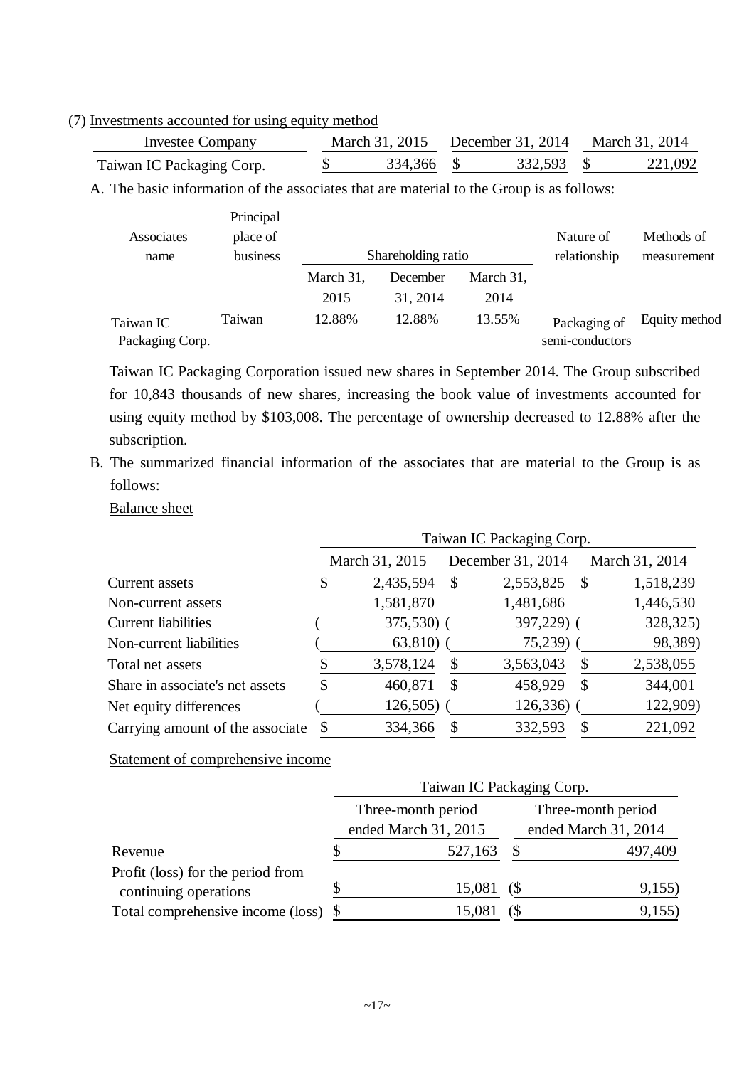(7) Investments accounted for using equity method

| Investee Company          |  |            | March 31, 2015 December 31, 2014 March 31, 2014 |            |  |         |
|---------------------------|--|------------|-------------------------------------------------|------------|--|---------|
| Taiwan IC Packaging Corp. |  | 334.366 \$ |                                                 | 332,593 \$ |  | 221,092 |

A. The basic information of the associates that are material to the Group is as follows:

| Associates      | Principal<br>place of |           |                    |           | Nature of       | Methods of    |
|-----------------|-----------------------|-----------|--------------------|-----------|-----------------|---------------|
| name            | business              |           | Shareholding ratio |           | relationship    | measurement   |
|                 |                       | March 31, | December           | March 31, |                 |               |
|                 |                       | 2015      | 31, 2014           | 2014      |                 |               |
| Taiwan IC       | Taiwan                | 12.88%    | 12.88%             | 13.55%    | Packaging of    | Equity method |
| Packaging Corp. |                       |           |                    |           | semi-conductors |               |

Taiwan IC Packaging Corporation issued new shares in September 2014. The Group subscribed for 10,843 thousands of new shares, increasing the book value of investments accounted for using equity method by \$103,008. The percentage of ownership decreased to 12.88% after the subscription.

B. The summarized financial information of the associates that are material to the Group is as follows:

Balance sheet

|                                  |    |                |              | Taiwan IC Packaging Corp. |                 |
|----------------------------------|----|----------------|--------------|---------------------------|-----------------|
|                                  |    | March 31, 2015 |              | December 31, 2014         | March 31, 2014  |
| Current assets                   |    | 2,435,594      | $\mathbb{S}$ | 2,553,825                 | \$<br>1,518,239 |
| Non-current assets               |    | 1,581,870      |              | 1,481,686                 | 1,446,530       |
| <b>Current liabilities</b>       |    | 375,530) (     |              | 397,229) (                | 328,325)        |
| Non-current liabilities          |    | $63,810)$ (    |              | $75,239$ (                | 98,389)         |
| Total net assets                 |    | 3,578,124      | S            | 3,563,043                 | \$<br>2,538,055 |
| Share in associate's net assets  | \$ | 460,871        | \$           | 458,929                   | \$<br>344,001   |
| Net equity differences           |    | 126,505        |              | 126,336)                  | 122,909)        |
| Carrying amount of the associate | \$ | 334,366        | S            | 332,593                   | \$<br>221,092   |

Statement of comprehensive income

|                                   |  | Taiwan IC Packaging Corp. |    |                      |
|-----------------------------------|--|---------------------------|----|----------------------|
|                                   |  | Three-month period        |    | Three-month period   |
|                                   |  | ended March 31, 2015      |    | ended March 31, 2014 |
| Revenue                           |  | 527,163                   |    | 497,409              |
| Profit (loss) for the period from |  |                           |    |                      |
| continuing operations             |  | 15,081                    | 68 | 9,155)               |
| Total comprehensive income (loss) |  | 15,081                    |    | 9,155                |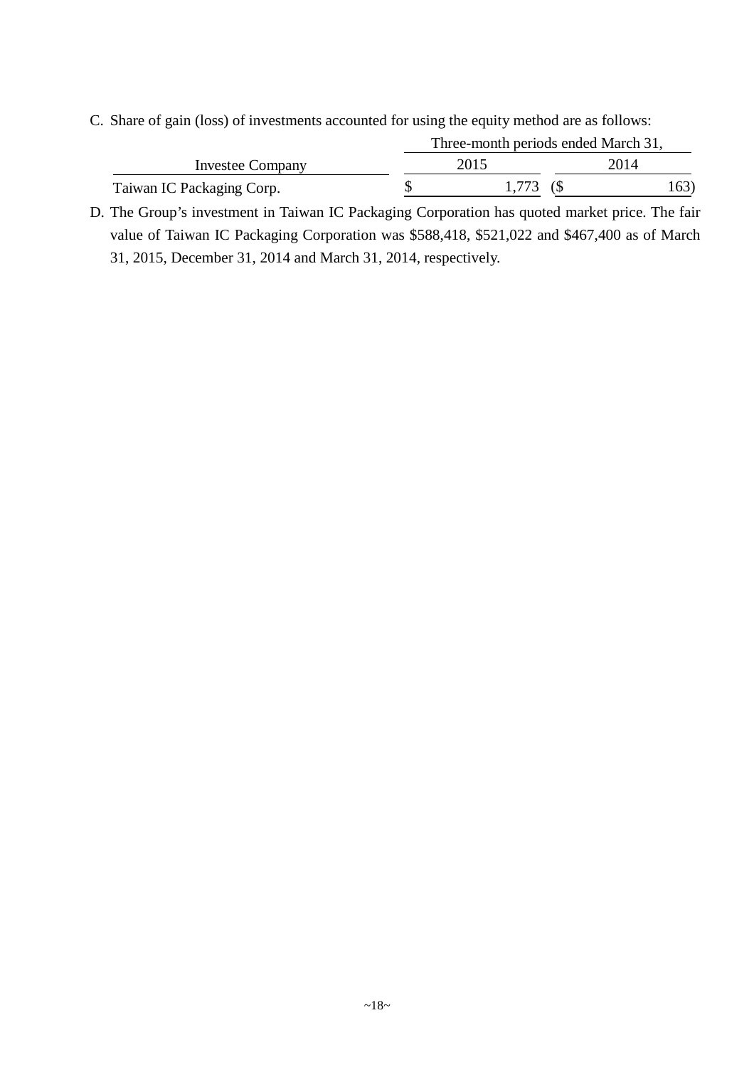C. Share of gain (loss) of investments accounted for using the equity method are as follows:

|                           | Three-month periods ended March 31, |      |
|---------------------------|-------------------------------------|------|
| Investee Company          | 2015                                | 2014 |
| Taiwan IC Packaging Corp. |                                     | (63) |

D. The Group's investment in Taiwan IC Packaging Corporation has quoted market price. The fair value of Taiwan IC Packaging Corporation was \$588,418, \$521,022 and \$467,400 as of March 31, 2015, December 31, 2014 and March 31, 2014, respectively.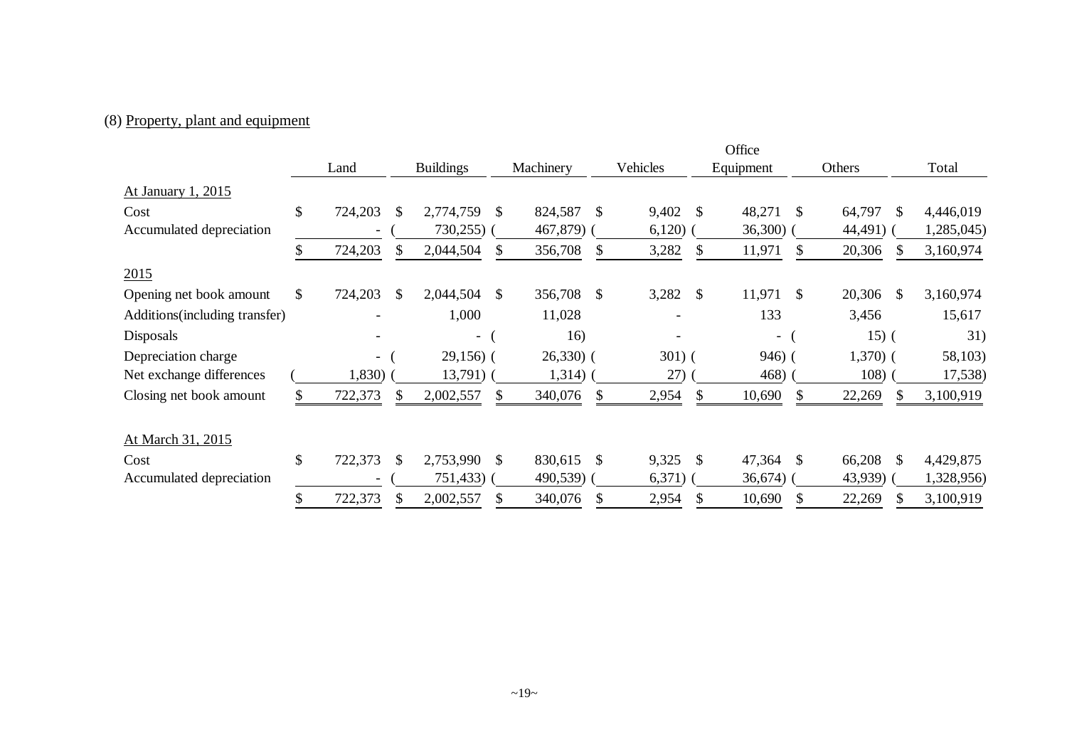## (8) Property, plant and equipment

|                                |                          |     |                          |     |                          |          |              | Office      |               |           |               |            |
|--------------------------------|--------------------------|-----|--------------------------|-----|--------------------------|----------|--------------|-------------|---------------|-----------|---------------|------------|
|                                | Land                     |     | <b>Buildings</b>         |     | Machinery                | Vehicles |              | Equipment   |               | Others    |               | Total      |
| At January 1, 2015             |                          |     |                          |     |                          |          |              |             |               |           |               |            |
| Cost                           | \$<br>724,203            | \$  | 2,774,759                | \$. | 824,587<br><sup>\$</sup> | 9,402    | \$           | 48,271      | <sup>\$</sup> | 64,797    | $\mathbb{S}$  | 4,446,019  |
| Accumulated depreciation       |                          |     | $730,255$ )              |     | 467,879) (               | 6,120)   |              | $36,300)$ ( |               | 44,491)   |               | 1,285,045) |
|                                | \$<br>724,203            | \$  | 2,044,504                | \$  | 356,708<br>\$            | 3,282    | \$.          | 11,971      | \$            | 20,306    | S.            | 3,160,974  |
| 2015                           |                          |     |                          |     |                          |          |              |             |               |           |               |            |
| Opening net book amount        | \$<br>724,203            | \$  | 2,044,504                | \$  | 356,708<br><sup>\$</sup> | 3,282    | \$           | 11,971      | <sup>\$</sup> | 20,306    | <sup>\$</sup> | 3,160,974  |
| Additions (including transfer) |                          |     | 1,000                    |     | 11,028                   |          |              | 133         |               | 3,456     |               | 15,617     |
| Disposals                      |                          |     | $\overline{\phantom{0}}$ |     | 16)                      |          |              | $\sim$      |               | $15)$ (   |               | 31)        |
| Depreciation charge            | $\overline{\phantom{0}}$ |     | $29,156$ (               |     | $26,330$ (               | $301)$ ( |              | $946)$ (    |               | $1,370$ ( |               | 58,103)    |
| Net exchange differences       | 1,830)                   |     | $13,791)$ (              |     | 1,314)                   | 27)      |              | 468)        |               | 108)      |               | 17,538)    |
| Closing net book amount        | 722,373                  | \$. | 2,002,557                | \$  | 340,076<br><sup>\$</sup> | 2,954    | \$.          | 10,690      | <sup>\$</sup> | 22,269    | S             | 3,100,919  |
| At March 31, 2015              |                          |     |                          |     |                          |          |              |             |               |           |               |            |
| Cost                           | \$<br>722,373            | \$. | 2,753,990                | \$  | 830,615<br>$\mathbb{S}$  | 9,325    | $\mathbb{S}$ | 47,364      | <sup>\$</sup> | 66,208    | $\mathbb{S}$  | 4,429,875  |
| Accumulated depreciation       |                          |     | 751,433                  |     | 490,539)                 | 6,371)   |              | 36,674)     |               | 43,939)   |               | 1,328,956) |
|                                | 722,373                  |     | 2,002,557                |     | 340,076                  | 2,954    |              | 10,690      | \$            | 22,269    |               | 3,100,919  |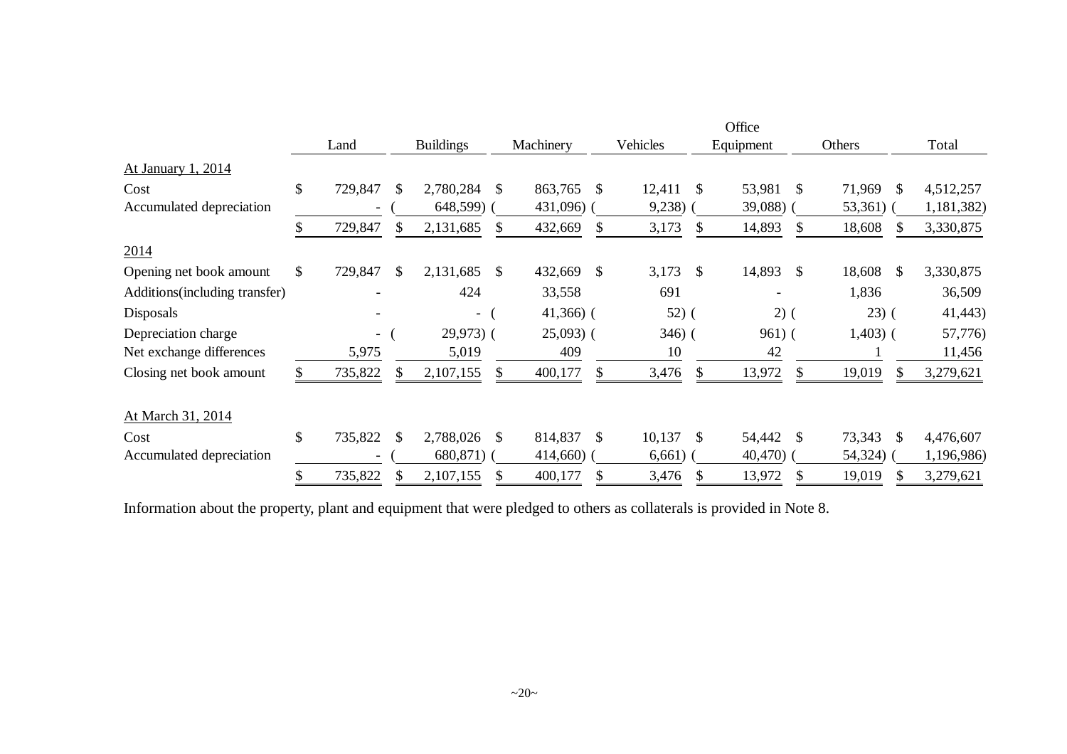|                                |              |                          |    |                  |               |              |               |          |               | Office    |    |                         |            |
|--------------------------------|--------------|--------------------------|----|------------------|---------------|--------------|---------------|----------|---------------|-----------|----|-------------------------|------------|
|                                |              | Land                     |    | <b>Buildings</b> |               | Machinery    |               | Vehicles |               | Equipment |    | Others                  | Total      |
| At January 1, 2014             |              |                          |    |                  |               |              |               |          |               |           |    |                         |            |
| Cost                           | \$           | 729,847                  | \$ | 2,780,284        | <sup>\$</sup> | 863,765      | <sup>\$</sup> | 12,411   | <sup>\$</sup> | 53,981    | -S | 71,969<br><sup>\$</sup> | 4,512,257  |
| Accumulated depreciation       |              |                          |    | 648,599)         |               | 431,096) (   |               | 9,238)   |               | 39,088)   |    | $53,361)$ (             | 1,181,382) |
|                                | S.           | 729,847                  | S. | 2,131,685        | \$.           | 432,669      | <b>S</b>      | 3,173    | \$.           | 14,893    |    | 18,608<br>-SS           | 3,330,875  |
| 2014                           |              |                          |    |                  |               |              |               |          |               |           |    |                         |            |
| Opening net book amount        | $\mathbb{S}$ | 729,847                  | \$ | 2,131,685        | <sup>\$</sup> | 432,669      | \$            | 3,173    | <sup>\$</sup> | 14,893    | -S | 18,608<br>\$            | 3,330,875  |
| Additions (including transfer) |              |                          |    | 424              |               | 33,558       |               | 691      |               |           |    | 1,836                   | 36,509     |
| Disposals                      |              |                          |    | $ \sqrt{ }$      |               | $41,366$ ) ( |               | $52)$ (  |               | $2)$ (    |    | $(23)$ (                | 41,443)    |
| Depreciation charge            |              | $\overline{\phantom{0}}$ |    | $29,973$ (       |               | $25,093$ (   |               | $346)$ ( |               | $961)$ (  |    | $1,403$ (               | 57,776)    |
| Net exchange differences       |              | 5,975                    |    | 5,019            |               | 409          |               | 10       |               | 42        |    |                         | 11,456     |
| Closing net book amount        |              | 735,822                  | \$ | 2,107,155        | \$.           | 400,177      | \$.           | 3,476    | \$            | 13,972    | S  | 19,019<br><sup>S</sup>  | 3,279,621  |
| At March 31, 2014              |              |                          |    |                  |               |              |               |          |               |           |    |                         |            |
| Cost                           | $\mathbb{S}$ | 735,822                  | \$ | 2,788,026        | -S            | 814,837      | \$            | 10,137   | <sup>\$</sup> | 54,442    | -S | 73,343<br>\$            | 4,476,607  |
| Accumulated depreciation       |              |                          |    | 680,871)         |               | $414,660$ (  |               | 6,661)   |               | 40,470)   |    | 54,324)                 | 1,196,986) |
|                                | \$           | 735,822                  |    | 2,107,155        |               | 400,177      | \$            | 3,476    | \$            | 13,972    |    | 19,019<br>\$            | 3,279,621  |

Information about the property, plant and equipment that were pledged to others as collaterals is provided in Note 8.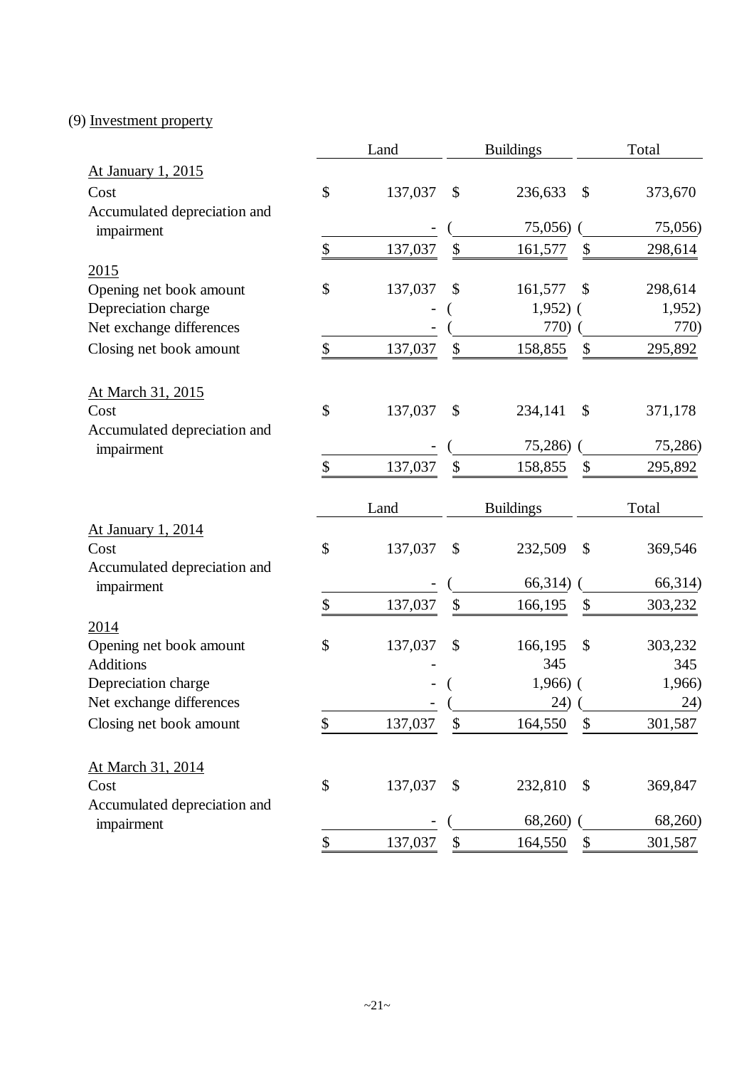## (9) Investment property

|                                            | Land          |               | <b>Buildings</b>      |                            | Total              |
|--------------------------------------------|---------------|---------------|-----------------------|----------------------------|--------------------|
| At January 1, 2015                         |               |               |                       |                            |                    |
| Cost                                       | \$<br>137,037 | $\mathcal{S}$ | 236,633               | \$                         | 373,670            |
| Accumulated depreciation and<br>impairment |               |               | 75,056)               |                            | 75,056)            |
|                                            | \$<br>137,037 | \$            | 161,577               | \$                         | 298,614            |
| 2015                                       |               |               |                       |                            |                    |
| Opening net book amount                    | \$<br>137,037 | \$            | 161,577               | \$                         | 298,614            |
| Depreciation charge                        |               |               | $1,952)$ (            |                            | 1,952)             |
| Net exchange differences                   |               |               | 770)                  |                            | 770)               |
| Closing net book amount                    | \$<br>137,037 | \$            | 158,855               | \$                         | 295,892            |
| At March 31, 2015                          |               |               |                       |                            |                    |
| Cost                                       | \$<br>137,037 | \$            | 234,141               | \$                         | 371,178            |
| Accumulated depreciation and               |               |               |                       |                            |                    |
| impairment                                 |               |               | 75,286)               |                            | 75,286)            |
|                                            | \$<br>137,037 | \$            | 158,855               | \$                         | 295,892            |
|                                            | Land          |               | <b>Buildings</b>      |                            | Total              |
| At January 1, 2014                         |               |               |                       |                            |                    |
|                                            |               |               |                       |                            |                    |
| Cost                                       | \$<br>137,037 | \$            | 232,509               | \$                         | 369,546            |
| Accumulated depreciation and               |               |               |                       |                            |                    |
| impairment                                 |               |               | 66,314)               |                            | 66,314)            |
|                                            | \$<br>137,037 | $\$\,$        | 166,195               | \$                         | 303,232            |
| 2014                                       |               |               |                       |                            |                    |
| Opening net book amount                    | \$<br>137,037 | \$            | 166,195               | \$                         | 303,232            |
| <b>Additions</b>                           |               |               | 345                   |                            | 345                |
| Depreciation charge                        |               |               | $1,966$ ) (           |                            | 1,966)             |
| Net exchange differences                   |               |               | (24)                  |                            | $\frac{24}{ }$     |
| Closing net book amount                    | \$<br>137,037 | \$            | 164,550               | \$                         | 301,587            |
| At March 31, 2014                          |               |               |                       |                            |                    |
| Cost                                       | \$<br>137,037 | \$            | 232,810               | \$                         | 369,847            |
| Accumulated depreciation and               |               |               |                       |                            |                    |
| impairment                                 | \$<br>137,037 | \$            | $68,260$ )<br>164,550 | $\boldsymbol{\mathsf{\$}}$ | 68,260)<br>301,587 |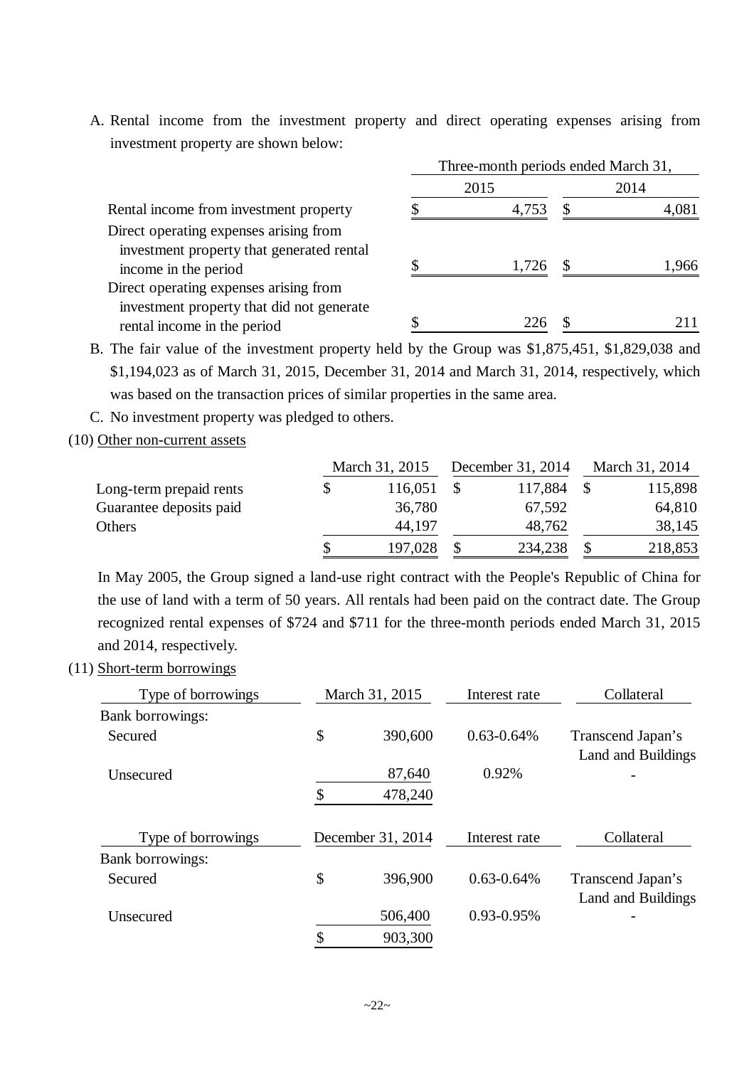A. Rental income from the investment property and direct operating expenses arising from investment property are shown below:

|                                                                                     | Three-month periods ended March 31, |       |    |      |  |  |  |
|-------------------------------------------------------------------------------------|-------------------------------------|-------|----|------|--|--|--|
|                                                                                     |                                     | 2015  |    | 2014 |  |  |  |
| Rental income from investment property                                              |                                     | 4,753 |    |      |  |  |  |
| Direct operating expenses arising from<br>investment property that generated rental |                                     |       |    |      |  |  |  |
| income in the period                                                                |                                     | 1,726 | .S | .966 |  |  |  |
| Direct operating expenses arising from                                              |                                     |       |    |      |  |  |  |
| investment property that did not generate<br>rental income in the period            |                                     | 226   |    |      |  |  |  |

B. The fair value of the investment property held by the Group was \$1,875,451, \$1,829,038 and \$1,194,023 as of March 31, 2015, December 31, 2014 and March 31, 2014, respectively, which was based on the transaction prices of similar properties in the same area.

C. No investment property was pledged to others.

(10) Other non-current assets

|                         | March 31, 2015 |  | December 31, 2014 | March 31, 2014 |         |
|-------------------------|----------------|--|-------------------|----------------|---------|
| Long-term prepaid rents | 116,051        |  | 117,884           |                | 115,898 |
| Guarantee deposits paid | 36,780         |  | 67,592            |                | 64,810  |
| Others                  | 44,197         |  | 48,762            |                | 38,145  |
|                         | 197,028        |  | 234,238           |                | 218,853 |

In May 2005, the Group signed a land-use right contract with the People's Republic of China for the use of land with a term of 50 years. All rentals had been paid on the contract date. The Group recognized rental expenses of \$724 and \$711 for the three-month periods ended March 31, 2015 and 2014, respectively.

(11) Short-term borrowings

| Type of borrowings | March 31, 2015    | Interest rate   | Collateral                              |  |
|--------------------|-------------------|-----------------|-----------------------------------------|--|
| Bank borrowings:   |                   |                 |                                         |  |
| Secured            | \$<br>390,600     | $0.63 - 0.64\%$ | Transcend Japan's<br>Land and Buildings |  |
| <b>Unsecured</b>   | 87,640            | 0.92%           |                                         |  |
|                    | \$<br>478,240     |                 |                                         |  |
| Type of borrowings | December 31, 2014 | Interest rate   | Collateral                              |  |
| Bank borrowings:   |                   |                 |                                         |  |
| Secured            | \$<br>396,900     | $0.63 - 0.64\%$ | Transcend Japan's<br>Land and Buildings |  |
| Unsecured          | 506,400           | $0.93 - 0.95\%$ |                                         |  |
|                    | \$<br>903,300     |                 |                                         |  |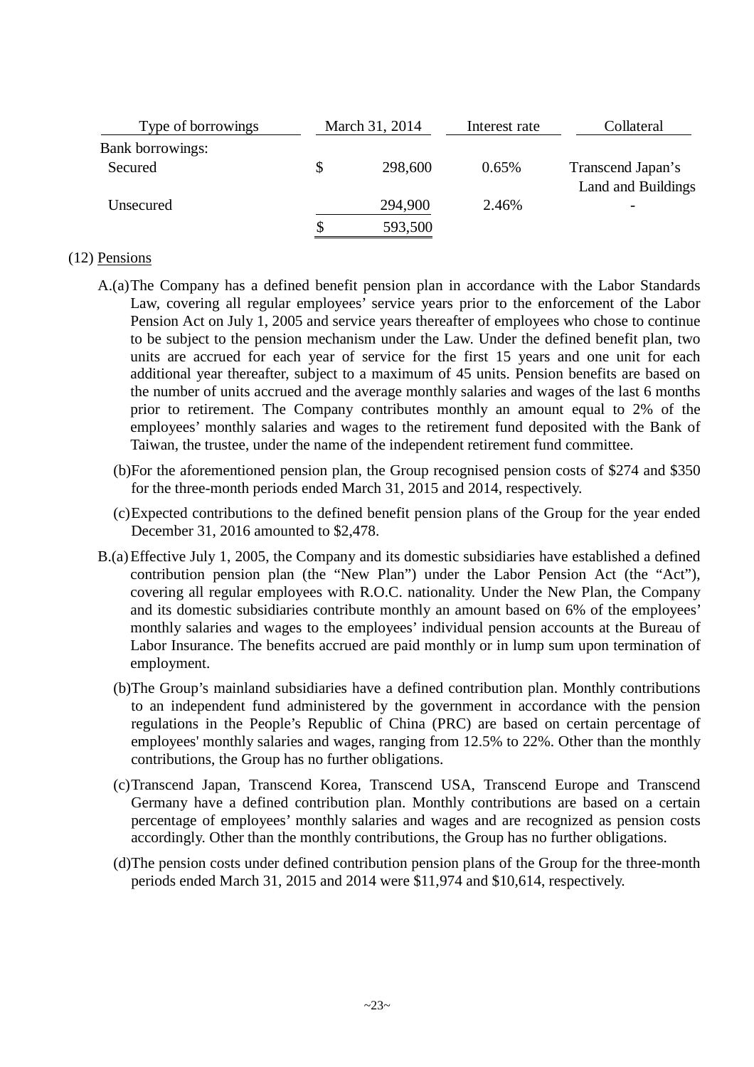| Type of borrowings      | March 31, 2014 | Interest rate | Collateral                              |
|-------------------------|----------------|---------------|-----------------------------------------|
| <b>Bank borrowings:</b> |                |               |                                         |
| Secured                 | 298,600        | 0.65%         | Transcend Japan's<br>Land and Buildings |
| Unsecured               | 294,900        | 2.46%         |                                         |
|                         | 593,500        |               |                                         |

#### (12) Pensions

- A.(a)The Company has a defined benefit pension plan in accordance with the Labor Standards Law, covering all regular employees' service years prior to the enforcement of the Labor Pension Act on July 1, 2005 and service years thereafter of employees who chose to continue to be subject to the pension mechanism under the Law. Under the defined benefit plan, two units are accrued for each year of service for the first 15 years and one unit for each additional year thereafter, subject to a maximum of 45 units. Pension benefits are based on the number of units accrued and the average monthly salaries and wages of the last 6 months prior to retirement. The Company contributes monthly an amount equal to 2% of the employees' monthly salaries and wages to the retirement fund deposited with the Bank of Taiwan, the trustee, under the name of the independent retirement fund committee.
	- (b)For the aforementioned pension plan, the Group recognised pension costs of \$274 and \$350 for the three-month periods ended March 31, 2015 and 2014, respectively.
	- (c)Expected contributions to the defined benefit pension plans of the Group for the year ended December 31, 2016 amounted to \$2,478.
- B.(a) Effective July 1, 2005, the Company and its domestic subsidiaries have established a defined contribution pension plan (the "New Plan") under the Labor Pension Act (the "Act"), covering all regular employees with R.O.C. nationality. Under the New Plan, the Company and its domestic subsidiaries contribute monthly an amount based on 6% of the employees' monthly salaries and wages to the employees' individual pension accounts at the Bureau of Labor Insurance. The benefits accrued are paid monthly or in lump sum upon termination of employment.
	- (b)The Group's mainland subsidiaries have a defined contribution plan. Monthly contributions to an independent fund administered by the government in accordance with the pension regulations in the People's Republic of China (PRC) are based on certain percentage of employees' monthly salaries and wages, ranging from 12.5% to 22%. Other than the monthly contributions, the Group has no further obligations.
	- (c)Transcend Japan, Transcend Korea, Transcend USA, Transcend Europe and Transcend Germany have a defined contribution plan. Monthly contributions are based on a certain percentage of employees' monthly salaries and wages and are recognized as pension costs accordingly. Other than the monthly contributions, the Group has no further obligations.
	- (d)The pension costs under defined contribution pension plans of the Group for the three-month periods ended March 31, 2015 and 2014 were \$11,974 and \$10,614, respectively.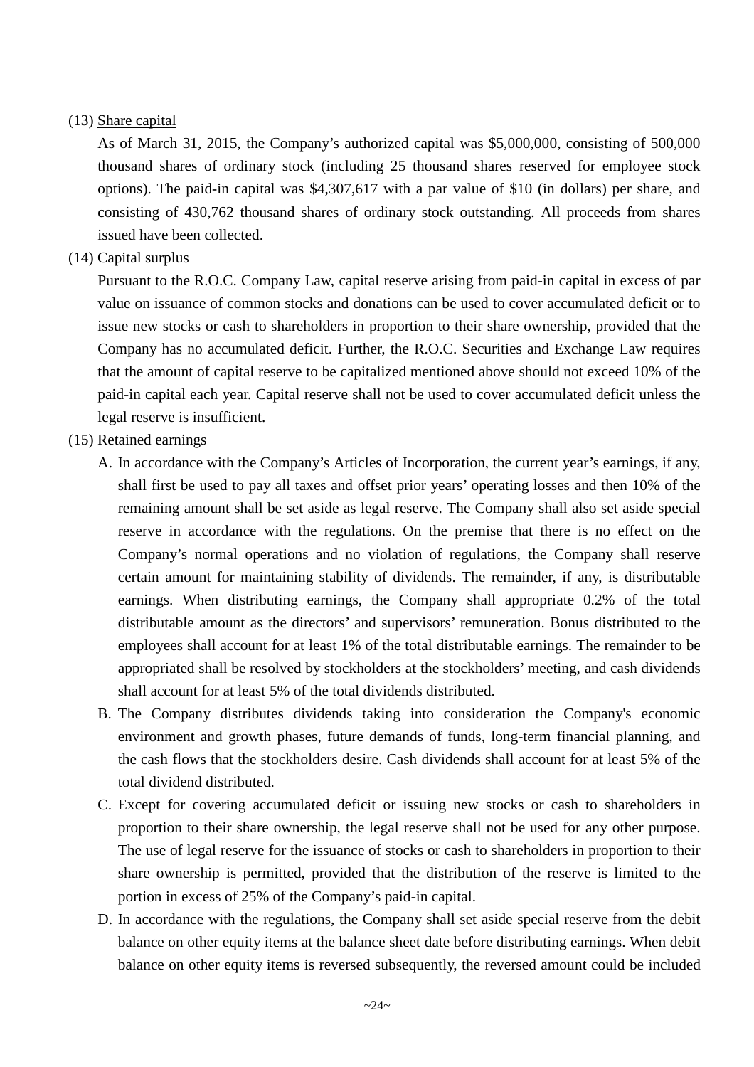#### (13) Share capital

As of March 31, 2015, the Company's authorized capital was \$5,000,000, consisting of 500,000 thousand shares of ordinary stock (including 25 thousand shares reserved for employee stock options). The paid-in capital was \$4,307,617 with a par value of \$10 (in dollars) per share, and consisting of 430,762 thousand shares of ordinary stock outstanding. All proceeds from shares issued have been collected.

#### (14) Capital surplus

Pursuant to the R.O.C. Company Law, capital reserve arising from paid-in capital in excess of par value on issuance of common stocks and donations can be used to cover accumulated deficit or to issue new stocks or cash to shareholders in proportion to their share ownership, provided that the Company has no accumulated deficit. Further, the R.O.C. Securities and Exchange Law requires that the amount of capital reserve to be capitalized mentioned above should not exceed 10% of the paid-in capital each year. Capital reserve shall not be used to cover accumulated deficit unless the legal reserve is insufficient.

#### (15) Retained earnings

- A. In accordance with the Company's Articles of Incorporation, the current year's earnings, if any, shall first be used to pay all taxes and offset prior years' operating losses and then 10% of the remaining amount shall be set aside as legal reserve. The Company shall also set aside special reserve in accordance with the regulations. On the premise that there is no effect on the Company's normal operations and no violation of regulations, the Company shall reserve certain amount for maintaining stability of dividends. The remainder, if any, is distributable earnings. When distributing earnings, the Company shall appropriate 0.2% of the total distributable amount as the directors' and supervisors' remuneration. Bonus distributed to the employees shall account for at least 1% of the total distributable earnings. The remainder to be appropriated shall be resolved by stockholders at the stockholders' meeting, and cash dividends shall account for at least 5% of the total dividends distributed.
- B. The Company distributes dividends taking into consideration the Company's economic environment and growth phases, future demands of funds, long-term financial planning, and the cash flows that the stockholders desire. Cash dividends shall account for at least 5% of the total dividend distributed.
- C. Except for covering accumulated deficit or issuing new stocks or cash to shareholders in proportion to their share ownership, the legal reserve shall not be used for any other purpose. The use of legal reserve for the issuance of stocks or cash to shareholders in proportion to their share ownership is permitted, provided that the distribution of the reserve is limited to the portion in excess of 25% of the Company's paid-in capital.
- D. In accordance with the regulations, the Company shall set aside special reserve from the debit balance on other equity items at the balance sheet date before distributing earnings. When debit balance on other equity items is reversed subsequently, the reversed amount could be included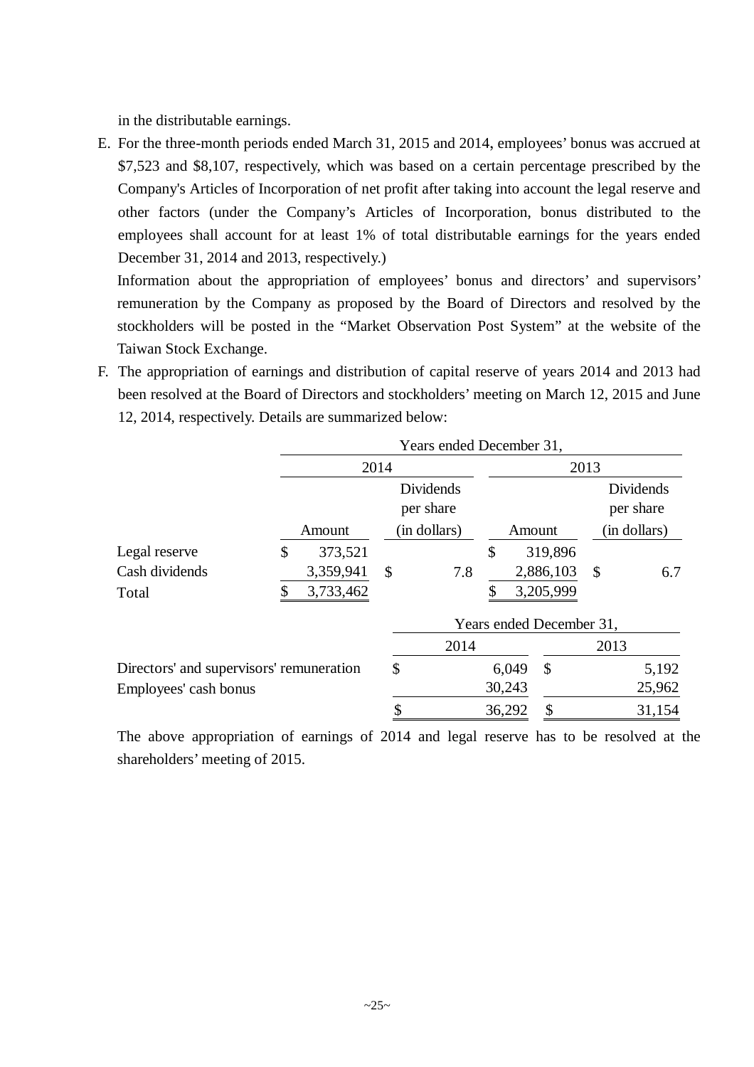in the distributable earnings.

E. For the three-month periods ended March 31, 2015 and 2014, employees' bonus was accrued at \$7,523 and \$8,107, respectively, which was based on a certain percentage prescribed by the Company's Articles of Incorporation of net profit after taking into account the legal reserve and other factors (under the Company's Articles of Incorporation, bonus distributed to the employees shall account for at least 1% of total distributable earnings for the years ended December 31, 2014 and 2013, respectively.)

Information about the appropriation of employees' bonus and directors' and supervisors' remuneration by the Company as proposed by the Board of Directors and resolved by the stockholders will be posted in the "Market Observation Post System" at the website of the Taiwan Stock Exchange.

F. The appropriation of earnings and distribution of capital reserve of years 2014 and 2013 had been resolved at the Board of Directors and stockholders' meeting on March 12, 2015 and June 12, 2014, respectively. Details are summarized below:

|                                          | Years ended December 31, |                           |                        |        |        |                          |               |                        |  |
|------------------------------------------|--------------------------|---------------------------|------------------------|--------|--------|--------------------------|---------------|------------------------|--|
|                                          |                          | 2014                      |                        |        |        | 2013                     |               |                        |  |
|                                          |                          |                           | Dividends<br>per share |        |        |                          |               | Dividends<br>per share |  |
|                                          | Amount                   | (in dollars)              |                        | Amount |        | in dollars)              |               |                        |  |
| Legal reserve                            | \$<br>373,521            |                           |                        | \$     |        | 319,896                  |               |                        |  |
| Cash dividends                           | 3,359,941                | $\boldsymbol{\mathsf{S}}$ | 7.8                    |        |        | 2,886,103                | $\mathcal{S}$ | 6.7                    |  |
| Total                                    | 3,733,462                |                           |                        |        |        | 3,205,999                |               |                        |  |
|                                          |                          |                           |                        |        |        | Years ended December 31, |               |                        |  |
|                                          |                          |                           | 2014                   |        |        |                          | 2013          |                        |  |
| Directors' and supervisors' remuneration |                          | \$                        |                        |        | 6,049  | $\mathcal{S}$            |               | 5,192                  |  |
| Employees' cash bonus                    |                          |                           |                        |        | 30,243 |                          |               | 25,962                 |  |
|                                          |                          |                           |                        | 36,292 |        |                          |               | 31,154                 |  |

The above appropriation of earnings of 2014 and legal reserve has to be resolved at the shareholders' meeting of 2015.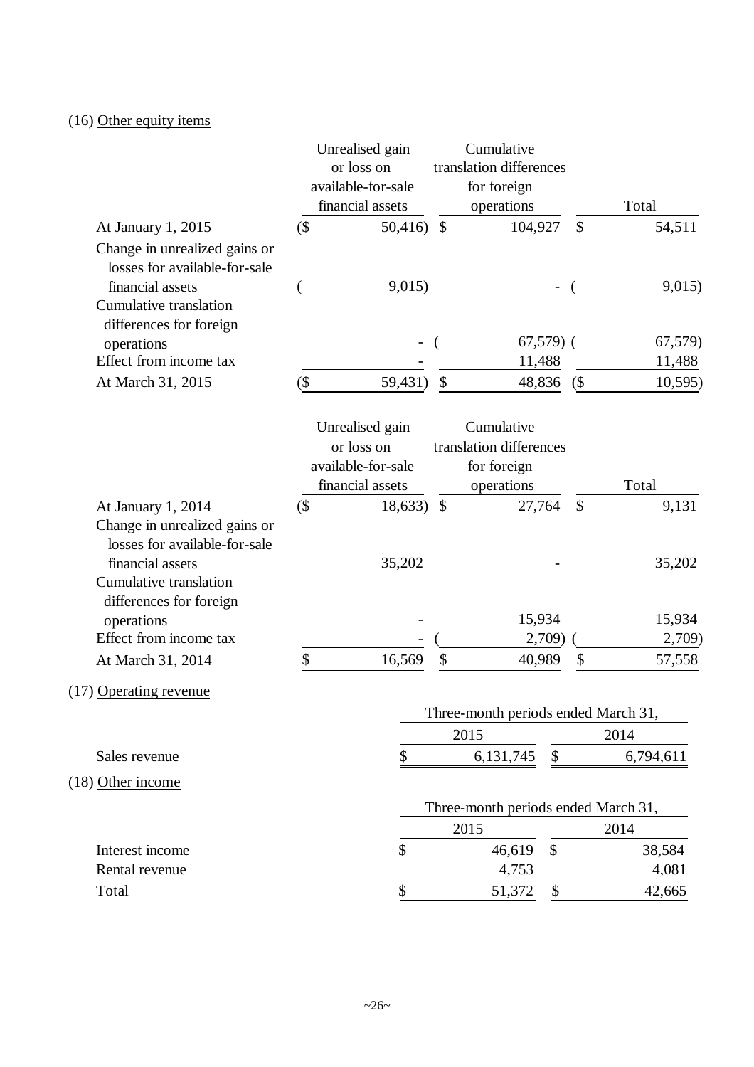## (16) Other equity items

|                                                                                                                                                |         | Unrealised gain<br>or loss on<br>available-for-sale<br>financial assets |                            | Cumulative<br>translation differences<br>for foreign<br>operations |                           | Total     |
|------------------------------------------------------------------------------------------------------------------------------------------------|---------|-------------------------------------------------------------------------|----------------------------|--------------------------------------------------------------------|---------------------------|-----------|
| At January 1, 2015                                                                                                                             | $($ \$  | 50,416) $\sqrt$                                                         |                            | 104,927                                                            | $\mathcal{S}$             | 54,511    |
| Change in unrealized gains or<br>losses for available-for-sale<br>financial assets                                                             |         | 9,015)                                                                  |                            |                                                                    |                           | 9,015)    |
| Cumulative translation<br>differences for foreign                                                                                              |         |                                                                         |                            |                                                                    |                           |           |
| operations                                                                                                                                     |         |                                                                         |                            | $67,579$ (                                                         |                           | 67,579)   |
| Effect from income tax                                                                                                                         |         |                                                                         |                            | 11,488                                                             |                           | 11,488    |
| At March 31, 2015                                                                                                                              | $(\$\)$ | 59,431)                                                                 | $\boldsymbol{\mathsf{\$}}$ | 48,836                                                             | (                         | 10,595)   |
|                                                                                                                                                |         | Unrealised gain<br>or loss on<br>available-for-sale<br>financial assets |                            | Cumulative<br>translation differences<br>for foreign<br>operations |                           | Total     |
| At January 1, 2014                                                                                                                             | $($ \$  | 18,633) \$                                                              |                            | 27,764                                                             | $\boldsymbol{\mathsf{S}}$ | 9,131     |
| Change in unrealized gains or<br>losses for available-for-sale<br>financial assets<br><b>Cumulative translation</b><br>differences for foreign |         | 35,202                                                                  |                            |                                                                    |                           | 35,202    |
| operations                                                                                                                                     |         |                                                                         |                            | 15,934                                                             |                           | 15,934    |
| Effect from income tax                                                                                                                         |         |                                                                         |                            | 2,709                                                              |                           | 2,709)    |
| At March 31, 2014                                                                                                                              | \$      | 16,569                                                                  | \$                         | 40,989                                                             | \$                        | 57,558    |
| (17) Operating revenue                                                                                                                         |         |                                                                         |                            | Three-month periods ended March 31,                                |                           |           |
|                                                                                                                                                |         |                                                                         |                            | 2015                                                               |                           | 2014      |
| Sales revenue                                                                                                                                  |         | \$                                                                      |                            | 6, 131, 745<br>\$                                                  |                           | 6,794,611 |
| (18) Other income                                                                                                                              |         |                                                                         |                            |                                                                    |                           |           |
|                                                                                                                                                |         |                                                                         |                            | Three-month periods ended March 31,                                |                           |           |
|                                                                                                                                                |         |                                                                         |                            | 2015                                                               |                           | 2014      |
| Interest income                                                                                                                                |         | \$                                                                      |                            | 46,619<br>$\mathcal{S}$                                            |                           | 38,584    |
| Rental revenue                                                                                                                                 |         |                                                                         |                            | 4,753                                                              |                           | 4,081     |
| Total                                                                                                                                          |         |                                                                         |                            | 51,372<br>\$                                                       |                           | 42,665    |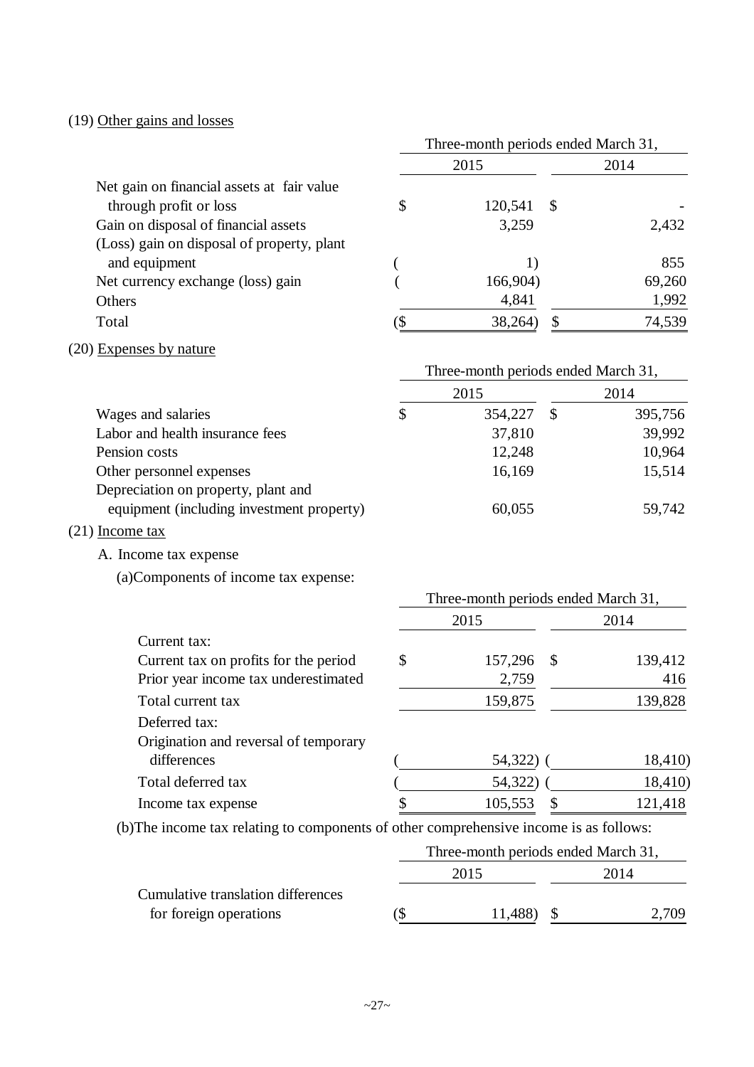## (19) Other gains and losses

|                                            | Three-month periods ended March 31, |          |               |        |  |  |  |
|--------------------------------------------|-------------------------------------|----------|---------------|--------|--|--|--|
|                                            |                                     | 2015     | 2014          |        |  |  |  |
| Net gain on financial assets at fair value |                                     |          |               |        |  |  |  |
| through profit or loss                     | \$                                  | 120,541  | $\mathcal{S}$ |        |  |  |  |
| Gain on disposal of financial assets       |                                     | 3,259    |               | 2,432  |  |  |  |
| (Loss) gain on disposal of property, plant |                                     |          |               |        |  |  |  |
| and equipment                              |                                     | 1)       |               | 855    |  |  |  |
| Net currency exchange (loss) gain          |                                     | 166,904) |               | 69,260 |  |  |  |
| Others                                     |                                     | 4,841    |               | 1,992  |  |  |  |
| Total                                      | D                                   | 38,264)  | \$            | 74,539 |  |  |  |
| (20) Expenses by nature                    |                                     |          |               |        |  |  |  |
|                                            | Three-month periods ended March 31, |          |               |        |  |  |  |
|                                            |                                     | 2015     | 2014          |        |  |  |  |
| Wages and calaries                         | ¢                                   | 351.227  | ¢             | 305756 |  |  |  |

| Wages and salaries                        | 354,227 | 395,756 |
|-------------------------------------------|---------|---------|
| Labor and health insurance fees           | 37,810  | 39,992  |
| Pension costs                             | 12,248  | 10,964  |
| Other personnel expenses                  | 16,169  | 15,514  |
| Depreciation on property, plant and       |         |         |
| equipment (including investment property) | 60,055  | 59,742  |
|                                           |         |         |

## (21) Income tax

A. Income tax expense

(a)Components of income tax expense:

|                                       | Three-month periods ended March 31, |           |    |         |  |  |  |  |
|---------------------------------------|-------------------------------------|-----------|----|---------|--|--|--|--|
|                                       |                                     | 2015      |    | 2014    |  |  |  |  |
| Current tax:                          |                                     |           |    |         |  |  |  |  |
| Current tax on profits for the period | \$                                  | 157,296   | -S | 139,412 |  |  |  |  |
| Prior year income tax underestimated  |                                     | 2,759     |    | 416     |  |  |  |  |
| Total current tax                     |                                     | 159,875   |    | 139,828 |  |  |  |  |
| Deferred tax:                         |                                     |           |    |         |  |  |  |  |
| Origination and reversal of temporary |                                     |           |    |         |  |  |  |  |
| differences                           |                                     | 54,322) ( |    | 18,410) |  |  |  |  |
| Total deferred tax                    |                                     | 54,322)   |    | 18,410) |  |  |  |  |
| Income tax expense                    | \$                                  | 105,553   |    | 121,418 |  |  |  |  |

(b)The income tax relating to components of other comprehensive income is as follows:

|                                    | Three-month periods ended March 31, |  |     |  |  |  |  |
|------------------------------------|-------------------------------------|--|-----|--|--|--|--|
|                                    | 2015<br>2014                        |  |     |  |  |  |  |
| Cumulative translation differences |                                     |  |     |  |  |  |  |
| for foreign operations             | 11,488)                             |  | 709 |  |  |  |  |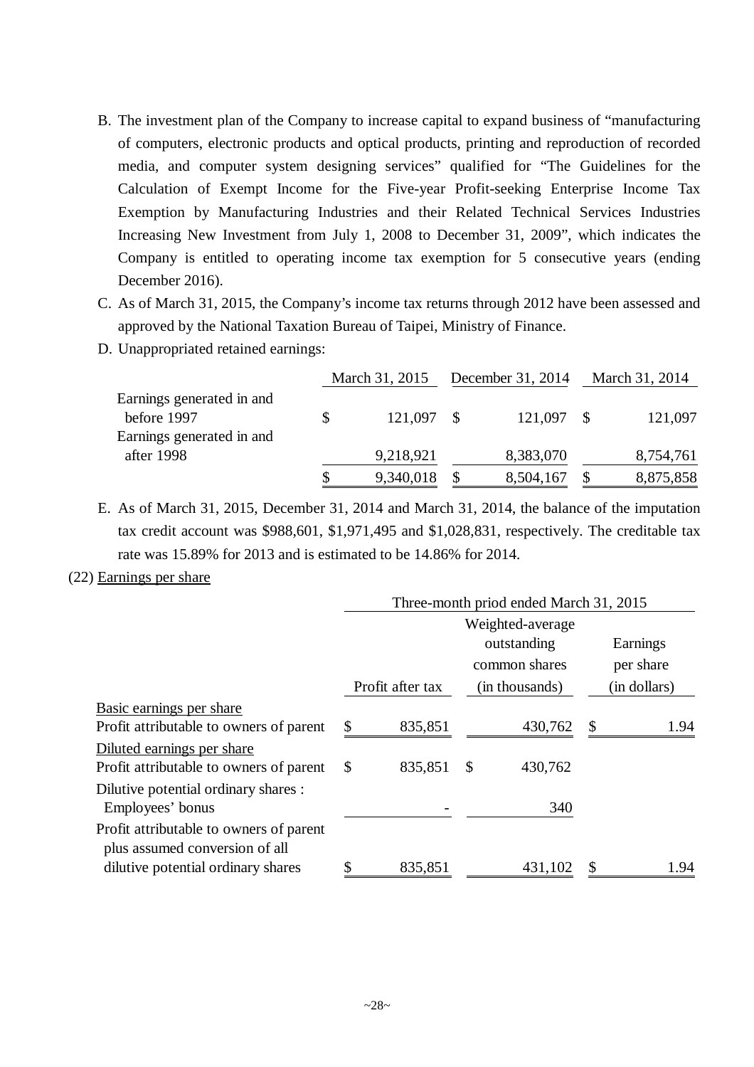- B. The investment plan of the Company to increase capital to expand business of "manufacturing of computers, electronic products and optical products, printing and reproduction of recorded media, and computer system designing services" qualified for "The Guidelines for the Calculation of Exempt Income for the Five-year Profit-seeking Enterprise Income Tax Exemption by Manufacturing Industries and their Related Technical Services Industries Increasing New Investment from July 1, 2008 to December 31, 2009", which indicates the Company is entitled to operating income tax exemption for 5 consecutive years (ending December 2016).
- C. As of March 31, 2015, the Company's income tax returns through 2012 have been assessed and approved by the National Taxation Bureau of Taipei, Ministry of Finance.
- D. Unappropriated retained earnings:

|                           | March 31, 2015 |  | December 31, 2014 | March 31, 2014 |           |
|---------------------------|----------------|--|-------------------|----------------|-----------|
| Earnings generated in and |                |  |                   |                |           |
| before 1997               | 121,097 \$     |  | 121,097           |                | 121,097   |
| Earnings generated in and |                |  |                   |                |           |
| after 1998                | 9,218,921      |  | 8,383,070         |                | 8,754,761 |
|                           | 9,340,018      |  | 8,504,167         |                | 8,875,858 |

E. As of March 31, 2015, December 31, 2014 and March 31, 2014, the balance of the imputation tax credit account was \$988,601, \$1,971,495 and \$1,028,831, respectively. The creditable tax rate was 15.89% for 2013 and is estimated to be 14.86% for 2014.

#### (22) Earnings per share

|                                                                           | Three-month priod ended March 31, 2015 |                  |    |                                 |    |              |  |
|---------------------------------------------------------------------------|----------------------------------------|------------------|----|---------------------------------|----|--------------|--|
|                                                                           |                                        |                  |    | Weighted-average<br>outstanding |    | Earnings     |  |
|                                                                           |                                        |                  |    | common shares                   |    | per share    |  |
|                                                                           |                                        | Profit after tax |    | (in thousands)                  |    | (in dollars) |  |
| Basic earnings per share                                                  |                                        |                  |    |                                 |    |              |  |
| Profit attributable to owners of parent                                   | \$                                     | 835,851          |    | 430,762                         | \$ | 1.94         |  |
| Diluted earnings per share                                                |                                        |                  |    |                                 |    |              |  |
| Profit attributable to owners of parent                                   | <sup>\$</sup>                          | 835,851          | \$ | 430,762                         |    |              |  |
| Dilutive potential ordinary shares :<br>Employees' bonus                  |                                        |                  |    | 340                             |    |              |  |
| Profit attributable to owners of parent<br>plus assumed conversion of all |                                        |                  |    |                                 |    |              |  |
| dilutive potential ordinary shares                                        |                                        | 835,851          |    | 431,102                         | \$ | 1.94         |  |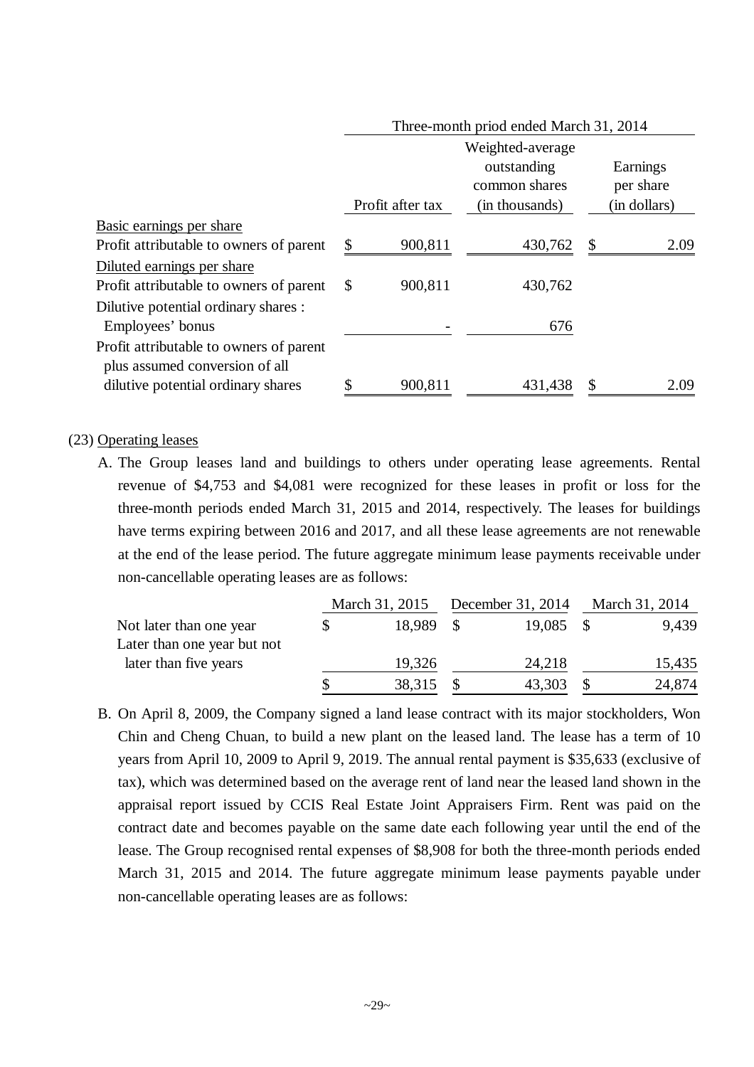| I firee-frionth priod ended March 31, 2014 |         |                                                  |                |                       |  |  |
|--------------------------------------------|---------|--------------------------------------------------|----------------|-----------------------|--|--|
|                                            |         | Weighted-average<br>outstanding<br>common shares |                | Earnings<br>per share |  |  |
|                                            |         |                                                  |                | (in dollars)          |  |  |
|                                            |         |                                                  |                |                       |  |  |
| \$                                         | 900,811 | 430,762                                          | S              | 2.09                  |  |  |
|                                            |         |                                                  |                |                       |  |  |
| S                                          | 900,811 | 430,762                                          |                |                       |  |  |
|                                            |         |                                                  |                |                       |  |  |
|                                            |         | 676                                              |                |                       |  |  |
|                                            |         |                                                  |                |                       |  |  |
|                                            |         |                                                  |                |                       |  |  |
|                                            | 900,811 | 431,438                                          |                | 2.09                  |  |  |
|                                            |         | Profit after tax                                 | (in thousands) |                       |  |  |

 $T_{\rm tot}$  and prior and prior and  $T_{\rm tot}$   $T_{\rm tot}$   $T_{\rm tot}$   $T_{\rm tot}$   $T_{\rm tot}$   $T_{\rm tot}$ 

#### (23) Operating leases

A. The Group leases land and buildings to others under operating lease agreements. Rental revenue of \$4,753 and \$4,081 were recognized for these leases in profit or loss for the three-month periods ended March 31, 2015 and 2014, respectively. The leases for buildings have terms expiring between 2016 and 2017, and all these lease agreements are not renewable at the end of the lease period. The future aggregate minimum lease payments receivable under non-cancellable operating leases are as follows:

|                             | March 31, 2015 |     | December 31, 2014 | March 31, 2014 |
|-----------------------------|----------------|-----|-------------------|----------------|
| Not later than one year     | 18,989         | - S | 19,085            | 9,439          |
| Later than one year but not |                |     |                   |                |
| later than five years       | 19,326         |     | 24,218            | 15,435         |
|                             | 38,315         |     | 43,303            | 24,874         |

B. On April 8, 2009, the Company signed a land lease contract with its major stockholders, Won Chin and Cheng Chuan, to build a new plant on the leased land. The lease has a term of 10 years from April 10, 2009 to April 9, 2019. The annual rental payment is \$35,633 (exclusive of tax), which was determined based on the average rent of land near the leased land shown in the appraisal report issued by CCIS Real Estate Joint Appraisers Firm. Rent was paid on the contract date and becomes payable on the same date each following year until the end of the lease. The Group recognised rental expenses of \$8,908 for both the three-month periods ended March 31, 2015 and 2014. The future aggregate minimum lease payments payable under non-cancellable operating leases are as follows: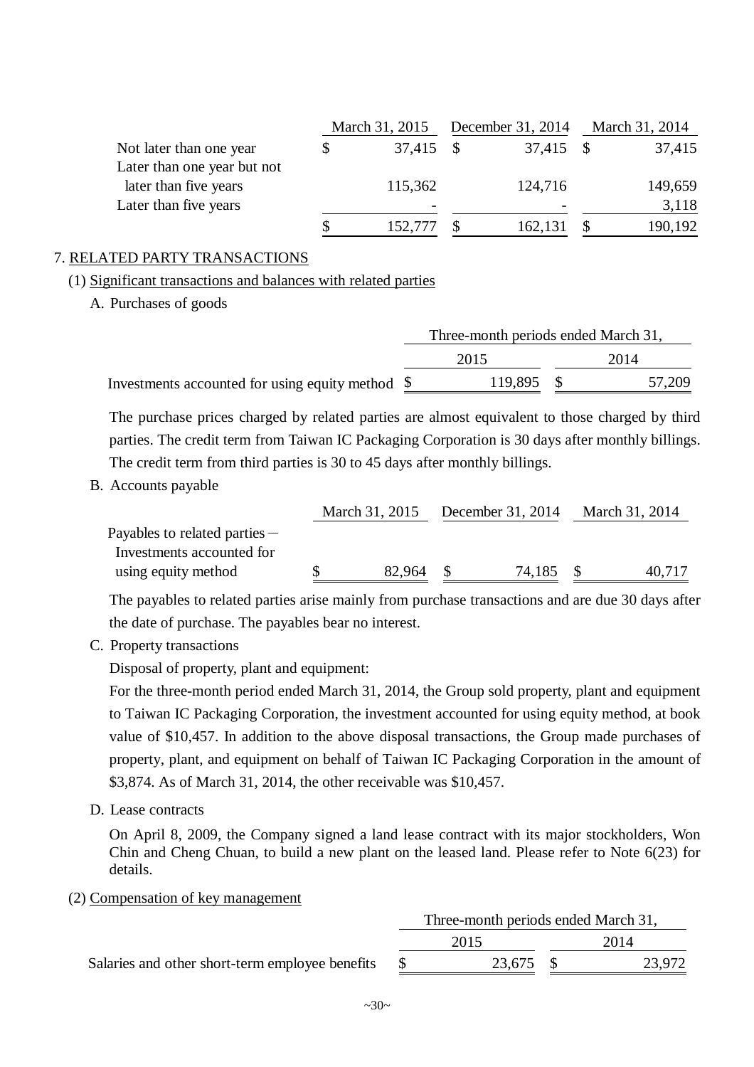|                             | March 31, 2015           |      | December 31, 2014        | March 31, 2014 |         |  |
|-----------------------------|--------------------------|------|--------------------------|----------------|---------|--|
| Not later than one year     | 37,415                   | - \$ | 37,415                   |                | 37,415  |  |
| Later than one year but not |                          |      |                          |                |         |  |
| later than five years       | 115,362                  |      | 124,716                  |                | 149,659 |  |
| Later than five years       | $\overline{\phantom{0}}$ |      | $\overline{\phantom{0}}$ |                | 3,118   |  |
|                             | 152,777                  |      | 162,131                  |                | 190,192 |  |

### 7. RELATED PARTY TRANSACTIONS

(1) Significant transactions and balances with related parties

A. Purchases of goods

|                                                  | Three-month periods ended March 31, |         |  |        |  |
|--------------------------------------------------|-------------------------------------|---------|--|--------|--|
|                                                  |                                     | 2015    |  | 2014   |  |
| Investments accounted for using equity method \$ |                                     | 119,895 |  | 57,209 |  |

The purchase prices charged by related parties are almost equivalent to those charged by third parties. The credit term from Taiwan IC Packaging Corporation is 30 days after monthly billings. The credit term from third parties is 30 to 45 days after monthly billings.

B. Accounts payable

|                                 | March 31, 2015 |        | December 31, 2014 | March 31, 2014 |        |
|---------------------------------|----------------|--------|-------------------|----------------|--------|
| Payables to related parties $-$ |                |        |                   |                |        |
| Investments accounted for       |                |        |                   |                |        |
| using equity method             |                | 82,964 | 74,185            |                | 40,717 |

The payables to related parties arise mainly from purchase transactions and are due 30 days after the date of purchase. The payables bear no interest.

C. Property transactions

Disposal of property, plant and equipment:

For the three-month period ended March 31, 2014, the Group sold property, plant and equipment to Taiwan IC Packaging Corporation, the investment accounted for using equity method, at book value of \$10,457. In addition to the above disposal transactions, the Group made purchases of property, plant, and equipment on behalf of Taiwan IC Packaging Corporation in the amount of \$3,874. As of March 31, 2014, the other receivable was \$10,457.

D. Lease contracts

On April 8, 2009, the Company signed a land lease contract with its major stockholders, Won Chin and Cheng Chuan, to build a new plant on the leased land. Please refer to Note 6(23) for details.

### (2) Compensation of key management

|                                                 | Three-month periods ended March 31, |        |
|-------------------------------------------------|-------------------------------------|--------|
|                                                 | 2015                                | 2014   |
| Salaries and other short-term employee benefits | 23,675 \$                           | 23,972 |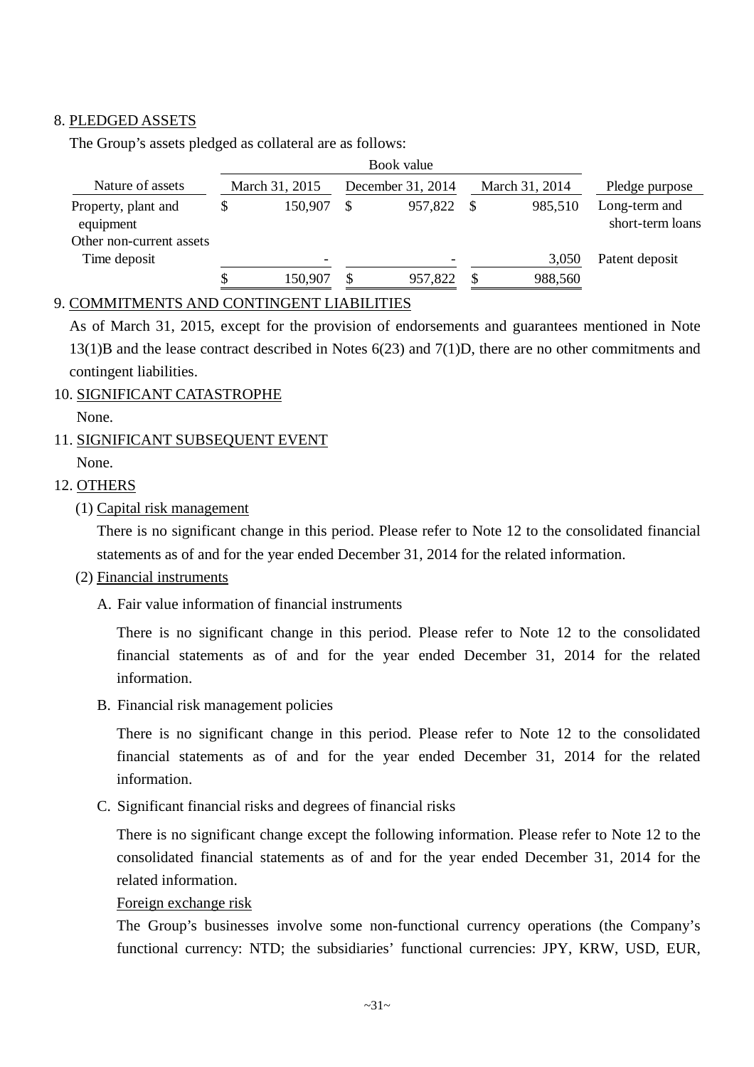#### 8. PLEDGED ASSETS

The Group's assets pledged as collateral are as follows:

|                                                              |    |                          | Book value        |   |                |                                   |
|--------------------------------------------------------------|----|--------------------------|-------------------|---|----------------|-----------------------------------|
| Nature of assets                                             |    | March 31, 2015           | December 31, 2014 |   | March 31, 2014 | Pledge purpose                    |
| Property, plant and<br>equipment<br>Other non-current assets | \$ | 150,907                  | 957,822           | S | 985,510        | Long-term and<br>short-term loans |
| Time deposit                                                 |    | $\overline{\phantom{0}}$ |                   |   | 3,050          | Patent deposit                    |
|                                                              | S  | 150,907                  | 957,822           |   | 988,560        |                                   |

### 9. COMMITMENTS AND CONTINGENT LIABILITIES

As of March 31, 2015, except for the provision of endorsements and guarantees mentioned in Note 13(1)B and the lease contract described in Notes 6(23) and 7(1)D, there are no other commitments and contingent liabilities.

10. SIGNIFICANT CATASTROPHE

None.

## 11. SIGNIFICANT SUBSEQUENT EVENT None.

### 12. OTHERS

(1) Capital risk management

There is no significant change in this period. Please refer to Note 12 to the consolidated financial statements as of and for the year ended December 31, 2014 for the related information.

#### (2) Financial instruments

A. Fair value information of financial instruments

There is no significant change in this period. Please refer to Note 12 to the consolidated financial statements as of and for the year ended December 31, 2014 for the related information.

B. Financial risk management policies

There is no significant change in this period. Please refer to Note 12 to the consolidated financial statements as of and for the year ended December 31, 2014 for the related information.

C. Significant financial risks and degrees of financial risks

There is no significant change except the following information. Please refer to Note 12 to the consolidated financial statements as of and for the year ended December 31, 2014 for the related information.

#### Foreign exchange risk

The Group's businesses involve some non-functional currency operations (the Company's functional currency: NTD; the subsidiaries' functional currencies: JPY, KRW, USD, EUR,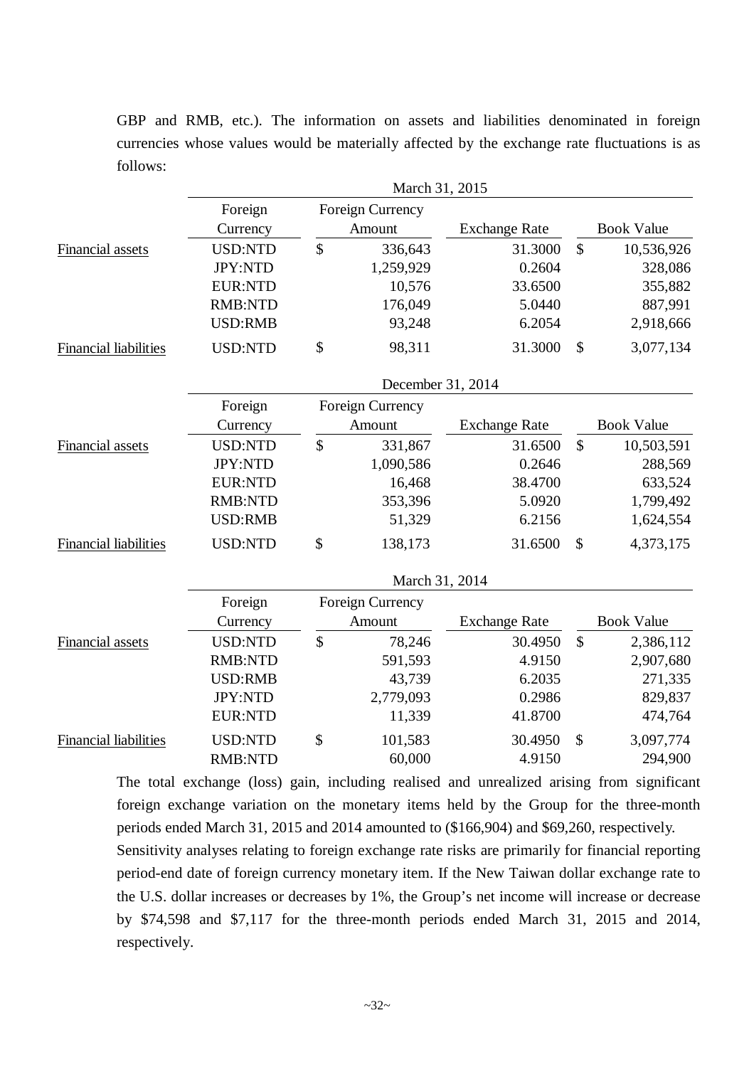GBP and RMB, etc.). The information on assets and liabilities denominated in foreign currencies whose values would be materially affected by the exchange rate fluctuations is as follows:

|                              | March 31, 2015 |               |                         |                      |               |                   |  |
|------------------------------|----------------|---------------|-------------------------|----------------------|---------------|-------------------|--|
|                              | Foreign        |               | Foreign Currency        |                      |               |                   |  |
|                              | Currency       |               | Amount                  | <b>Exchange Rate</b> |               | <b>Book Value</b> |  |
| Financial assets             | <b>USD:NTD</b> | \$            | 336,643                 | 31.3000              | $\mathbb{S}$  | 10,536,926        |  |
|                              | JPY:NTD        |               | 1,259,929               | 0.2604               |               | 328,086           |  |
|                              | <b>EUR:NTD</b> |               | 10,576                  | 33.6500              |               | 355,882           |  |
|                              | <b>RMB:NTD</b> |               | 176,049                 | 5.0440               |               | 887,991           |  |
|                              | <b>USD:RMB</b> |               | 93,248                  | 6.2054               |               | 2,918,666         |  |
| <b>Financial liabilities</b> | <b>USD:NTD</b> | \$            | 98,311                  | 31.3000              | \$            | 3,077,134         |  |
|                              |                |               | December 31, 2014       |                      |               |                   |  |
|                              | Foreign        |               | Foreign Currency        |                      |               |                   |  |
|                              | Currency       |               | Amount                  | <b>Exchange Rate</b> |               | <b>Book Value</b> |  |
| Financial assets             | <b>USD:NTD</b> | \$            | 331,867                 | 31.6500              | $\mathcal{S}$ | 10,503,591        |  |
|                              | JPY:NTD        |               | 1,090,586               | 0.2646               |               | 288,569           |  |
|                              | <b>EUR:NTD</b> |               | 16,468                  | 38.4700              |               | 633,524           |  |
|                              | <b>RMB:NTD</b> |               | 353,396                 | 5.0920               |               | 1,799,492         |  |
|                              | <b>USD:RMB</b> |               | 51,329                  | 6.2156               |               | 1,624,554         |  |
| <b>Financial liabilities</b> | <b>USD:NTD</b> | \$            | 138,173                 | 31.6500              | \$            | 4,373,175         |  |
|                              |                |               | March 31, 2014          |                      |               |                   |  |
|                              | Foreign        |               | <b>Foreign Currency</b> |                      |               |                   |  |
|                              | Currency       |               | Amount                  | <b>Exchange Rate</b> |               | <b>Book Value</b> |  |
| Financial assets             | <b>USD:NTD</b> | $\mathsf{\$}$ | 78,246                  | 30.4950              | $\mathbb{S}$  | 2,386,112         |  |
|                              | <b>RMB:NTD</b> |               | 591,593                 | 4.9150               |               | 2,907,680         |  |
|                              | <b>USD:RMB</b> |               | 43,739                  | 6.2035               |               | 271,335           |  |
|                              | JPY:NTD        |               | 2,779,093               | 0.2986               |               | 829,837           |  |
|                              | <b>EUR:NTD</b> |               | 11,339                  | 41.8700              |               | 474,764           |  |
| <b>Financial liabilities</b> | <b>USD:NTD</b> | \$            | 101,583                 | 30.4950              | \$            | 3,097,774         |  |
|                              | <b>RMB:NTD</b> |               | 60,000                  | 4.9150               |               | 294,900           |  |

The total exchange (loss) gain, including realised and unrealized arising from significant foreign exchange variation on the monetary items held by the Group for the three-month periods ended March 31, 2015 and 2014 amounted to (\$166,904) and \$69,260, respectively.

Sensitivity analyses relating to foreign exchange rate risks are primarily for financial reporting period-end date of foreign currency monetary item. If the New Taiwan dollar exchange rate to the U.S. dollar increases or decreases by 1%, the Group's net income will increase or decrease by \$74,598 and \$7,117 for the three-month periods ended March 31, 2015 and 2014, respectively.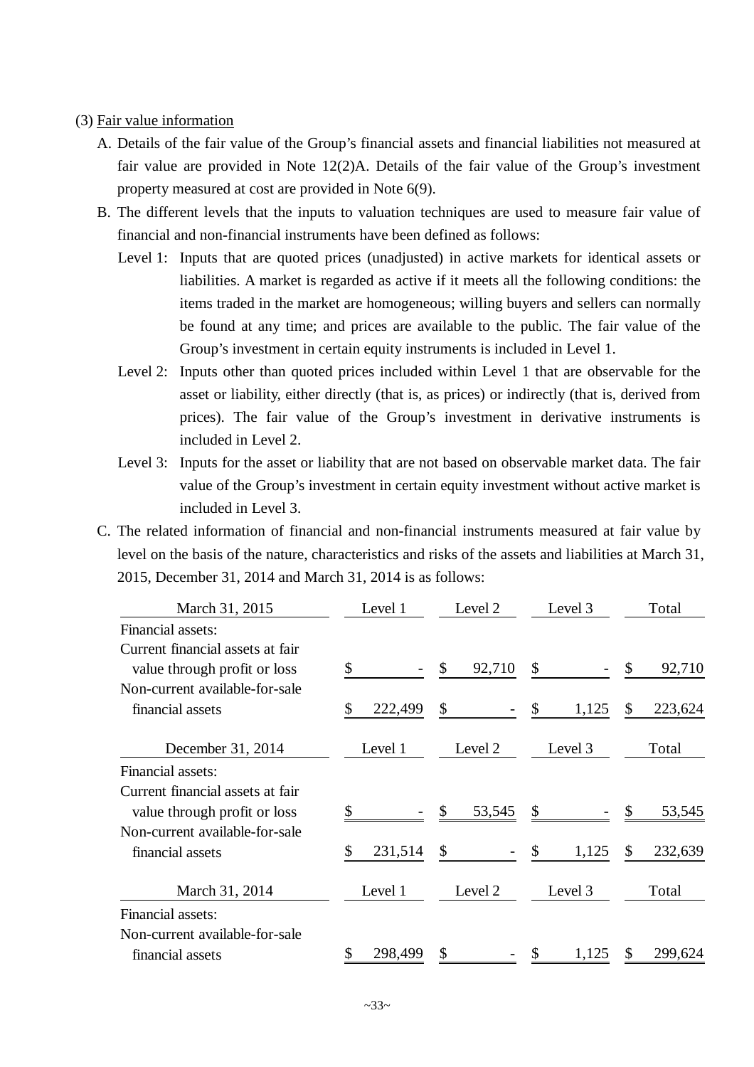#### (3) Fair value information

- A. Details of the fair value of the Group's financial assets and financial liabilities not measured at fair value are provided in Note 12(2)A. Details of the fair value of the Group's investment property measured at cost are provided in Note 6(9).
- B. The different levels that the inputs to valuation techniques are used to measure fair value of financial and non-financial instruments have been defined as follows:
	- Level 1: Inputs that are quoted prices (unadjusted) in active markets for identical assets or liabilities. A market is regarded as active if it meets all the following conditions: the items traded in the market are homogeneous; willing buyers and sellers can normally be found at any time; and prices are available to the public. The fair value of the Group's investment in certain equity instruments is included in Level 1.
	- Level 2: Inputs other than quoted prices included within Level 1 that are observable for the asset or liability, either directly (that is, as prices) or indirectly (that is, derived from prices). The fair value of the Group's investment in derivative instruments is included in Level 2.
	- Level 3: Inputs for the asset or liability that are not based on observable market data. The fair value of the Group's investment in certain equity investment without active market is included in Level 3.
- C. The related information of financial and non-financial instruments measured at fair value by level on the basis of the nature, characteristics and risks of the assets and liabilities at March 31, 2015, December 31, 2014 and March 31, 2014 is as follows:

| March 31, 2015                                                   | Level 1      | Level 2      | Level 3     | Total        |
|------------------------------------------------------------------|--------------|--------------|-------------|--------------|
| Financial assets:                                                |              |              |             |              |
| Current financial assets at fair<br>value through profit or loss | \$           | \$<br>92,710 | \$          | 92,710<br>\$ |
| Non-current available-for-sale                                   |              |              |             |              |
| financial assets                                                 | 222,499<br>S | \$           | \$<br>1,125 | 223,624<br>S |
| December 31, 2014                                                | Level 1      | Level 2      | Level 3     | Total        |
| Financial assets:                                                |              |              |             |              |
| Current financial assets at fair<br>value through profit or loss |              | 53,545       | \$          | 53,545       |
| Non-current available-for-sale                                   |              |              |             |              |
| financial assets                                                 | 231,514      | \$           | 1,125       | 232,639      |
| March 31, 2014                                                   | Level 1      | Level 2      | Level 3     | Total        |
| Financial assets:                                                |              |              |             |              |
| Non-current available-for-sale                                   |              |              |             |              |
| financial assets                                                 | 298,499      | S            | S<br>1,125  | 299,624      |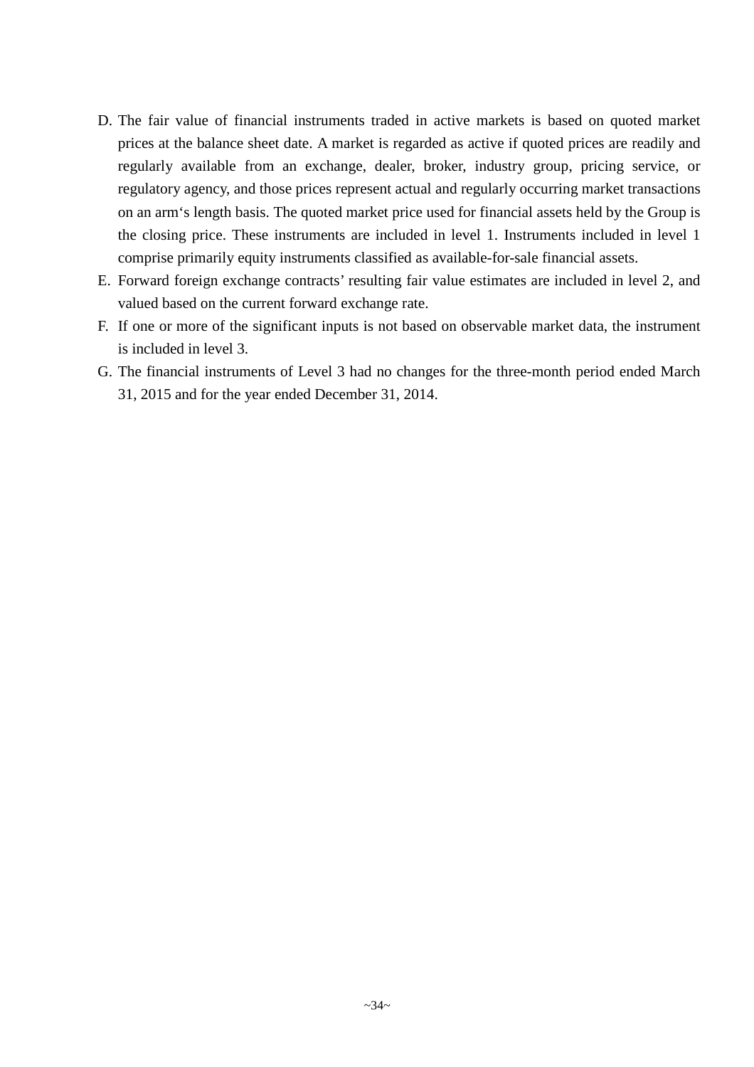- D. The fair value of financial instruments traded in active markets is based on quoted market prices at the balance sheet date. A market is regarded as active if quoted prices are readily and regularly available from an exchange, dealer, broker, industry group, pricing service, or regulatory agency, and those prices represent actual and regularly occurring market transactions on an arm's length basis. The quoted market price used for financial assets held by the Group is the closing price. These instruments are included in level 1. Instruments included in level 1 comprise primarily equity instruments classified as available-for-sale financial assets.
- E. Forward foreign exchange contracts' resulting fair value estimates are included in level 2, and valued based on the current forward exchange rate.
- F. If one or more of the significant inputs is not based on observable market data, the instrument is included in level 3.
- G. The financial instruments of Level 3 had no changes for the three-month period ended March 31, 2015 and for the year ended December 31, 2014.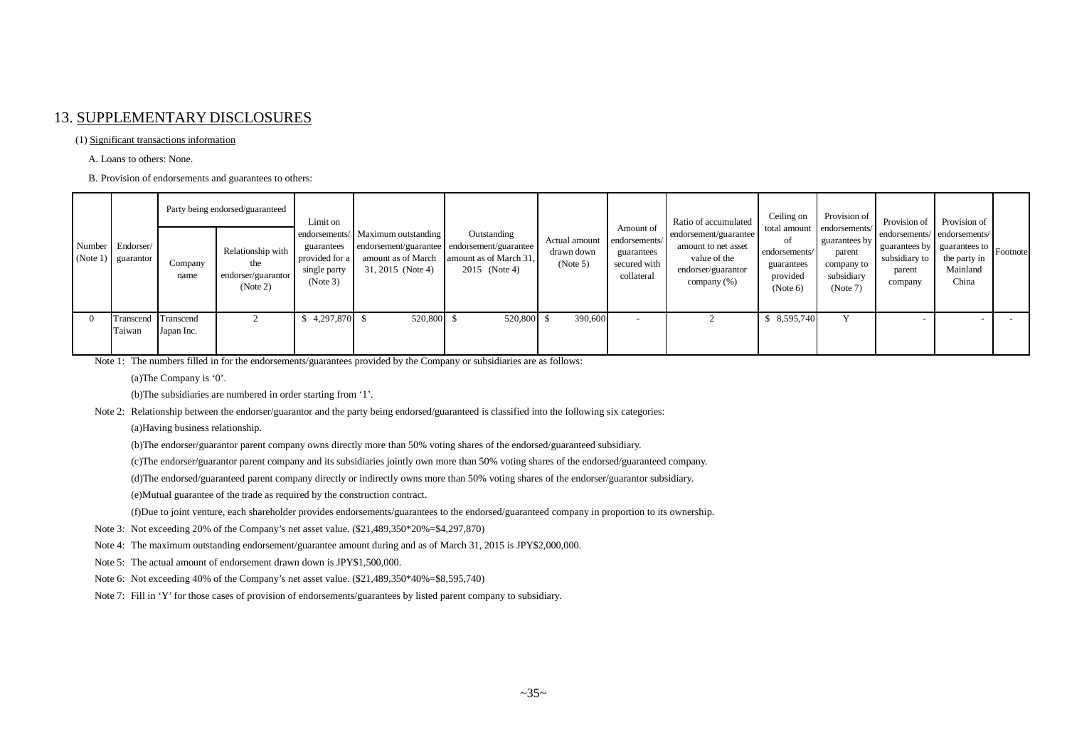#### 13. SUPPLEMENTARY DISCLOSURES

#### (1) Significant transactions information

A. Loans to others: None.

B. Provision of endorsements and guarantees to others:

|          | Number Endorser/<br>(Note 1) $\vert$ guarantor | Company<br>name | Party being endorsed/guaranteed<br>Relationship with<br>the<br>endorser/guarantor<br>(Note 2) | Limit on<br>guarantees<br>provided for a<br>single party<br>(Note 3) | endorsements/ Maximum outstanding<br>endorsement/guarantee endorsement/guarantee<br>amount as of March<br>31, 2015 (Note 4) | Outstanding<br>amount as of March 31,<br>2015 (Note 4) | Actual amount<br>drawn down<br>(Note 5) | Amount of<br>endorsements/<br>guarantees<br>secured with<br>collateral | Ratio of accumulated<br>endorsement/guarantee<br>amount to net asset<br>value of the<br>endorser/guarantor<br>company (%) | Ceiling on<br>οť<br>endorsements/<br>guarantees<br>provided<br>(Note 6) | Provision of<br>total amount endorsements/<br>guarantees by<br>parent<br>company to<br>subsidiary<br>(Note 7) | Provision of<br>endorsements/ endorsements/<br>  guarantees by   guarantees to   Footnote<br>subsidiary to<br>parent<br>company | Provision of<br>the party in<br>Mainland<br>China |  |
|----------|------------------------------------------------|-----------------|-----------------------------------------------------------------------------------------------|----------------------------------------------------------------------|-----------------------------------------------------------------------------------------------------------------------------|--------------------------------------------------------|-----------------------------------------|------------------------------------------------------------------------|---------------------------------------------------------------------------------------------------------------------------|-------------------------------------------------------------------------|---------------------------------------------------------------------------------------------------------------|---------------------------------------------------------------------------------------------------------------------------------|---------------------------------------------------|--|
|          |                                                |                 |                                                                                               |                                                                      |                                                                                                                             |                                                        |                                         |                                                                        |                                                                                                                           |                                                                         |                                                                                                               |                                                                                                                                 |                                                   |  |
| $\Omega$ | Transcend Transcend<br>Taiwan                  | Japan Inc.      |                                                                                               | $4,297,870$ \$                                                       | 520,800 \$                                                                                                                  | 520,800                                                | 390,600                                 |                                                                        |                                                                                                                           | \$ 8,595,740                                                            |                                                                                                               |                                                                                                                                 |                                                   |  |

Note 1: The numbers filled in for the endorsements/guarantees provided by the Company or subsidiaries are as follows:

(a)The Company is '0'.

(b)The subsidiaries are numbered in order starting from '1'.

Note 2: Relationship between the endorser/guarantor and the party being endorsed/guaranteed is classified into the following six categories:

(a)Having business relationship.

(b)The endorser/guarantor parent company owns directly more than 50% voting shares of the endorsed/guaranteed subsidiary.

(c)The endorser/guarantor parent company and its subsidiaries jointly own more than 50% voting shares of the endorsed/guaranteed company.

(d)The endorsed/guaranteed parent company directly or indirectly owns more than 50% voting shares of the endorser/guarantor subsidiary.

(e)Mutual guarantee of the trade as required by the construction contract.

(f)Due to joint venture, each shareholder provides endorsements/guarantees to the endorsed/guaranteed company in proportion to its ownership.

- Note 3: Not exceeding 20% of the Company's net asset value. (\$21,489,350\*20%=\$4,297,870)
- Note 4: The maximum outstanding endorsement/guarantee amount during and as of March 31, 2015 is JPY\$2,000,000.

Note 5: The actual amount of endorsement drawn down is JPY\$1,500,000.

- Note 6: Not exceeding 40% of the Company's net asset value. (\$21,489,350\*40%=\$8,595,740)
- Note 7: Fill in 'Y' for those cases of provision of endorsements/guarantees by listed parent company to subsidiary.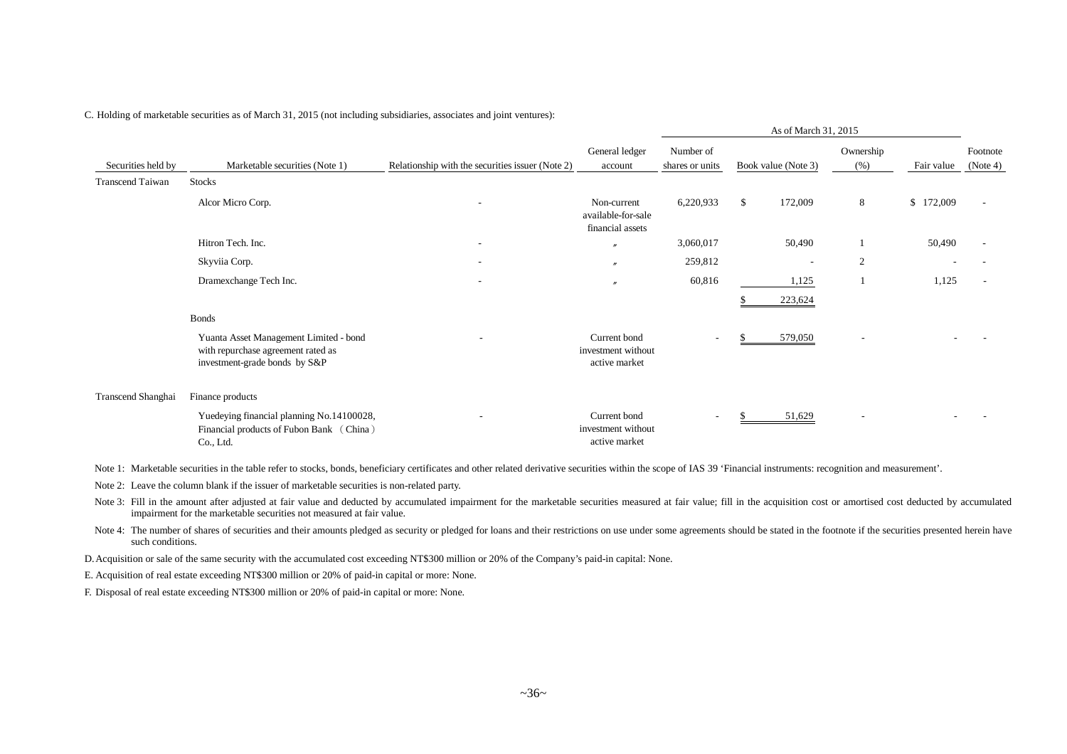|                         |                                                                                                               |                                                  |                                                       |                              |    | As of March 31, 2015 |                   |            |                      |
|-------------------------|---------------------------------------------------------------------------------------------------------------|--------------------------------------------------|-------------------------------------------------------|------------------------------|----|----------------------|-------------------|------------|----------------------|
| Securities held by      | Marketable securities (Note 1)                                                                                | Relationship with the securities issuer (Note 2) | General ledger<br>account                             | Number of<br>shares or units |    | Book value (Note 3)  | Ownership<br>(% ) | Fair value | Footnote<br>(Note 4) |
| <b>Transcend Taiwan</b> | <b>Stocks</b>                                                                                                 |                                                  |                                                       |                              |    |                      |                   |            |                      |
|                         | Alcor Micro Corp.                                                                                             |                                                  | Non-current<br>available-for-sale<br>financial assets | 6,220,933                    | \$ | 172,009              | 8                 | \$172,009  |                      |
|                         | Hitron Tech. Inc.                                                                                             | ۰                                                | $\overline{v}$                                        | 3,060,017                    |    | 50,490               |                   | 50,490     |                      |
|                         | Skyviia Corp.                                                                                                 | ۰                                                | $\overline{\phantom{a}}$                              | 259,812                      |    |                      | 2                 |            |                      |
|                         | Dramexchange Tech Inc.                                                                                        | ۰                                                | $\mathbf{r}$                                          | 60,816                       |    | 1,125                |                   | 1,125      |                      |
|                         |                                                                                                               |                                                  |                                                       |                              |    | 223,624              |                   |            |                      |
|                         | <b>Bonds</b>                                                                                                  |                                                  |                                                       |                              |    |                      |                   |            |                      |
|                         | Yuanta Asset Management Limited - bond<br>with repurchase agreement rated as<br>investment-grade bonds by S&P |                                                  | Current bond<br>investment without<br>active market   | $\overline{\phantom{a}}$     | -S | 579,050              |                   |            |                      |
| Transcend Shanghai      | Finance products                                                                                              |                                                  |                                                       |                              |    |                      |                   |            |                      |
|                         | Yuedeying financial planning No.14100028,<br>Financial products of Fubon Bank (China)<br>Co., Ltd.            |                                                  | Current bond<br>investment without<br>active market   | $\overline{\phantom{a}}$     | -S | 51,629               | ٠                 |            |                      |

C. Holding of marketable securities as of March 31, 2015 (not including subsidiaries, associates and joint ventures):

Note 1: Marketable securities in the table refer to stocks, bonds, beneficiary certificates and other related derivative securities within the scope of IAS 39 'Financial instruments: recognition and measurement'.

Note 2: Leave the column blank if the issuer of marketable securities is non-related party.

Note 3: Fill in the amount after adjusted at fair value and deducted by accumulated impairment for the marketable securities measured at fair value; fill in the acquisition cost or amortised cost deducted by accumulated impairment for the marketable securities not measured at fair value.

Note 4: The number of shares of securities and their amounts pledged as security or pledged for loans and their restrictions on use under some agreements should be stated in the footnote if the securities presented herein such conditions.

D.Acquisition or sale of the same security with the accumulated cost exceeding NT\$300 million or 20% of the Company's paid-in capital: None.

E. Acquisition of real estate exceeding NT\$300 million or 20% of paid-in capital or more: None.

F. Disposal of real estate exceeding NT\$300 million or 20% of paid-in capital or more: None.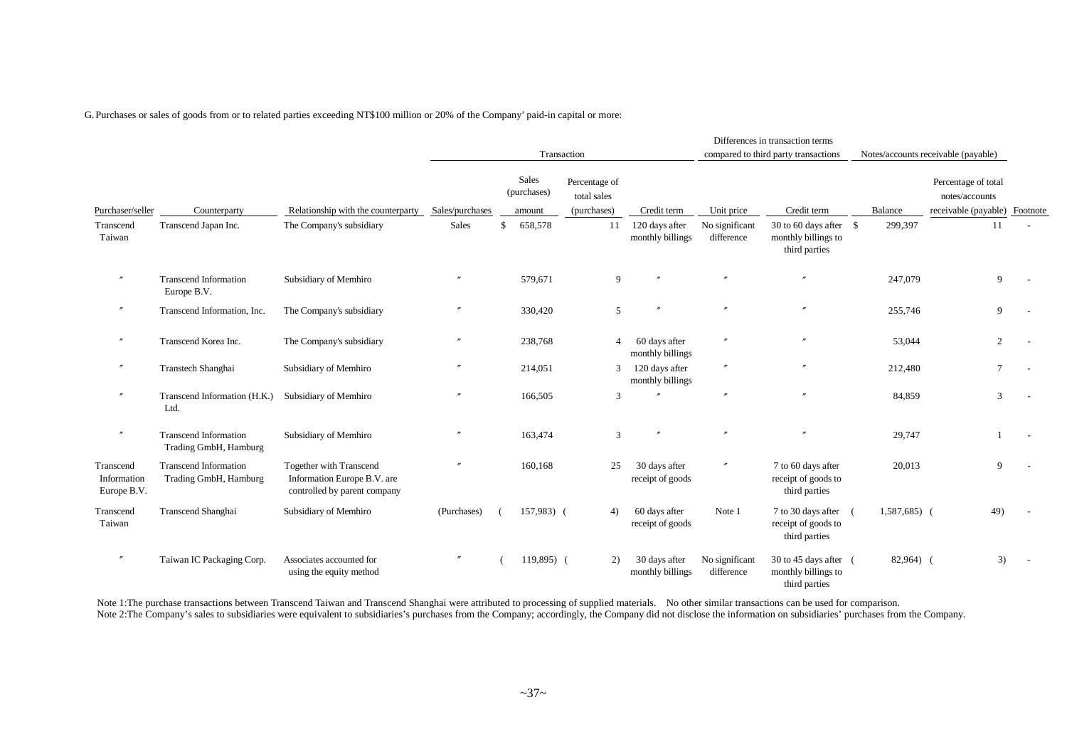G. Purchases or sales of goods from or to related parties exceeding NT\$100 million or 20% of the Company' paid-in capital or more:

|                                         |                                                       |                                                                                               |                   |                                |                                             |                                    |                              | Differences in transaction terms                                |           |                                                                        |  |
|-----------------------------------------|-------------------------------------------------------|-----------------------------------------------------------------------------------------------|-------------------|--------------------------------|---------------------------------------------|------------------------------------|------------------------------|-----------------------------------------------------------------|-----------|------------------------------------------------------------------------|--|
|                                         |                                                       |                                                                                               |                   |                                | Transaction                                 |                                    |                              | compared to third party transactions                            |           | Notes/accounts receivable (payable)                                    |  |
| Purchaser/seller                        | Counterparty                                          | Relationship with the counterparty                                                            | Sales/purchases   | Sales<br>(purchases)<br>amount | Percentage of<br>total sales<br>(purchases) | Credit term                        | Unit price                   | Credit term                                                     | Balance   | Percentage of total<br>notes/accounts<br>receivable (payable) Footnote |  |
| Transcend<br>Taiwan                     | Transcend Japan Inc.                                  | The Company's subsidiary                                                                      | Sales             | \$<br>658,578                  | 11                                          | 120 days after<br>monthly billings | No significant<br>difference | 30 to 60 days after $$$<br>monthly billings to<br>third parties | 299,397   | 11                                                                     |  |
| $^{\prime\prime}$                       | <b>Transcend Information</b><br>Europe B.V.           | Subsidiary of Memhiro                                                                         | $^{\prime\prime}$ | 579,671                        | 9                                           | $^{\prime\prime}$                  | $^{\prime\prime}$            | $\prime$                                                        | 247,079   | 9                                                                      |  |
| $^{\prime\prime}$                       | Transcend Information, Inc.                           | The Company's subsidiary                                                                      |                   | 330,420                        | 5                                           |                                    | $\boldsymbol{r}$             | $\theta$                                                        | 255,746   | 9                                                                      |  |
| $^{\prime\prime}$                       | Transcend Korea Inc.                                  | The Company's subsidiary                                                                      |                   | 238,768                        | 4                                           | 60 days after<br>monthly billings  |                              | $^{\prime\prime}$                                               | 53,044    | 2                                                                      |  |
| $^{\prime\prime}$                       | Transtech Shanghai                                    | Subsidiary of Memhiro                                                                         | $^{\prime\prime}$ | 214,051                        | 3                                           | 120 days after<br>monthly billings | $^{\prime\prime}$            | $^{\prime\prime}$                                               | 212,480   | $7\phantom{.0}$                                                        |  |
| $^{\prime\prime}$                       | Transcend Information (H.K.)<br>Ltd.                  | Subsidiary of Memhiro                                                                         |                   | 166,505                        | 3                                           |                                    | $^{\prime\prime}$            | $^{\prime\prime}$                                               | 84,859    | 3                                                                      |  |
| $^{\prime\prime}$                       | <b>Transcend Information</b><br>Trading GmbH, Hamburg | Subsidiary of Memhiro                                                                         | $^{\prime\prime}$ | 163,474                        | 3                                           |                                    | $\boldsymbol{r}$             | $\theta$                                                        | 29,747    |                                                                        |  |
| Transcend<br>Information<br>Europe B.V. | <b>Transcend Information</b><br>Trading GmbH, Hamburg | <b>Together with Transcend</b><br>Information Europe B.V. are<br>controlled by parent company | $^{\prime\prime}$ | 160,168                        | 25                                          | 30 days after<br>receipt of goods  | $\prime\prime$               | 7 to 60 days after<br>receipt of goods to<br>third parties      | 20,013    | 9                                                                      |  |
| Transcend<br>Taiwan                     | Transcend Shanghai                                    | Subsidiary of Memhiro                                                                         | (Purchases)       | $157,983$ (                    | 4)                                          | 60 days after<br>receipt of goods  | Note 1                       | 7 to 30 days after<br>receipt of goods to<br>third parties      | 1,587,685 | 49)                                                                    |  |
| $^{\prime\prime}$                       | Taiwan IC Packaging Corp.                             | Associates accounted for<br>using the equity method                                           | $^{\prime\prime}$ | 119,895) (                     | 2)                                          | 30 days after<br>monthly billings  | No significant<br>difference | 30 to 45 days after (<br>monthly billings to<br>third parties   | 82,964) ( | 3)                                                                     |  |

Note 1:The purchase transactions between Transcend Taiwan and Transcend Shanghai were attributed to processing of supplied materials. No other similar transactions can be used for comparison. Note 2: The Company's sales to subsidiaries were equivalent to subsidiaries's purchases from the Company; accordingly, the Company did not disclose the information on subsidiaries' purchases from the Company.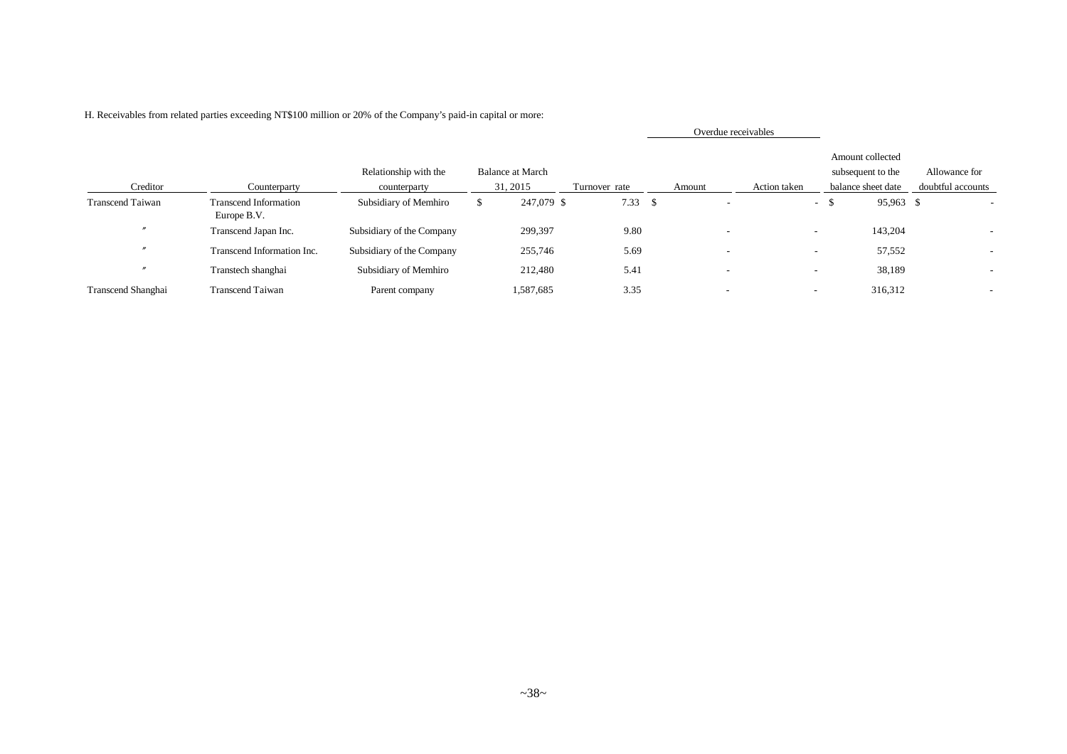|                         |                                             |                                       |                                     |               |        |                          | Overdue receivables |                          |                                                             |                                    |
|-------------------------|---------------------------------------------|---------------------------------------|-------------------------------------|---------------|--------|--------------------------|---------------------|--------------------------|-------------------------------------------------------------|------------------------------------|
| Creditor                | Counterparty                                | Relationship with the<br>counterparty | <b>Balance at March</b><br>31, 2015 | Turnover rate | Amount |                          | Action taken        |                          | Amount collected<br>subsequent to the<br>balance sheet date | Allowance for<br>doubtful accounts |
| <b>Transcend Taiwan</b> | <b>Transcend Information</b><br>Europe B.V. | Subsidiary of Memhiro                 | 247,079 \$                          | 7.33S         |        |                          |                     | $-$ \$                   | 95,963 \$                                                   |                                    |
|                         | Transcend Japan Inc.                        | Subsidiary of the Company             | 299,397                             | 9.80          |        |                          |                     | $\sim$                   | 143,204                                                     |                                    |
| $\prime$                | Transcend Information Inc.                  | Subsidiary of the Company             | 255,746                             | 5.69          |        | $\overline{\phantom{a}}$ |                     | $\sim$                   | 57,552                                                      |                                    |
|                         | Transtech shanghai                          | Subsidiary of Memhiro                 | 212,480                             | 5.41          |        | $\overline{\phantom{a}}$ |                     | $\overline{\phantom{0}}$ | 38,189                                                      |                                    |
| Transcend Shanghai      | <b>Transcend Taiwan</b>                     | Parent company                        | 1,587,685                           | 3.35          |        |                          |                     | $\overline{\phantom{a}}$ | 316,312                                                     |                                    |

H. Receivables from related parties exceeding NT\$100 million or 20% of the Company's paid-in capital or more: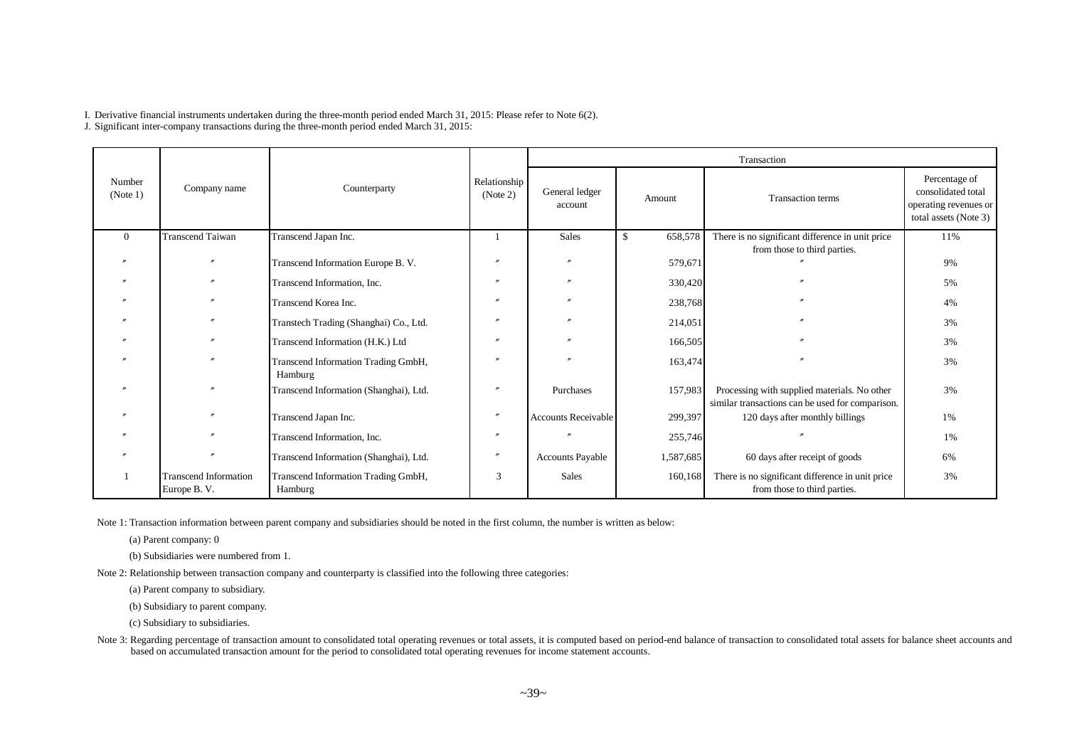I. Derivative financial instruments undertaken during the three-month period ended March 31, 2015: Please refer to Note 6(2).

J. Significant inter-company transactions during the three-month period ended March 31, 2015:

|                    |                                             |                                                |                          |                            |               | Transaction                                                                                      |                                                                                       |
|--------------------|---------------------------------------------|------------------------------------------------|--------------------------|----------------------------|---------------|--------------------------------------------------------------------------------------------------|---------------------------------------------------------------------------------------|
| Number<br>(Note 1) | Company name                                | Counterparty                                   | Relationship<br>(Note 2) | General ledger<br>account  | Amount        | <b>Transaction terms</b>                                                                         | Percentage of<br>consolidated total<br>operating revenues or<br>total assets (Note 3) |
| $\Omega$           | <b>Transcend Taiwan</b>                     | Transcend Japan Inc.                           |                          | Sales                      | 658,578<br>\$ | There is no significant difference in unit price                                                 | 11%                                                                                   |
|                    |                                             | Transcend Information Europe B. V.             |                          |                            | 579,671       | from those to third parties.                                                                     | 9%                                                                                    |
|                    |                                             | Transcend Information, Inc.                    |                          |                            | 330,420       |                                                                                                  | 5%                                                                                    |
|                    |                                             | Transcend Korea Inc.                           |                          |                            | 238,768       |                                                                                                  | 4%                                                                                    |
|                    |                                             | Transtech Trading (Shanghai) Co., Ltd.         |                          |                            | 214,051       |                                                                                                  | 3%                                                                                    |
|                    |                                             | Transcend Information (H.K.) Ltd               |                          |                            | 166,505       |                                                                                                  | 3%                                                                                    |
|                    |                                             | Transcend Information Trading GmbH,<br>Hamburg |                          |                            | 163,474       |                                                                                                  | 3%                                                                                    |
|                    |                                             | Transcend Information (Shanghai), Ltd.         |                          | Purchases                  | 157,983       | Processing with supplied materials. No other<br>similar transactions can be used for comparison. | 3%                                                                                    |
|                    |                                             | Transcend Japan Inc.                           |                          | <b>Accounts Receivable</b> | 299,397       | 120 days after monthly billings                                                                  | 1%                                                                                    |
|                    |                                             | Transcend Information, Inc.                    |                          |                            | 255,746       |                                                                                                  | 1%                                                                                    |
|                    |                                             | Transcend Information (Shanghai), Ltd.         |                          | <b>Accounts Payable</b>    | 1,587,685     | 60 days after receipt of goods                                                                   | 6%                                                                                    |
|                    | <b>Transcend Information</b><br>Europe B.V. | Transcend Information Trading GmbH,<br>Hamburg | 3                        | <b>Sales</b>               | 160,168       | There is no significant difference in unit price<br>from those to third parties.                 | 3%                                                                                    |

Note 1: Transaction information between parent company and subsidiaries should be noted in the first column, the number is written as below:

(a) Parent company: 0

(b) Subsidiaries were numbered from 1.

Note 2: Relationship between transaction company and counterparty is classified into the following three categories:

(a) Parent company to subsidiary.

(b) Subsidiary to parent company.

(c) Subsidiary to subsidiaries.

Note 3: Regarding percentage of transaction amount to consolidated total operating revenues or total assets, it is computed based on period-end balance of transaction to consolidated total assets for balance sheet accounts based on accumulated transaction amount for the period to consolidated total operating revenues for income statement accounts.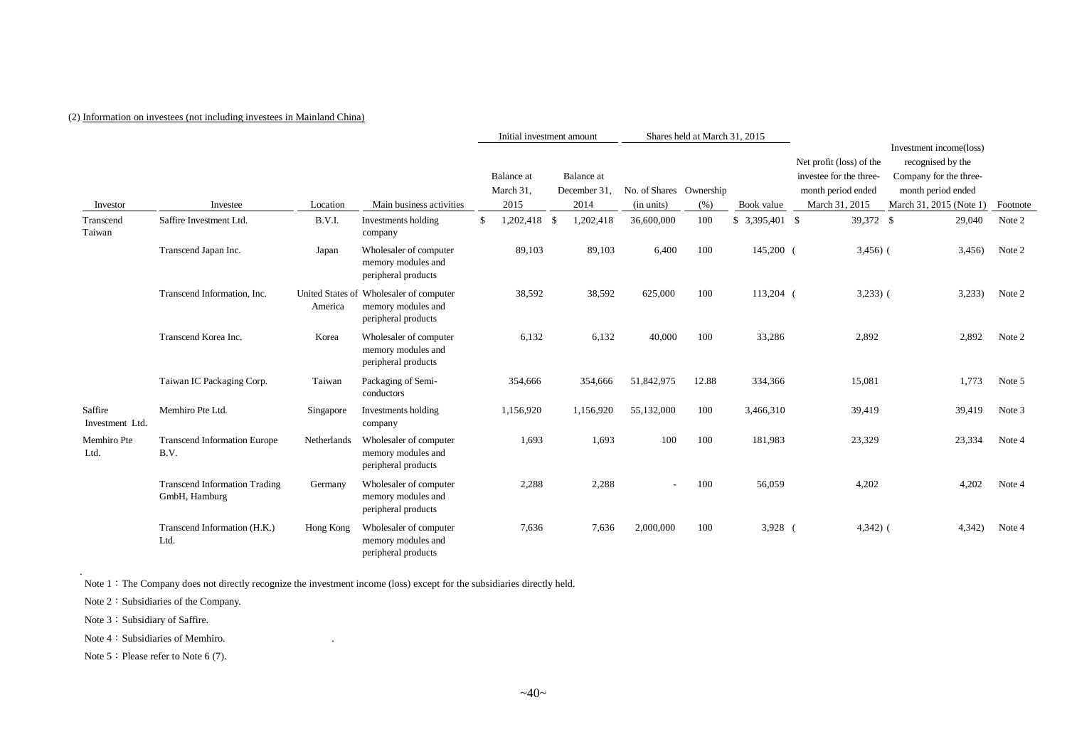#### (2) Information on investees (not including investees in Mainland China)

|                            |                                                       |             |                                                                                      | Shares held at March 31, 2015<br>Initial investment amount |                                 |                                    |        |                                       |       |                  |                                                                                             |             |                                                                                                                         |          |
|----------------------------|-------------------------------------------------------|-------------|--------------------------------------------------------------------------------------|------------------------------------------------------------|---------------------------------|------------------------------------|--------|---------------------------------------|-------|------------------|---------------------------------------------------------------------------------------------|-------------|-------------------------------------------------------------------------------------------------------------------------|----------|
| Investor                   | Investee                                              | Location    | Main business activities                                                             |                                                            | Balance at<br>March 31,<br>2015 | Balance at<br>December 31,<br>2014 |        | No. of Shares Ownership<br>(in units) | (% )  | Book value       | Net profit (loss) of the<br>investee for the three-<br>month period ended<br>March 31, 2015 |             | Investment income(loss)<br>recognised by the<br>Company for the three-<br>month period ended<br>March 31, 2015 (Note 1) | Footnote |
| Transcend<br>Taiwan        | Saffire Investment Ltd.                               | B.V.I.      | Investments holding<br>company                                                       | \$                                                         | 1,202,418 \$                    | 1,202,418                          |        | 36,600,000                            | 100   | $$3,395,401$ \\$ |                                                                                             | 39,372 \$   | 29,040                                                                                                                  | Note 2   |
|                            | Transcend Japan Inc.                                  | Japan       | Wholesaler of computer<br>memory modules and<br>peripheral products                  |                                                            | 89,103                          |                                    | 89,103 | 6,400                                 | 100   | 145,200 (        |                                                                                             | $3,456$ ) ( | 3,456                                                                                                                   | Note 2   |
|                            | Transcend Information, Inc.                           | America     | United States of Wholesaler of computer<br>memory modules and<br>peripheral products |                                                            | 38,592                          |                                    | 38,592 | 625,000                               | 100   | 113,204 (        |                                                                                             | $3,233)$ (  | 3,233                                                                                                                   | Note 2   |
|                            | Transcend Korea Inc.                                  | Korea       | Wholesaler of computer<br>memory modules and<br>peripheral products                  |                                                            | 6,132                           |                                    | 6,132  | 40,000                                | 100   | 33,286           |                                                                                             | 2,892       | 2,892                                                                                                                   | Note 2   |
|                            | Taiwan IC Packaging Corp.                             | Taiwan      | Packaging of Semi-<br>conductors                                                     |                                                            | 354,666                         | 354,666                            |        | 51,842,975                            | 12.88 | 334,366          |                                                                                             | 15,081      | 1,773                                                                                                                   | Note 5   |
| Saffire<br>Investment Ltd. | Memhiro Pte Ltd.                                      | Singapore   | Investments holding<br>company                                                       |                                                            | 1,156,920                       | 1,156,920                          |        | 55,132,000                            | 100   | 3,466,310        |                                                                                             | 39,419      | 39,419                                                                                                                  | Note 3   |
| Memhiro Pte<br>Ltd.        | <b>Transcend Information Europe</b><br>B.V.           | Netherlands | Wholesaler of computer<br>memory modules and<br>peripheral products                  |                                                            | 1,693                           |                                    | 1,693  | 100                                   | 100   | 181,983          |                                                                                             | 23,329      | 23,334                                                                                                                  | Note 4   |
|                            | <b>Transcend Information Trading</b><br>GmbH, Hamburg | Germany     | Wholesaler of computer<br>memory modules and<br>peripheral products                  |                                                            | 2,288                           |                                    | 2,288  |                                       | 100   | 56,059           |                                                                                             | 4,202       | 4,202                                                                                                                   | Note 4   |
|                            | Transcend Information (H.K.)<br>Ltd.                  | Hong Kong   | Wholesaler of computer<br>memory modules and<br>peripheral products                  |                                                            | 7,636                           |                                    | 7,636  | 2,000,000                             | 100   | $3,928$ (        |                                                                                             | $4,342)$ (  | 4,342)                                                                                                                  | Note 4   |

Note 1: The Company does not directly recognize the investment income (loss) except for the subsidiaries directly held.

Note 2: Subsidiaries of the Company.

Note 3: Subsidiary of Saffire.

.

Note 4: Subsidiaries of Memhiro.

Note 5: Please refer to Note 6 (7).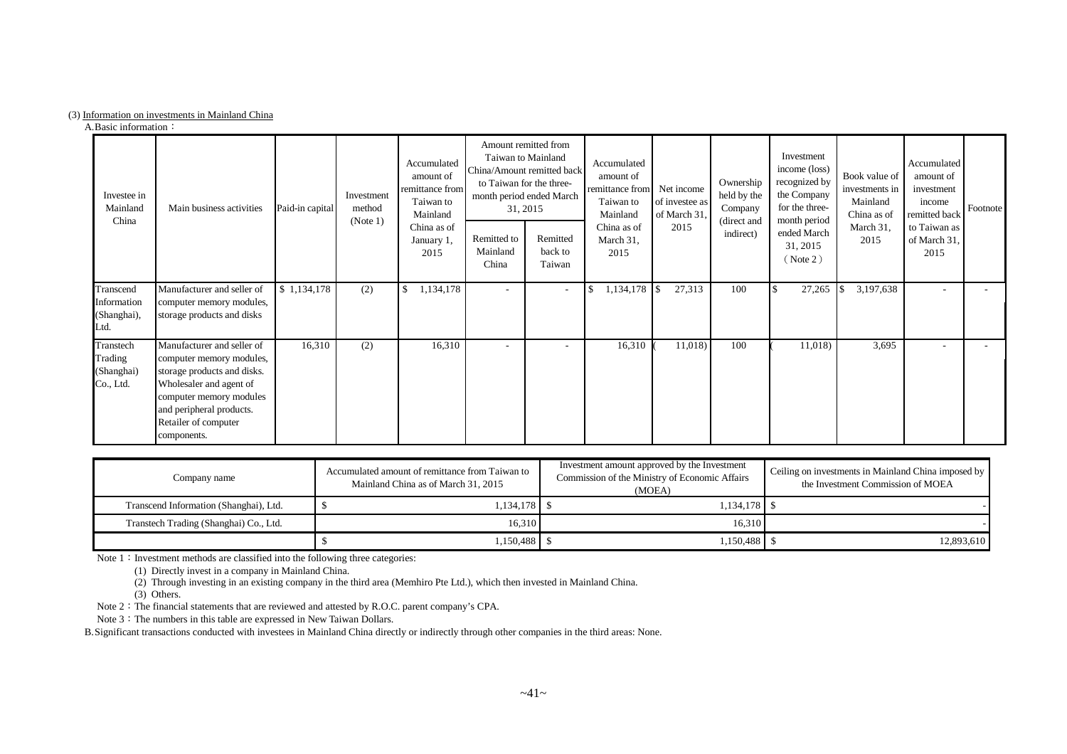#### (3) Information on investments in Mainland China

A.Basic information:

| Investee in<br>Mainland<br>China                | Main business activities                                                                                                                                                                                       | Paid-in capital | Investment<br>method<br>(Note 1) | Accumulated<br>amount of<br>remittance from<br>Taiwan to<br>Mainland<br>China as of<br>January 1,<br>2015 | to Taiwan for the three-<br>31, 2015<br>Remitted to<br>Mainland<br>China | Amount remitted from<br>Taiwan to Mainland<br>China/Amount remitted back<br>month period ended March<br>Remitted<br>back to<br>Taiwan | Accumulated<br>amount of<br>remittance from<br>Taiwan to<br>Mainland<br>China as of<br>March 31,<br>2015 | Net income<br>of investee as<br>of March 31<br>2015 | Ownership<br>held by the<br>Company<br>(direct and<br>indirect) | Investment<br>income (loss)<br>recognized by<br>the Company<br>for the three-<br>month period<br>ended March<br>31, 2015<br>(Note 2) | Book value of<br>investments in<br>Mainland<br>China as of<br>March 31,<br>2015 | Accumulated<br>amount of<br>investment<br>income<br>remitted back<br>to Taiwan as<br>of March 31,<br>2015 | Footnote <sup>1</sup> |
|-------------------------------------------------|----------------------------------------------------------------------------------------------------------------------------------------------------------------------------------------------------------------|-----------------|----------------------------------|-----------------------------------------------------------------------------------------------------------|--------------------------------------------------------------------------|---------------------------------------------------------------------------------------------------------------------------------------|----------------------------------------------------------------------------------------------------------|-----------------------------------------------------|-----------------------------------------------------------------|--------------------------------------------------------------------------------------------------------------------------------------|---------------------------------------------------------------------------------|-----------------------------------------------------------------------------------------------------------|-----------------------|
| Transcend<br>Information<br>(Shanghai),<br>Ltd. | Manufacturer and seller of<br>computer memory modules,<br>storage products and disks                                                                                                                           | \$1,134,178     | (2)                              | 1,134,178<br>-S                                                                                           | $\sim$                                                                   | $\sim$                                                                                                                                | 1,134,178 \$                                                                                             | 27,313                                              | 100                                                             | 27,265                                                                                                                               | 3,197,638                                                                       | $\qquad \qquad \blacksquare$                                                                              |                       |
| Transtech<br>Trading<br>(Shanghai)<br>Co., Ltd. | Manufacturer and seller of<br>computer memory modules,<br>storage products and disks.<br>Wholesaler and agent of<br>computer memory modules<br>and peripheral products.<br>Retailer of computer<br>components. | 16,310          | (2)                              | 16,310                                                                                                    |                                                                          |                                                                                                                                       | 16,310                                                                                                   | 11,018)                                             | 100                                                             | 11,018)                                                                                                                              | 3,695                                                                           | ٠                                                                                                         |                       |

| Company name                           | Accumulated amount of remittance from Taiwan to<br>Mainland China as of March 31, 2015 | Investment amount approved by the Investment<br>Commission of the Ministry of Economic Affairs<br>(MOEA) | Ceiling on investments in Mainland China imposed by<br>the Investment Commission of MOEA |
|----------------------------------------|----------------------------------------------------------------------------------------|----------------------------------------------------------------------------------------------------------|------------------------------------------------------------------------------------------|
| Transcend Information (Shanghai), Ltd. | $1,134,178$   \$                                                                       | $1,134,178$   \$                                                                                         |                                                                                          |
| Transtech Trading (Shanghai) Co., Ltd. | 16.310                                                                                 | 16.310                                                                                                   |                                                                                          |
|                                        | 1,150,488   \$                                                                         | 1,150,488 S                                                                                              | 12,893,610                                                                               |

Note  $1:$  Investment methods are classified into the following three categories:

(1) Directly invest in a company in Mainland China.

(2) Through investing in an existing company in the third area (Memhiro Pte Ltd.), which then invested in Mainland China.

(3) Others.

Note 2: The financial statements that are reviewed and attested by R.O.C. parent company's CPA.

Note 3: The numbers in this table are expressed in New Taiwan Dollars.

B.Significant transactions conducted with investees in Mainland China directly or indirectly through other companies in the third areas: None.